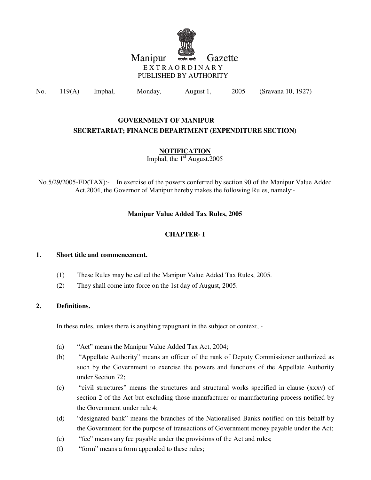

# Manipur **With Straight** Gazette E X T R A O R D I N A R Y PUBLISHED BY AUTHORITY

No. 119(A) Imphal, Monday, August 1, 2005 (Sravana 10, 1927)

# **GOVERNMENT OF MANIPUR SECRETARIAT; FINANCE DEPARTMENT (EXPENDITURE SECTION)**

# **NOTIFICATION**

Imphal, the  $1<sup>st</sup>$  August.2005

No.5/29/2005-FD(TAX):- In exercise of the powers conferred by section 90 of the Manipur Value Added Act,2004, the Governor of Manipur hereby makes the following Rules, namely:-

## **Manipur Value Added Tax Rules, 2005**

## **CHAPTER- I**

#### **1. Short title and commencement.**

- (1) These Rules may be called the Manipur Value Added Tax Rules, 2005.
- (2) They shall come into force on the 1st day of August, 2005.

## **2. Definitions.**

In these rules, unless there is anything repugnant in the subject or context, -

- (a) "Act" means the Manipur Value Added Tax Act, 2004;
- (b) "Appellate Authority" means an officer of the rank of Deputy Commissioner authorized as such by the Government to exercise the powers and functions of the Appellate Authority under Section 72;
- (c) "civil structures" means the structures and structural works specified in clause (xxxv) of section 2 of the Act but excluding those manufacturer or manufacturing process notified by the Government under rule 4;
- (d) "designated bank" means the branches of the Nationalised Banks notified on this behalf by the Government for the purpose of transactions of Government money payable under the Act;
- (e) "fee" means any fee payable under the provisions of the Act and rules;
- (f) "form" means a form appended to these rules;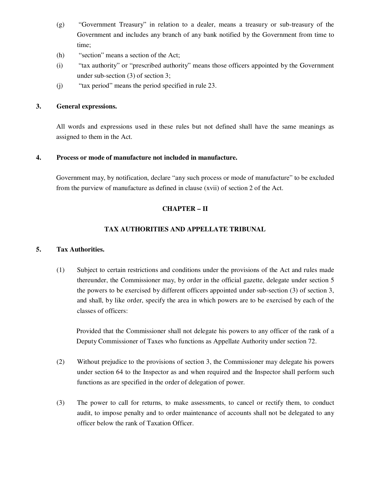- (g) "Government Treasury" in relation to a dealer, means a treasury or sub-treasury of the Government and includes any branch of any bank notified by the Government from time to time;
- (h) "section" means a section of the Act;
- (i) "tax authority" or "prescribed authority" means those officers appointed by the Government under sub-section (3) of section 3;
- (j) "tax period" means the period specified in rule 23.

## **3. General expressions.**

 All words and expressions used in these rules but not defined shall have the same meanings as assigned to them in the Act.

## **4. Process or mode of manufacture not included in manufacture.**

 Government may, by notification, declare "any such process or mode of manufacture" to be excluded from the purview of manufacture as defined in clause (xvii) of section 2 of the Act.

# **CHAPTER – II**

## **TAX AUTHORITIES AND APPELLATE TRIBUNAL**

## **5. Tax Authorities.**

(1) Subject to certain restrictions and conditions under the provisions of the Act and rules made thereunder, the Commissioner may, by order in the official gazette, delegate under section 5 the powers to be exercised by different officers appointed under sub-section (3) of section 3, and shall, by like order, specify the area in which powers are to be exercised by each of the classes of officers:

 Provided that the Commissioner shall not delegate his powers to any officer of the rank of a Deputy Commissioner of Taxes who functions as Appellate Authority under section 72.

- (2) Without prejudice to the provisions of section 3, the Commissioner may delegate his powers under section 64 to the Inspector as and when required and the Inspector shall perform such functions as are specified in the order of delegation of power.
- (3) The power to call for returns, to make assessments, to cancel or rectify them, to conduct audit, to impose penalty and to order maintenance of accounts shall not be delegated to any officer below the rank of Taxation Officer.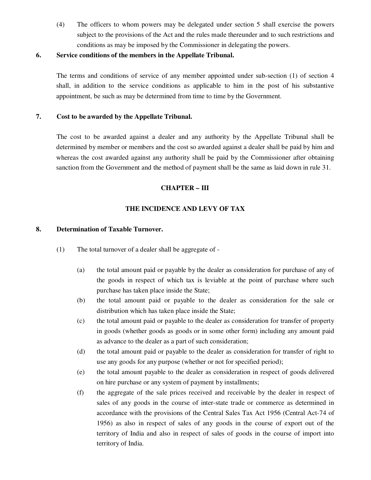(4) The officers to whom powers may be delegated under section 5 shall exercise the powers subject to the provisions of the Act and the rules made thereunder and to such restrictions and conditions as may be imposed by the Commissioner in delegating the powers.

#### **6. Service conditions of the members in the Appellate Tribunal.**

The terms and conditions of service of any member appointed under sub-section (1) of section 4 shall, in addition to the service conditions as applicable to him in the post of his substantive appointment, be such as may be determined from time to time by the Government.

## **7. Cost to be awarded by the Appellate Tribunal.**

The cost to be awarded against a dealer and any authority by the Appellate Tribunal shall be determined by member or members and the cost so awarded against a dealer shall be paid by him and whereas the cost awarded against any authority shall be paid by the Commissioner after obtaining sanction from the Government and the method of payment shall be the same as laid down in rule 31.

#### **CHAPTER – III**

## **THE INCIDENCE AND LEVY OF TAX**

#### **8. Determination of Taxable Turnover.**

- (1) The total turnover of a dealer shall be aggregate of
	- (a) the total amount paid or payable by the dealer as consideration for purchase of any of the goods in respect of which tax is leviable at the point of purchase where such purchase has taken place inside the State;
	- (b) the total amount paid or payable to the dealer as consideration for the sale or distribution which has taken place inside the State;
	- (c) the total amount paid or payable to the dealer as consideration for transfer of property in goods (whether goods as goods or in some other form) including any amount paid as advance to the dealer as a part of such consideration;
	- (d) the total amount paid or payable to the dealer as consideration for transfer of right to use any goods for any purpose (whether or not for specified period);
	- (e) the total amount payable to the dealer as consideration in respect of goods delivered on hire purchase or any system of payment by installments;
	- (f) the aggregate of the sale prices received and receivable by the dealer in respect of sales of any goods in the course of inter-state trade or commerce as determined in accordance with the provisions of the Central Sales Tax Act 1956 (Central Act-74 of 1956) as also in respect of sales of any goods in the course of export out of the territory of India and also in respect of sales of goods in the course of import into territory of India.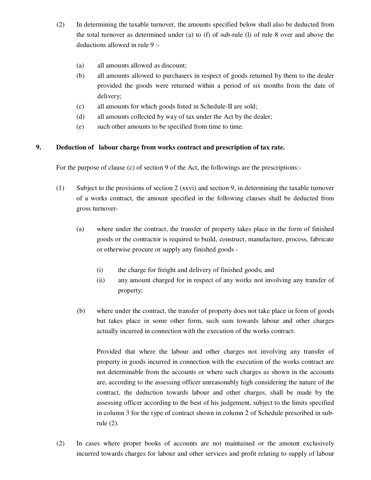- (2) In determining the taxable turnover, the amounts specified below shall also be deducted from the total turnover as determined under (a) to (f) of sub-rule (l) of rule 8 over and above the deductions allowed in rule 9 :-
	- (a) all amounts allowed as discount;
	- (b) all amounts allowed to purchasers in respect of goods returned by them to the dealer provided the goods were returned within a period of six months from the date of delivery;
	- (c) all amounts for which goods listed in Schedule-II are sold;
	- (d) all amounts collected by way of tax under the Act by the dealer;
	- (e) such other amounts to be specified from time to time.

## **9. Deduction of labour charge from works contract and prescription of tax rate.**

For the purpose of clause (c) of section 9 of the Act, the followings are the prescriptions:-

- (1) Subject to the provisions of section 2 (xxvi) and section 9, in determining the taxable turnover of a works contract, the amount specified in the following clauses shall be deducted from gross turnover-
	- (a) where under the contract, the transfer of property takes place in the form of finished goods or the contractor is required to build, construct, manufacture, process, fabricate or otherwise procure or supply any finished goods -
		- (i) the charge for freight and delivery of finished goods; and
		- (ii) any amount charged for in respect of any works not involving any transfer of property;
	- (b) where under the contract, the transfer of property does not take place in form of goods but takes place in some other form, such sum towards labour and other charges actually incurred in connection with the execution of the works contract:

Provided that where the labour and other charges not involving any transfer of property in goods incurred in connection with the execution of the works contract are not determinable from the accounts or where such charges as shown in the accounts are, according to the assessing officer unreasonably high considering the nature of the contract, the deduction towards labour and other charges, shall be made by the assessing officer according to the best of his judgement, subject to the limits specified in column 3 for the type of contract shown in column 2 of Schedule prescribed in subrule (2).

(2) In cases where proper books of accounts are not maintained or the amount exclusively incurred towards charges for labour and other services and profit relating to supply of labour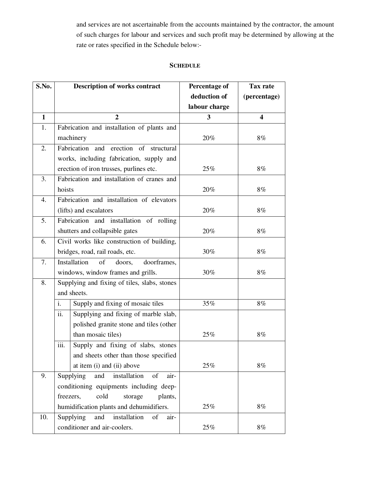and services are not ascertainable from the accounts maintained by the contractor, the amount of such charges for labour and services and such profit may be determined by allowing at the rate or rates specified in the Schedule below:-

## **SCHEDULE**

| S.No.        | <b>Description of works contract</b>           | <b>Percentage of</b> | Tax rate                |
|--------------|------------------------------------------------|----------------------|-------------------------|
|              |                                                | deduction of         | (percentage)            |
|              |                                                | labour charge        |                         |
| $\mathbf{1}$ | $\overline{2}$                                 | 3                    | $\overline{\mathbf{4}}$ |
| 1.           | Fabrication and installation of plants and     |                      |                         |
|              | machinery                                      | 20%                  | 8%                      |
| 2.           | Fabrication and erection of structural         |                      |                         |
|              | works, including fabrication, supply and       |                      |                         |
|              | erection of iron trusses, purlines etc.        | 25%                  | 8%                      |
| 3.           | Fabrication and installation of cranes and     |                      |                         |
|              | hoists                                         | 20%                  | 8%                      |
| 4.           | Fabrication and installation of elevators      |                      |                         |
|              | (lifts) and escalators                         | 20%                  | 8%                      |
| 5.           | Fabrication and installation of rolling        |                      |                         |
|              | shutters and collapsible gates                 | 20%                  | 8%                      |
| 6.           | Civil works like construction of building,     |                      |                         |
|              | bridges, road, rail roads, etc.                | 30%                  | 8%                      |
| 7.           | Installation<br>of<br>doorframes,<br>doors,    |                      |                         |
|              | windows, window frames and grills.             | 30%                  | $8\%$                   |
| 8.           | Supplying and fixing of tiles, slabs, stones   |                      |                         |
|              | and sheets.                                    |                      |                         |
|              | Supply and fixing of mosaic tiles<br>i.        | 35%                  | $8\%$                   |
|              | ii.<br>Supplying and fixing of marble slab,    |                      |                         |
|              | polished granite stone and tiles (other        |                      |                         |
|              | than mosaic tiles)                             | 25%                  | 8%                      |
|              | iii.<br>Supply and fixing of slabs, stones     |                      |                         |
|              | and sheets other than those specified          |                      |                         |
|              | at item (i) and (ii) above                     | 25%                  | $8\%$                   |
| 9.           | Supplying<br>installation<br>of<br>air-<br>and |                      |                         |
|              | conditioning equipments including deep-        |                      |                         |
|              | cold<br>freezers,<br>storage<br>plants,        |                      |                         |
|              | humidification plants and dehumidifiers.       | 25%                  | 8%                      |
| 10.          | Supplying<br>installation<br>and<br>of<br>air- |                      |                         |
|              | conditioner and air-coolers.                   | 25%                  | $8\%$                   |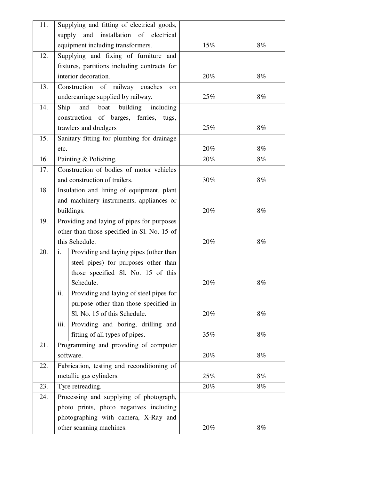| 11. | Supplying and fitting of electrical goods,     |        |       |
|-----|------------------------------------------------|--------|-------|
|     | installation of electrical<br>supply<br>and    |        |       |
|     | equipment including transformers.              | $15\%$ | $8\%$ |
| 12. | Supplying and fixing of furniture and          |        |       |
|     | fixtures, partitions including contracts for   |        |       |
|     | interior decoration.                           | 20%    | 8%    |
| 13. | Construction of railway coaches<br>on          |        |       |
|     | undercarriage supplied by railway.             | 25%    | 8%    |
| 14. | Ship<br>and<br>building<br>including<br>boat   |        |       |
|     | construction of barges, ferries, tugs,         |        |       |
|     | trawlers and dredgers                          | 25%    | 8%    |
| 15. | Sanitary fitting for plumbing for drainage     |        |       |
|     | etc.                                           | 20%    | 8%    |
| 16. | Painting & Polishing.                          | 20%    | 8%    |
| 17. | Construction of bodies of motor vehicles       |        |       |
|     | and construction of trailers.                  | 30%    | 8%    |
| 18. | Insulation and lining of equipment, plant      |        |       |
|     | and machinery instruments, appliances or       |        |       |
|     | buildings.                                     | 20%    | 8%    |
| 19. | Providing and laying of pipes for purposes     |        |       |
|     | other than those specified in Sl. No. 15 of    |        |       |
|     | this Schedule.                                 | 20%    | 8%    |
| 20. | Providing and laying pipes (other than<br>i.   |        |       |
|     | steel pipes) for purposes other than           |        |       |
|     | those specified Sl. No. 15 of this             |        |       |
|     | Schedule.                                      | 20%    | 8%    |
|     | ii.<br>Providing and laying of steel pipes for |        |       |
|     | purpose other than those specified in          |        |       |
|     | Sl. No. 15 of this Schedule.                   | 20%    | 8%    |
|     | Providing and boring, drilling and<br>iii.     |        |       |
|     | fitting of all types of pipes.                 | 35%    | 8%    |
| 21. | Programming and providing of computer          |        |       |
|     | software.                                      | 20%    | 8%    |
| 22. | Fabrication, testing and reconditioning of     |        |       |
|     | metallic gas cylinders.                        | 25%    | 8%    |
| 23. | Tyre retreading.                               | 20%    | 8%    |
| 24. | Processing and supplying of photograph,        |        |       |
|     | photo prints, photo negatives including        |        |       |
|     | photographing with camera, X-Ray and           |        |       |
|     | other scanning machines.                       | 20%    | 8%    |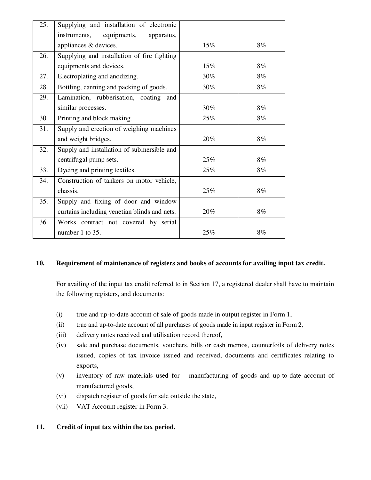| 25. | Supplying and installation of electronic     |        |    |
|-----|----------------------------------------------|--------|----|
|     | equipments,<br>instruments,<br>apparatus,    |        |    |
|     | appliances & devices.                        | $15\%$ | 8% |
| 26. | Supplying and installation of fire fighting  |        |    |
|     | equipments and devices.                      | $15\%$ | 8% |
| 27. | Electroplating and anodizing.                | 30%    | 8% |
| 28. | Bottling, canning and packing of goods.      | 30%    | 8% |
| 29. | Lamination, rubberisation, coating and       |        |    |
|     | similar processes.                           | 30%    | 8% |
| 30. | Printing and block making.                   | 25%    | 8% |
| 31. | Supply and erection of weighing machines     |        |    |
|     | and weight bridges.                          | 20%    | 8% |
| 32. | Supply and installation of submersible and   |        |    |
|     | centrifugal pump sets.                       | 25%    | 8% |
| 33. | Dyeing and printing textiles.                | 25%    | 8% |
| 34. | Construction of tankers on motor vehicle,    |        |    |
|     | chassis.                                     | 25%    | 8% |
| 35. | Supply and fixing of door and window         |        |    |
|     | curtains including venetian blinds and nets. | 20%    | 8% |
| 36. | Works contract not covered by serial         |        |    |
|     | number 1 to 35.                              | 25%    | 8% |

## **10. Requirement of maintenance of registers and books of accounts for availing input tax credit.**

For availing of the input tax credit referred to in Section 17, a registered dealer shall have to maintain the following registers, and documents:

- (i) true and up-to-date account of sale of goods made in output register in Form 1,
- (ii) true and up-to-date account of all purchases of goods made in input register in Form 2,
- (iii) delivery notes received and utilisation record thereof,
- (iv) sale and purchase documents, vouchers, bills or cash memos, counterfoils of delivery notes issued, copies of tax invoice issued and received, documents and certificates relating to exports,
- (v) inventory of raw materials used for manufacturing of goods and up-to-date account of manufactured goods,
- (vi) dispatch register of goods for sale outside the state,
- (vii) VAT Account register in Form 3.

# **11. Credit of input tax within the tax period.**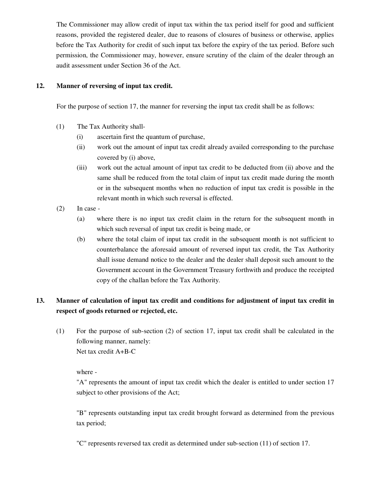The Commissioner may allow credit of input tax within the tax period itself for good and sufficient reasons, provided the registered dealer, due to reasons of closures of business or otherwise, applies before the Tax Authority for credit of such input tax before the expiry of the tax period. Before such permission, the Commissioner may, however, ensure scrutiny of the claim of the dealer through an audit assessment under Section 36 of the Act.

#### **12. Manner of reversing of input tax credit.**

For the purpose of section 17, the manner for reversing the input tax credit shall be as follows:

- (1) The Tax Authority shall-
	- (i) ascertain first the quantum of purchase,
	- (ii) work out the amount of input tax credit already availed corresponding to the purchase covered by (i) above,
	- (iii) work out the actual amount of input tax credit to be deducted from (ii) above and the same shall be reduced from the total claim of input tax credit made during the month or in the subsequent months when no reduction of input tax credit is possible in the relevant month in which such reversal is effected.
- $(2)$  In case -
	- (a) where there is no input tax credit claim in the return for the subsequent month in which such reversal of input tax credit is being made, or
	- (b) where the total claim of input tax credit in the subsequent month is not sufficient to counterbalance the aforesaid amount of reversed input tax credit, the Tax Authority shall issue demand notice to the dealer and the dealer shall deposit such amount to the Government account in the Government Treasury forthwith and produce the receipted copy of the challan before the Tax Authority.

# **13. Manner of calculation of input tax credit and conditions for adjustment of input tax credit in respect of goods returned or rejected, etc.**

(1) For the purpose of sub-section (2) of section 17, input tax credit shall be calculated in the following manner, namely: Net tax credit A+B-C

where -

"A" represents the amount of input tax credit which the dealer is entitled to under section 17 subject to other provisions of the Act;

"B" represents outstanding input tax credit brought forward as determined from the previous tax period;

"C" represents reversed tax credit as determined under sub-section (11) of section 17.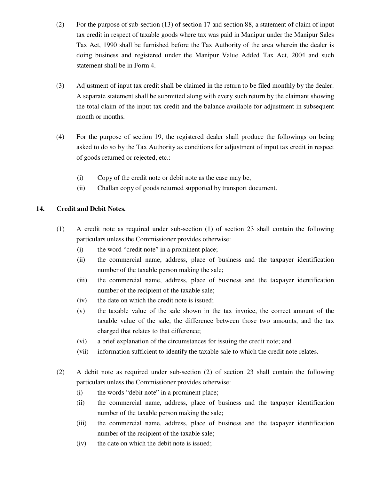- (2) For the purpose of sub-section (13) of section 17 and section 88, a statement of claim of input tax credit in respect of taxable goods where tax was paid in Manipur under the Manipur Sales Tax Act, 1990 shall be furnished before the Tax Authority of the area wherein the dealer is doing business and registered under the Manipur Value Added Tax Act, 2004 and such statement shall be in Form 4.
- (3) Adjustment of input tax credit shall be claimed in the return to be filed monthly by the dealer. A separate statement shall be submitted along with every such return by the claimant showing the total claim of the input tax credit and the balance available for adjustment in subsequent month or months.
- (4) For the purpose of section 19, the registered dealer shall produce the followings on being asked to do so by the Tax Authority as conditions for adjustment of input tax credit in respect of goods returned or rejected, etc.:
	- (i) Copy of the credit note or debit note as the case may be,
	- (ii) Challan copy of goods returned supported by transport document.

## **14. Credit and Debit Notes.**

- (1) A credit note as required under sub-section (1) of section 23 shall contain the following particulars unless the Commissioner provides otherwise:
	- (i) the word "credit note" in a prominent place;
	- (ii) the commercial name, address, place of business and the taxpayer identification number of the taxable person making the sale;
	- (iii) the commercial name, address, place of business and the taxpayer identification number of the recipient of the taxable sale;
	- (iv) the date on which the credit note is issued;
	- (v) the taxable value of the sale shown in the tax invoice, the correct amount of the taxable value of the sale, the difference between those two amounts, and the tax charged that relates to that difference;
	- (vi) a brief explanation of the circumstances for issuing the credit note; and
	- (vii) information sufficient to identify the taxable sale to which the credit note relates.
- (2) A debit note as required under sub-section (2) of section 23 shall contain the following particulars unless the Commissioner provides otherwise:
	- (i) the words "debit note" in a prominent place;
	- (ii) the commercial name, address, place of business and the taxpayer identification number of the taxable person making the sale;
	- (iii) the commercial name, address, place of business and the taxpayer identification number of the recipient of the taxable sale;
	- (iv) the date on which the debit note is issued;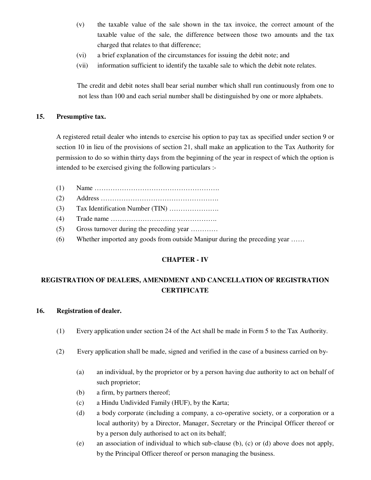- (v) the taxable value of the sale shown in the tax invoice, the correct amount of the taxable value of the sale, the difference between those two amounts and the tax charged that relates to that difference;
- (vi) a brief explanation of the circumstances for issuing the debit note; and
- (vii) information sufficient to identify the taxable sale to which the debit note relates.

The credit and debit notes shall bear serial number which shall run continuously from one to not less than 100 and each serial number shall be distinguished by one or more alphabets.

#### **15. Presumptive tax.**

A registered retail dealer who intends to exercise his option to pay tax as specified under section 9 or section 10 in lieu of the provisions of section 21, shall make an application to the Tax Authority for permission to do so within thirty days from the beginning of the year in respect of which the option is intended to be exercised giving the following particulars :-

- (1) Name ……………………………………………….
- (2) Address …………………………………………….
- (3) Tax Identification Number (TIN) ………………….
- (4) Trade name ………………….…………………….
- (5) Gross turnover during the preceding year …………
- (6) Whether imported any goods from outside Manipur during the preceding year ……

## **CHAPTER - IV**

# **REGISTRATION OF DEALERS, AMENDMENT AND CANCELLATION OF REGISTRATION CERTIFICATE**

#### **16. Registration of dealer.**

- (1) Every application under section 24 of the Act shall be made in Form 5 to the Tax Authority.
- (2) Every application shall be made, signed and verified in the case of a business carried on by-
	- (a) an individual, by the proprietor or by a person having due authority to act on behalf of such proprietor;
	- (b) a firm, by partners thereof;
	- (c) a Hindu Undivided Family (HUF), by the Karta;
	- (d) a body corporate (including a company, a co-operative society, or a corporation or a local authority) by a Director, Manager, Secretary or the Principal Officer thereof or by a person duly authorised to act on its behalf;
	- (e) an association of individual to which sub-clause (b), (c) or (d) above does not apply, by the Principal Officer thereof or person managing the business.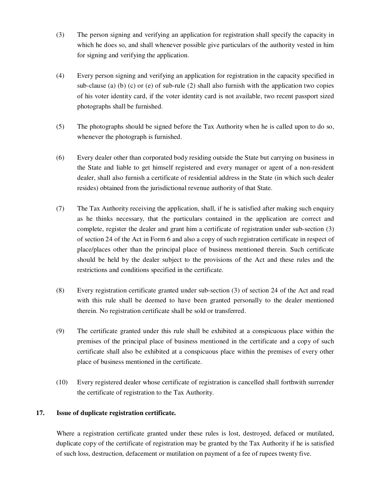- (3) The person signing and verifying an application for registration shall specify the capacity in which he does so, and shall whenever possible give particulars of the authority vested in him for signing and verifying the application.
- (4) Every person signing and verifying an application for registration in the capacity specified in sub-clause (a) (b) (c) or (e) of sub-rule  $(2)$  shall also furnish with the application two copies of his voter identity card, if the voter identity card is not available, two recent passport sized photographs shall be furnished.
- (5) The photographs should be signed before the Tax Authority when he is called upon to do so, whenever the photograph is furnished.
- (6) Every dealer other than corporated body residing outside the State but carrying on business in the State and liable to get himself registered and every manager or agent of a non-resident dealer, shall also furnish a certificate of residential address in the State (in which such dealer resides) obtained from the jurisdictional revenue authority of that State.
- (7) The Tax Authority receiving the application, shall, if he is satisfied after making such enquiry as he thinks necessary, that the particulars contained in the application are correct and complete, register the dealer and grant him a certificate of registration under sub-section (3) of section 24 of the Act in Form 6 and also a copy of such registration certificate in respect of place/places other than the principal place of business mentioned therein. Such certificate should be held by the dealer subject to the provisions of the Act and these rules and the restrictions and conditions specified in the certificate.
- (8) Every registration certificate granted under sub-section (3) of section 24 of the Act and read with this rule shall be deemed to have been granted personally to the dealer mentioned therein. No registration certificate shall be sold or transferred.
- (9) The certificate granted under this rule shall be exhibited at a conspicuous place within the premises of the principal place of business mentioned in the certificate and a copy of such certificate shall also be exhibited at a conspicuous place within the premises of every other place of business mentioned in the certificate.
- (10) Every registered dealer whose certificate of registration is cancelled shall forthwith surrender the certificate of registration to the Tax Authority.

## **17. Issue of duplicate registration certificate.**

Where a registration certificate granted under these rules is lost, destroyed, defaced or mutilated, duplicate copy of the certificate of registration may be granted by the Tax Authority if he is satisfied of such loss, destruction, defacement or mutilation on payment of a fee of rupees twenty five.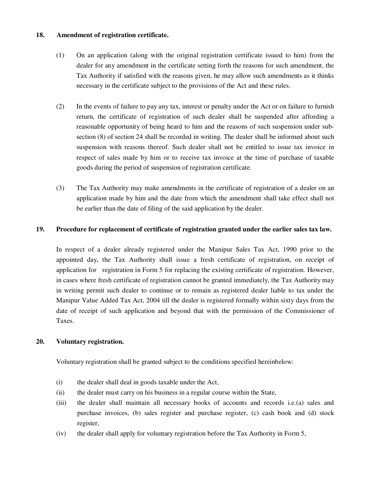#### **18. Amendment of registration certificate.**

- (1) On an application (along with the original registration certificate issued to him) from the dealer for any amendment in the certificate setting forth the reasons for such amendment, the Tax Authority if satisfied with the reasons given, he may allow such amendments as it thinks necessary in the certificate subject to the provisions of the Act and these rules.
- (2) In the events of failure to pay any tax, interest or penalty under the Act or on failure to furnish return, the certificate of registration of such dealer shall be suspended after affording a reasonable opportunity of being heard to him and the reasons of such suspension under subsection (8) of section 24 shall be recorded in writing. The dealer shall be informed about such suspension with reasons thereof. Such dealer shall not be entitled to issue tax invoice in respect of sales made by him or to receive tax invoice at the time of purchase of taxable goods during the period of suspension of registration certificate.
- (3) The Tax Authority may make amendments in the certificate of registration of a dealer on an application made by him and the date from which the amendment shall take effect shall not be earlier than the date of filing of the said application by the dealer.

#### **19. Procedure for replacement of certificate of registration granted under the earlier sales tax law.**

In respect of a dealer already registered under the Manipur Sales Tax Act, 1990 prior to the appointed day, the Tax Authority shall issue a fresh certificate of registration, on receipt of application for registration in Form 5 for replacing the existing certificate of registration. However, in cases where fresh certificate of registration cannot be granted immediately, the Tax Authority may in writing permit such dealer to continue or to remain as registered dealer liable to tax under the Manipur Value Added Tax Act, 2004 till the dealer is registered formally within sixty days from the date of receipt of such application and beyond that with the permission of the Commissioner of Taxes.

#### **20. Voluntary registration.**

Voluntary registration shall be granted subject to the conditions specified hereinbelow:

- (i) the dealer shall deal in goods taxable under the Act,
- (ii) the dealer must carry on his business in a regular course within the State,
- (iii) the dealer shall maintain all necessary books of accounts and records i.e.(a) sales and purchase invoices, (b) sales register and purchase register, (c) cash book and (d) stock register,
- (iv) the dealer shall apply for voluntary registration before the Tax Authority in Form 5,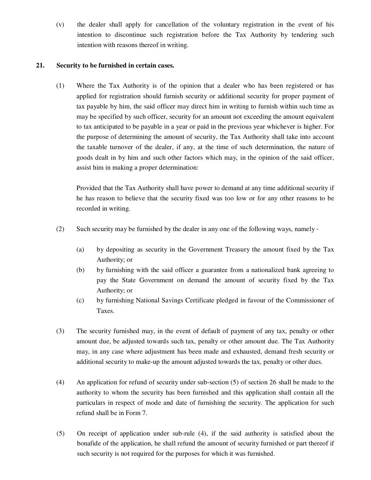(v) the dealer shall apply for cancellation of the voluntary registration in the event of his intention to discontinue such registration before the Tax Authority by tendering such intention with reasons thereof in writing.

## **21. Security to be furnished in certain cases.**

(1) Where the Tax Authority is of the opinion that a dealer who has been registered or has applied for registration should furnish security or additional security for proper payment of tax payable by him, the said officer may direct him in writing to furnish within such time as may be specified by such officer, security for an amount not exceeding the amount equivalent to tax anticipated to be payable in a year or paid in the previous year whichever is higher. For the purpose of determining the amount of security, the Tax Authority shall take into account the taxable turnover of the dealer, if any, at the time of such determination, the nature of goods dealt in by him and such other factors which may, in the opinion of the said officer, assist him in making a proper determination:

Provided that the Tax Authority shall have power to demand at any time additional security if he has reason to believe that the security fixed was too low or for any other reasons to be recorded in writing.

- (2) Such security may be furnished by the dealer in any one of the following ways, namely
	- (a) by depositing as security in the Government Treasury the amount fixed by the Tax Authority; or
	- (b) by furnishing with the said officer a guarantee from a nationalized bank agreeing to pay the State Government on demand the amount of security fixed by the Tax Authority; or
	- (c) by furnishing National Savings Certificate pledged in favour of the Commissioner of Taxes.
- (3) The security furnished may, in the event of default of payment of any tax, penalty or other amount due, be adjusted towards such tax, penalty or other amount due. The Tax Authority may, in any case where adjustment has been made and exhausted, demand fresh security or additional security to make-up the amount adjusted towards the tax, penalty or other dues.
- (4) An application for refund of security under sub-section (5) of section 26 shall be made to the authority to whom the security has been furnished and this application shall contain all the particulars in respect of mode and date of furnishing the security. The application for such refund shall be in Form 7.
- (5) On receipt of application under sub-rule (4), if the said authority is satisfied about the bonafide of the application, he shall refund the amount of security furnished or part thereof if such security is not required for the purposes for which it was furnished.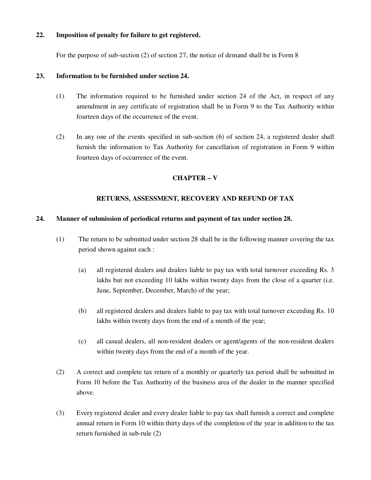#### **22. Imposition of penalty for failure to get registered.**

For the purpose of sub-section (2) of section 27, the notice of demand shall be in Form 8

#### **23. Information to be furnished under section 24.**

- (1) The information required to be furnished under section 24 of the Act, in respect of any amendment in any certificate of registration shall be in Form 9 to the Tax Authority within fourteen days of the occurrence of the event.
- (2) In any one of the events specified in sub-section (6) of section 24, a registered dealer shall furnish the information to Tax Authority for cancellation of registration in Form 9 within fourteen days of occurrence of the event.

#### **CHAPTER – V**

#### **RETURNS, ASSESSMENT, RECOVERY AND REFUND OF TAX**

#### **24. Manner of submission of periodical returns and payment of tax under section 28.**

- (1) The return to be submitted under section 28 shall be in the following manner covering the tax period shown against each :
	- (a) all registered dealers and dealers liable to pay tax with total turnover exceeding Rs. 3 lakhs but not exceeding 10 lakhs within twenty days from the close of a quarter (i.e. June, September, December, March) of the year;
	- (b) all registered dealers and dealers liable to pay tax with total turnover exceeding Rs. 10 lakhs within twenty days from the end of a month of the year;
	- (c) all casual dealers, all non-resident dealers or agent/agents of the non-resident dealers within twenty days from the end of a month of the year.
- (2) A correct and complete tax return of a monthly or quarterly tax period shall be submitted in Form 10 before the Tax Authority of the business area of the dealer in the manner specified above.
- (3) Every registered dealer and every dealer liable to pay tax shall furnish a correct and complete annual return in Form 10 within thirty days of the completion of the year in addition to the tax return furnished in sub-rule (2)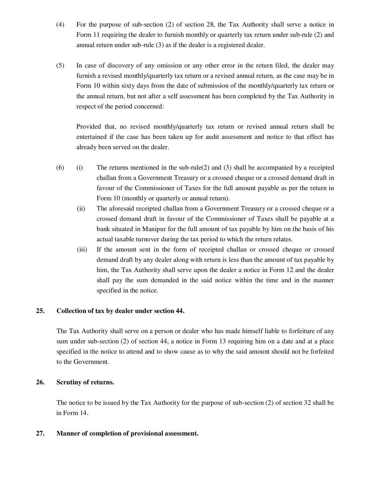- (4) For the purpose of sub-section (2) of section 28, the Tax Authority shall serve a notice in Form 11 requiring the dealer to furnish monthly or quarterly tax return under sub-rule (2) and annual return under sub-rule (3) as if the dealer is a registered dealer.
- (5) In case of discovery of any omission or any other error in the return filed, the dealer may furnish a revised monthly/quarterly tax return or a revised annual return, as the case may be in Form 10 within sixty days from the date of submission of the monthly/quarterly tax return or the annual return, but not after a self assessment has been completed by the Tax Authority in respect of the period concerned:

Provided that, no revised monthly/quarterly tax return or revised annual return shall be entertained if the case has been taken up for audit assessment and notice to that effect has already been served on the dealer.

- $(6)$  (i) The returns mentioned in the sub-rule(2) and (3) shall be accompanied by a receipted challan from a Government Treasury or a crossed cheque or a crossed demand draft in favour of the Commissioner of Taxes for the full amount payable as per the return in Form 10 (monthly or quarterly or annual return).
	- (ii) The aforesaid receipted challan from a Government Treasury or a crossed cheque or a crossed demand draft in favour of the Commissioner of Taxes shall be payable at a bank situated in Manipur for the full amount of tax payable by him on the basis of his actual taxable turnover during the tax period to which the return relates.
	- (iii) If the amount sent in the form of receipted challan or crossed cheque or crossed demand draft by any dealer along with return is less than the amount of tax payable by him, the Tax Authority shall serve upon the dealer a notice in Form 12 and the dealer shall pay the sum demanded in the said notice within the time and in the manner specified in the notice.

#### **25. Collection of tax by dealer under section 44.**

The Tax Authority shall serve on a person or dealer who has made himself liable to forfeiture of any sum under sub-section (2) of section 44, a notice in Form 13 requiring him on a date and at a place specified in the notice to attend and to show cause as to why the said amount should not be forfeited to the Government.

#### **26. Scrutiny of returns.**

The notice to be issued by the Tax Authority for the purpose of sub-section (2) of section 32 shall be in Form 14.

#### **27. Manner of completion of provisional assessment.**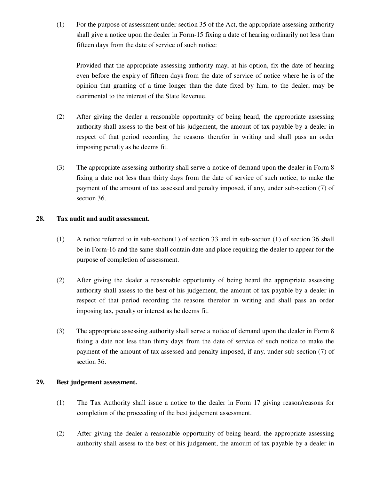(1) For the purpose of assessment under section 35 of the Act, the appropriate assessing authority shall give a notice upon the dealer in Form-15 fixing a date of hearing ordinarily not less than fifteen days from the date of service of such notice:

Provided that the appropriate assessing authority may, at his option, fix the date of hearing even before the expiry of fifteen days from the date of service of notice where he is of the opinion that granting of a time longer than the date fixed by him, to the dealer, may be detrimental to the interest of the State Revenue.

- (2) After giving the dealer a reasonable opportunity of being heard, the appropriate assessing authority shall assess to the best of his judgement, the amount of tax payable by a dealer in respect of that period recording the reasons therefor in writing and shall pass an order imposing penalty as he deems fit.
- (3) The appropriate assessing authority shall serve a notice of demand upon the dealer in Form 8 fixing a date not less than thirty days from the date of service of such notice, to make the payment of the amount of tax assessed and penalty imposed, if any, under sub-section (7) of section 36.

## **28. Tax audit and audit assessment.**

- (1) A notice referred to in sub-section(1) of section 33 and in sub-section (1) of section 36 shall be in Form-16 and the same shall contain date and place requiring the dealer to appear for the purpose of completion of assessment.
- (2) After giving the dealer a reasonable opportunity of being heard the appropriate assessing authority shall assess to the best of his judgement, the amount of tax payable by a dealer in respect of that period recording the reasons therefor in writing and shall pass an order imposing tax, penalty or interest as he deems fit.
- (3) The appropriate assessing authority shall serve a notice of demand upon the dealer in Form 8 fixing a date not less than thirty days from the date of service of such notice to make the payment of the amount of tax assessed and penalty imposed, if any, under sub-section (7) of section 36.

## **29. Best judgement assessment.**

- (1) The Tax Authority shall issue a notice to the dealer in Form 17 giving reason/reasons for completion of the proceeding of the best judgement assessment.
- (2) After giving the dealer a reasonable opportunity of being heard, the appropriate assessing authority shall assess to the best of his judgement, the amount of tax payable by a dealer in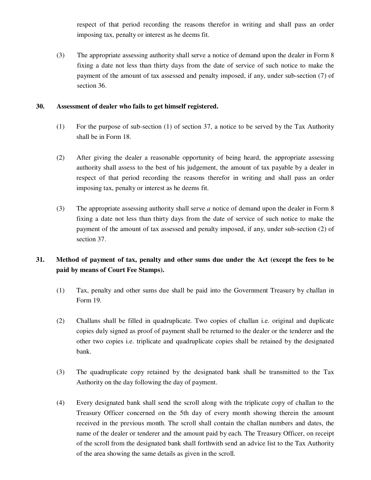respect of that period recording the reasons therefor in writing and shall pass an order imposing tax, penalty or interest as he deems fit.

(3) The appropriate assessing authority shall serve a notice of demand upon the dealer in Form 8 fixing a date not less than thirty days from the date of service of such notice to make the payment of the amount of tax assessed and penalty imposed, if any, under sub-section (7) of section 36.

#### **30. Assessment of dealer who fails to get himself registered.**

- (1) For the purpose of sub-section (1) of section 37, a notice to be served by the Tax Authority shall be in Form 18.
- (2) After giving the dealer a reasonable opportunity of being heard, the appropriate assessing authority shall assess to the best of his judgement, the amount of tax payable by a dealer in respect of that period recording the reasons therefor in writing and shall pass an order imposing tax, penalty or interest as he deems fit.
- (3) The appropriate assessing authority shall serve *a* notice of demand upon the dealer in Form 8 fixing a date not less than thirty days from the date of service of such notice to make the payment of the amount of tax assessed and penalty imposed, if any, under sub-section (2) of section 37.

# **31. Method of payment of tax, penalty and other sums due under the Act (except the fees to be paid by means of Court Fee Stamps).**

- (1) Tax, penalty and other sums due shall be paid into the Government Treasury by challan in Form 19.
- (2) Challans shall be filled in quadruplicate. Two copies of challan i.e. original and duplicate copies duly signed as proof of payment shall be returned to the dealer or the tenderer and the other two copies i.e. triplicate and quadruplicate copies shall be retained by the designated bank.
- (3) The quadruplicate copy retained by the designated bank shall be transmitted to the Tax Authority on the day following the day of payment.
- (4) Every designated bank shall send the scroll along with the triplicate copy of challan to the Treasury Officer concerned on the 5th day of every month showing therein the amount received in the previous month. The scroll shall contain the challan numbers and dates, the name of the dealer or tenderer and the amount paid by each. The Treasury Officer, on receipt of the scroll from the designated bank shall forthwith send an advice list to the Tax Authority of the area showing the same details as given in the scroll.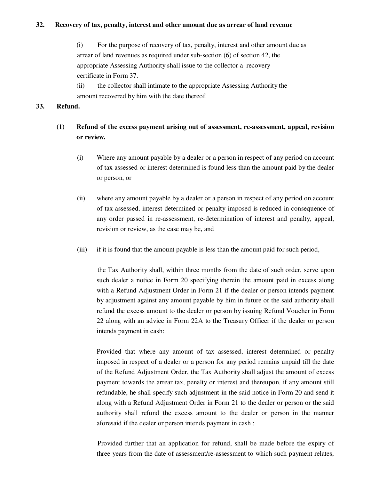#### **32. Recovery of tax, penalty, interest and other amount due as arrear of land revenue**

 **(**i) For the purpose of recovery of tax, penalty, interest and other amount due as arrear of land revenues as required under sub-section (6) of section 42, the appropriate Assessing Authority shall issue to the collector a recovery certificate in Form 37.

 (ii) the collector shall intimate to the appropriate Assessing Authority the amount recovered by him with the date thereof.

#### **33. Refund.**

# **(1) Refund of the excess payment arising out of assessment, re-assessment, appeal, revision or review.**

- (i) Where any amount payable by a dealer or a person in respect of any period on account of tax assessed or interest determined is found less than the amount paid by the dealer or person, or
- (ii) where any amount payable by a dealer or a person in respect of any period on account of tax assessed, interest determined or penalty imposed is reduced in consequence of any order passed in re-assessment, re-determination of interest and penalty, appeal, revision or review, as the case may be, and
- (iii) if it is found that the amount payable is less than the amount paid for such period,

the Tax Authority shall, within three months from the date of such order, serve upon such dealer a notice in Form 20 specifying therein the amount paid in excess along with a Refund Adjustment Order in Form 21 if the dealer or person intends payment by adjustment against any amount payable by him in future or the said authority shall refund the excess amount to the dealer or person by issuing Refund Voucher in Form 22 along with an advice in Form 22A to the Treasury Officer if the dealer or person intends payment in cash:

Provided that where any amount of tax assessed, interest determined or penalty imposed in respect of a dealer or a person for any period remains unpaid till the date of the Refund Adjustment Order, the Tax Authority shall adjust the amount of excess payment towards the arrear tax, penalty or interest and thereupon, if any amount still refundable, he shall specify such adjustment in the said notice in Form 20 and send it along with a Refund Adjustment Order in Form 21 to the dealer or person or the said authority shall refund the excess amount to the dealer or person in the manner aforesaid if the dealer or person intends payment in cash :

Provided further that an application for refund, shall be made before the expiry of three years from the date of assessment/re-assessment to which such payment relates,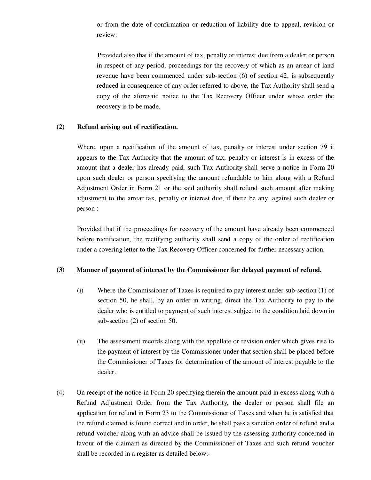or from the date of confirmation or reduction of liability due to appeal, revision or review:

Provided also that if the amount of tax, penalty or interest due from a dealer or person in respect of any period, proceedings for the recovery of which as an arrear of land revenue have been commenced under sub-section (6) of section 42, is subsequently reduced in consequence of any order referred to above, the Tax Authority shall send a copy of the aforesaid notice to the Tax Recovery Officer under whose order the recovery is to be made.

#### **(2) Refund arising out of rectification.**

Where, upon a rectification of the amount of tax, penalty or interest under section 79 it appears to the Tax Authority that the amount of tax, penalty or interest is in excess of the amount that a dealer has already paid, such Tax Authority shall serve a notice in Form 20 upon such dealer or person specifying the amount refundable to him along with a Refund Adjustment Order in Form 21 or the said authority shall refund such amount after making adjustment to the arrear tax, penalty or interest due, if there be any, against such dealer or person :

Provided that if the proceedings for recovery of the amount have already been commenced before rectification, the rectifying authority shall send a copy of the order of rectification under a covering letter to the Tax Recovery Officer concerned for further necessary action.

#### **(3) Manner of payment of interest by the Commissioner for delayed payment of refund.**

- (i) Where the Commissioner of Taxes is required to pay interest under sub-section (1) of section 50, he shall, by an order in writing, direct the Tax Authority to pay to the dealer who is entitled to payment of such interest subject to the condition laid down in sub-section (2) of section 50.
- (ii) The assessment records along with the appellate or revision order which gives rise to the payment of interest by the Commissioner under that section shall be placed before the Commissioner of Taxes for determination of the amount of interest payable to the dealer.
- (4) On receipt of the notice in Form 20 specifying therein the amount paid in excess along with a Refund Adjustment Order from the Tax Authority, the dealer or person shall file an application for refund in Form 23 to the Commissioner of Taxes and when he is satisfied that the refund claimed is found correct and in order, he shall pass a sanction order of refund and a refund voucher along with an advice shall be issued by the assessing authority concerned in favour of the claimant as directed by the Commissioner of Taxes and such refund voucher shall be recorded in a register as detailed below:-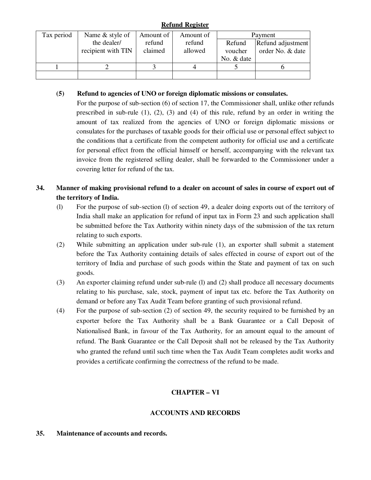## **Refund Register**

| Tax period | Name & style of    | Amount of | Amount of |            | Payment           |
|------------|--------------------|-----------|-----------|------------|-------------------|
|            | the dealer/        | refund    | refund    | Refund     | Refund adjustment |
|            | recipient with TIN | claimed   | allowed   | voucher    | order No. & date  |
|            |                    |           |           | No. & date |                   |
|            |                    |           |           |            |                   |
|            |                    |           |           |            |                   |

## **(5) Refund to agencies of UNO or foreign diplomatic missions or consulates.**

For the purpose of sub-section (6) of section 17, the Commissioner shall, unlike other refunds prescribed in sub-rule  $(1)$ ,  $(2)$ ,  $(3)$  and  $(4)$  of this rule, refund by an order in writing the amount of tax realized from the agencies of UNO or foreign diplomatic missions or consulates for the purchases of taxable goods for their official use or personal effect subject to the conditions that a certificate from the competent authority for official use and a certificate for personal effect from the official himself or herself, accompanying with the relevant tax invoice from the registered selling dealer, shall be forwarded to the Commissioner under a covering letter for refund of the tax.

# **34. Manner of making provisional refund to a dealer on account of sales in course of export out of the territory of India.**

- (l) For the purpose of sub-section (l) of section 49, a dealer doing exports out of the territory of India shall make an application for refund of input tax in Form 23 and such application shall be submitted before the Tax Authority within ninety days of the submission of the tax return relating to such exports.
- (2) While submitting an application under sub-rule (1), an exporter shall submit a statement before the Tax Authority containing details of sales effected in course of export out of the territory of India and purchase of such goods within the State and payment of tax on such goods.
- (3) An exporter claiming refund under sub-rule (l) and (2) shall produce all necessary documents relating to his purchase, sale, stock, payment of input tax etc. before the Tax Authority on demand or before any Tax Audit Team before granting of such provisional refund.
- (4) For the purpose of sub-section (2) of section 49, the security required to be furnished by an exporter before the Tax Authority shall be a Bank Guarantee or a Call Deposit of Nationalised Bank, in favour of the Tax Authority, for an amount equal to the amount of refund. The Bank Guarantee or the Call Deposit shall not be released by the Tax Authority who granted the refund until such time when the Tax Audit Team completes audit works and provides a certificate confirming the correctness of the refund to be made.

# **CHAPTER – VI**

# **ACCOUNTS AND RECORDS**

#### **35. Maintenance of accounts and records.**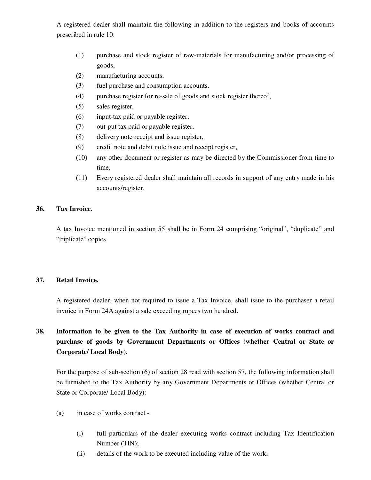A registered dealer shall maintain the following in addition to the registers and books of accounts prescribed in rule 10:

- (1) purchase and stock register of raw-materials for manufacturing and/or processing of goods,
- (2) manufacturing accounts,
- (3) fuel purchase and consumption accounts,
- (4) purchase register for re-sale of goods and stock register thereof,
- (5) sales register,
- (6) input-tax paid or payable register,
- (7) out-put tax paid or payable register,
- (8) delivery note receipt and issue register,
- (9) credit note and debit note issue and receipt register,
- (10) any other document or register as may be directed by the Commissioner from time to time,
- (11) Every registered dealer shall maintain all records in support of any entry made in his accounts/register.

## **36. Tax Invoice.**

A tax Invoice mentioned in section 55 shall be in Form 24 comprising "original", "duplicate" and "triplicate" copies.

## **37. Retail Invoice.**

A registered dealer, when not required to issue a Tax Invoice, shall issue to the purchaser a retail invoice in Form 24A against a sale exceeding rupees two hundred.

# **38. Information to be given to the Tax Authority in case of execution of works contract and purchase of goods by Government Departments or Offices (whether Central or State or Corporate/ Local Body).**

For the purpose of sub-section (6) of section 28 read with section 57, the following information shall be furnished to the Tax Authority by any Government Departments or Offices (whether Central or State or Corporate/ Local Body):

- (a) in case of works contract
	- (i) full particulars of the dealer executing works contract including Tax Identification Number (TIN);
	- (ii) details of the work to be executed including value of the work;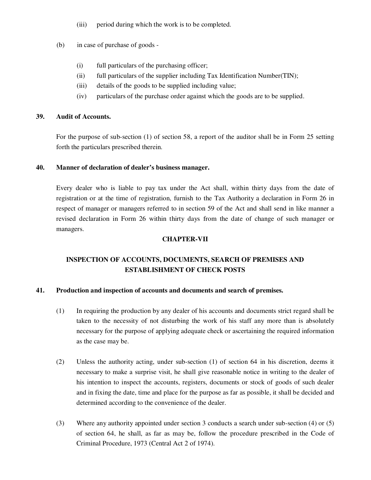- (iii) period during which the work is to be completed.
- (b) in case of purchase of goods
	- (i) full particulars of the purchasing officer;
	- (ii) full particulars of the supplier including Tax Identification Number(TIN);
	- (iii) details of the goods to be supplied including value;
	- (iv) particulars of the purchase order against which the goods are to be supplied.

#### **39. Audit of Accounts.**

For the purpose of sub-section (1) of section 58, a report of the auditor shall be in Form 25 setting forth the particulars prescribed therein.

#### **40. Manner of declaration of dealer's business manager.**

Every dealer who is liable to pay tax under the Act shall, within thirty days from the date of registration or at the time of registration, furnish to the Tax Authority a declaration in Form 26 in respect of manager or managers referred to in section 59 of the Act and shall send in like manner a revised declaration in Form 26 within thirty days from the date of change of such manager or managers.

#### **CHAPTER-VII**

# **INSPECTION OF ACCOUNTS, DOCUMENTS, SEARCH OF PREMISES AND ESTABLISHMENT OF CHECK POSTS**

## **41. Production and inspection of accounts and documents and search of premises.**

- (1) In requiring the production by any dealer of his accounts and documents strict regard shall be taken to the necessity of not disturbing the work of his staff any more than is absolutely necessary for the purpose of applying adequate check or ascertaining the required information as the case may be.
- (2) Unless the authority acting, under sub-section (1) of section 64 in his discretion, deems it necessary to make a surprise visit, he shall give reasonable notice in writing to the dealer of his intention to inspect the accounts, registers, documents or stock of goods of such dealer and in fixing the date, time and place for the purpose as far as possible, it shall be decided and determined according to the convenience of the dealer.
- (3) Where any authority appointed under section 3 conducts a search under sub-section (4) or (5) of section 64, he shall, as far as may be, follow the procedure prescribed in the Code of Criminal Procedure, 1973 (Central Act 2 of 1974).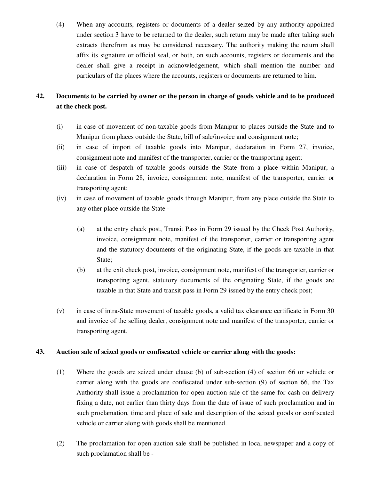(4) When any accounts, registers or documents of a dealer seized by any authority appointed under section 3 have to be returned to the dealer, such return may be made after taking such extracts therefrom as may be considered necessary. The authority making the return shall affix its signature or official seal, or both, on such accounts, registers or documents and the dealer shall give a receipt in acknowledgement, which shall mention the number and particulars of the places where the accounts, registers or documents are returned to him.

# **42. Documents to be carried by owner or the person in charge of goods vehicle and to be produced at the check post.**

- (i) in case of movement of non-taxable goods from Manipur to places outside the State and to Manipur from places outside the State, bill of sale/invoice and consignment note;
- (ii) in case of import of taxable goods into Manipur, declaration in Form 27, invoice, consignment note and manifest of the transporter, carrier or the transporting agent;
- (iii) in case of despatch of taxable goods outside the State from a place within Manipur, a declaration in Form 28, invoice, consignment note, manifest of the transporter, carrier or transporting agent;
- (iv) in case of movement of taxable goods through Manipur, from any place outside the State to any other place outside the State -
	- (a) at the entry check post, Transit Pass in Form 29 issued by the Check Post Authority, invoice, consignment note, manifest of the transporter, carrier or transporting agent and the statutory documents of the originating State, if the goods are taxable in that State;
	- (b) at the exit check post, invoice, consignment note, manifest of the transporter, carrier or transporting agent, statutory documents of the originating State, if the goods are taxable in that State and transit pass in Form 29 issued by the entry check post;
- (v) in case of intra-State movement of taxable goods, a valid tax clearance certificate in Form 30 and invoice of the selling dealer, consignment note and manifest of the transporter, carrier or transporting agent.

## **43. Auction sale of seized goods or confiscated vehicle or carrier along with the goods:**

- (1) Where the goods are seized under clause (b) of sub-section (4) of section 66 or vehicle or carrier along with the goods are confiscated under sub-section (9) of section 66, the Tax Authority shall issue a proclamation for open auction sale of the same for cash on delivery fixing a date, not earlier than thirty days from the date of issue of such proclamation and in such proclamation, time and place of sale and description of the seized goods or confiscated vehicle or carrier along with goods shall be mentioned.
- (2) The proclamation for open auction sale shall be published in local newspaper and a copy of such proclamation shall be -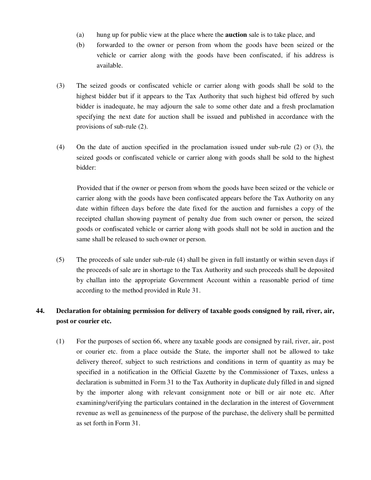- (a) hung up for public view at the place where the **auction** sale is to take place, and
- (b) forwarded to the owner or person from whom the goods have been seized or the vehicle or carrier along with the goods have been confiscated, if his address is available.
- (3) The seized goods or confiscated vehicle or carrier along with goods shall be sold to the highest bidder but if it appears to the Tax Authority that such highest bid offered by such bidder is inadequate, he may adjourn the sale to some other date and a fresh proclamation specifying the next date for auction shall be issued and published in accordance with the provisions of sub-rule (2).
- (4) On the date of auction specified in the proclamation issued under sub-rule (2) or (3), the seized goods or confiscated vehicle or carrier along with goods shall be sold to the highest bidder:

Provided that if the owner or person from whom the goods have been seized or the vehicle or carrier along with the goods have been confiscated appears before the Tax Authority on any date within fifteen days before the date fixed for the auction and furnishes a copy of the receipted challan showing payment of penalty due from such owner or person, the seized goods or confiscated vehicle or carrier along with goods shall not be sold in auction and the same shall be released to such owner or person.

(5) The proceeds of sale under sub-rule (4) shall be given in full instantly or within seven days if the proceeds of sale are in shortage to the Tax Authority and such proceeds shall be deposited by challan into the appropriate Government Account within a reasonable period of time according to the method provided in Rule 31.

# **44. Declaration for obtaining permission for delivery of taxable goods consigned by rail, river, air, post or courier etc.**

(1) For the purposes of section 66, where any taxable goods are consigned by rail, river, air, post or courier etc. from a place outside the State, the importer shall not be allowed to take delivery thereof, subject to such restrictions and conditions in term of quantity as may be specified in a notification in the Official Gazette by the Commissioner of Taxes, unless a declaration is submitted in Form 31 to the Tax Authority in duplicate duly filled in and signed by the importer along with relevant consignment note or bill or air note etc. After examining/verifying the particulars contained in the declaration in the interest of Government revenue as well as genuineness of the purpose of the purchase, the delivery shall be permitted as set forth in Form 31.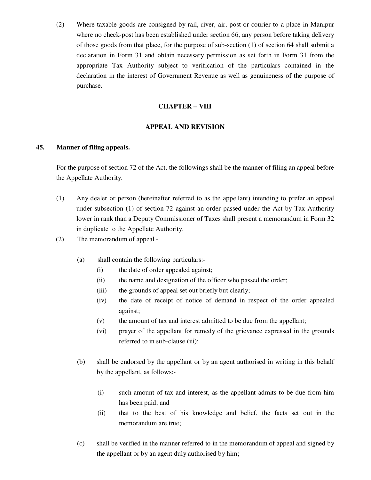(2) Where taxable goods are consigned by rail, river, air, post or courier to a place in Manipur where no check-post has been established under section 66, any person before taking delivery of those goods from that place, for the purpose of sub-section (1) of section 64 shall submit a declaration in Form 31 and obtain necessary permission as set forth in Form 31 from the appropriate Tax Authority subject to verification of the particulars contained in the declaration in the interest of Government Revenue as well as genuineness of the purpose of purchase.

## **CHAPTER – VIII**

## **APPEAL AND REVISION**

#### **45. Manner of filing appeals.**

For the purpose of section 72 of the Act, the followings shall be the manner of filing an appeal before the Appellate Authority.

- (1) Any dealer or person (hereinafter referred to as the appellant) intending to prefer an appeal under subsection (1) of section 72 against an order passed under the Act by Tax Authority lower in rank than a Deputy Commissioner of Taxes shall present a memorandum in Form 32 in duplicate to the Appellate Authority.
- (2) The memorandum of appeal
	- (a) shall contain the following particulars:-
		- (i) the date of order appealed against;
		- (ii) the name and designation of the officer who passed the order;
		- (iii) the grounds of appeal set out briefly but clearly;
		- (iv) the date of receipt of notice of demand in respect of the order appealed against;
		- (v) the amount of tax and interest admitted to be due from the appellant;
		- (vi) prayer of the appellant for remedy of the grievance expressed in the grounds referred to in sub-clause (iii);
	- (b) shall be endorsed by the appellant or by an agent authorised in writing in this behalf by the appellant, as follows:-
		- (i) such amount of tax and interest, as the appellant admits to be due from him has been paid; and
		- (ii) that to the best of his knowledge and belief, the facts set out in the memorandum are true;
	- (c) shall be verified in the manner referred to in the memorandum of appeal and signed by the appellant or by an agent duly authorised by him;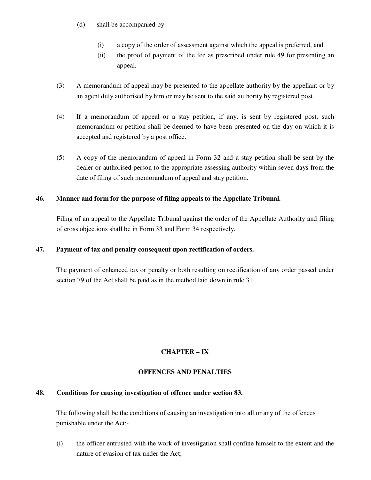- (d) shall be accompanied by-
	- (i) a copy of the order of assessment against which the appeal is preferred, and
	- (ii) the proof of payment of the fee as prescribed under rule 49 for presenting an appeal.
- (3) A memorandum of appeal may be presented to the appellate authority by the appellant or by an agent duly authorised by him or may be sent to the said authority by registered post.
- (4) If a memorandum of appeal or a stay petition, if any, is sent by registered post, such memorandum or petition shall be deemed to have been presented on the day on which it is accepted and registered by a post office.
- (5) A copy of the memorandum of appeal in Form 32 and a stay petition shall be sent by the dealer or authorised person to the appropriate assessing authority within seven days from the date of filing of such memorandum of appeal and stay petition.

## **46. Manner and form for the purpose of filing appeals to the Appellate Tribunal.**

Filing of an appeal to the Appellate Tribunal against the order of the Appellate Authority and filing of cross objections shall be in Form 33 and Form 34 respectively.

## **47. Payment of tax and penalty consequent upon rectification of orders.**

The payment of enhanced tax or penalty or both resulting on rectification of any order passed under section 79 of the Act shall be paid as in the method laid down in rule 31.

# **CHAPTER – IX**

## **OFFENCES AND PENALTIES**

## **48. Conditions for causing investigation of offence under section 83.**

The following shall be the conditions of causing an investigation into all or any of the offences punishable under the Act:-

(i) the officer entrusted with the work of investigation shall confine himself to the extent and the nature of evasion of tax under the Act;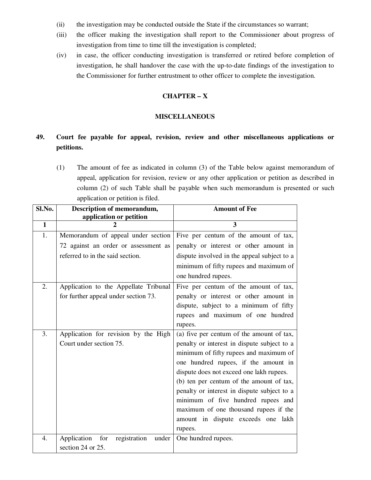- (ii) the investigation may be conducted outside the State if the circumstances so warrant;
- (iii) the officer making the investigation shall report to the Commissioner about progress of investigation from time to time till the investigation is completed;
- (iv) in case, the officer conducting investigation is transferred or retired before completion of investigation, he shall handover the case with the up-to-date findings of the investigation to the Commissioner for further entrustment to other officer to complete the investigation.

## **CHAPTER – X**

#### **MISCELLANEOUS**

# **49. Court fee payable for appeal, revision, review and other miscellaneous applications or petitions.**

(1) The amount of fee as indicated in column (3) of the Table below against memorandum of appeal, application for revision, review or any other application or petition as described in column (2) of such Table shall be payable when such memorandum is presented or such application or petition is filed.

| Sl.No.           | Description of memorandum,                  | <b>Amount of Fee</b>                        |
|------------------|---------------------------------------------|---------------------------------------------|
|                  | application or petition                     |                                             |
| $\mathbf{1}$     | 2                                           | 3                                           |
| 1.               | Memorandum of appeal under section          | Five per centum of the amount of tax,       |
|                  | 72 against an order or assessment as        | penalty or interest or other amount in      |
|                  | referred to in the said section.            | dispute involved in the appeal subject to a |
|                  |                                             | minimum of fifty rupees and maximum of      |
|                  |                                             | one hundred rupees.                         |
| 2.               | Application to the Appellate Tribunal       | Five per centum of the amount of tax,       |
|                  | for further appeal under section 73.        | penalty or interest or other amount in      |
|                  |                                             | dispute, subject to a minimum of fifty      |
|                  |                                             | rupees and maximum of one hundred           |
|                  |                                             | rupees.                                     |
| 3.               | Application for revision by the High        | (a) five per centum of the amount of tax,   |
|                  | Court under section 75.                     | penalty or interest in dispute subject to a |
|                  |                                             | minimum of fifty rupees and maximum of      |
|                  |                                             | one hundred rupees, if the amount in        |
|                  |                                             | dispute does not exceed one lakh rupees.    |
|                  |                                             | (b) ten per centum of the amount of tax,    |
|                  |                                             | penalty or interest in dispute subject to a |
|                  |                                             | minimum of five hundred rupees and          |
|                  |                                             | maximum of one thousand rupees if the       |
|                  |                                             | amount in dispute exceeds one lakh          |
|                  |                                             | rupees.                                     |
| $\overline{4}$ . | Application<br>for<br>registration<br>under | One hundred rupees.                         |
|                  | section 24 or 25.                           |                                             |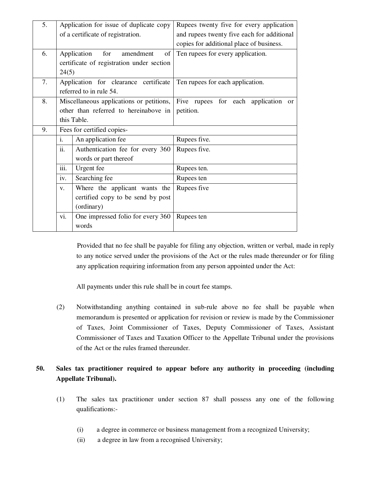| 5. |                                   | Application for issue of duplicate copy   | Rupees twenty five for every application                                                   |
|----|-----------------------------------|-------------------------------------------|--------------------------------------------------------------------------------------------|
|    |                                   | of a certificate of registration.         | and rupees twenty five each for additional                                                 |
|    |                                   |                                           | copies for additional place of business.                                                   |
| 6. |                                   | for<br>Application<br>amendment<br>of     | Ten rupees for every application.                                                          |
|    |                                   | certificate of registration under section |                                                                                            |
|    | 24(5)                             |                                           |                                                                                            |
| 7. |                                   | Application for clearance certificate     | Ten rupees for each application.                                                           |
|    |                                   | referred to in rule 54.                   |                                                                                            |
| 8. |                                   |                                           | Miscellaneous applications or petitions, Five rupees for each application<br><sub>or</sub> |
|    |                                   | other than referred to hereinabove in     | petition.                                                                                  |
|    |                                   | this Table.                               |                                                                                            |
| 9. | Fees for certified copies-        |                                           |                                                                                            |
|    | i.                                | An application fee                        | Rupees five.                                                                               |
|    | ii.                               | Authentication fee for every 360          | Rupees five.                                                                               |
|    | words or part thereof             |                                           |                                                                                            |
|    | $\overline{\text{iii}}$ .         | Urgent fee                                | Rupees ten.                                                                                |
|    | iv.                               | Searching fee                             | Rupees ten                                                                                 |
|    | V.                                | Where the applicant wants the             | Rupees five                                                                                |
|    | certified copy to be send by post |                                           |                                                                                            |
|    |                                   | (ordinary)                                |                                                                                            |
|    | vi.                               | One impressed folio for every 360         | Rupees ten                                                                                 |
|    |                                   | words                                     |                                                                                            |

 Provided that no fee shall be payable for filing any objection, written or verbal, made in reply to any notice served under the provisions of the Act or the rules made thereunder or for filing any application requiring information from any person appointed under the Act:

All payments under this rule shall be in court fee stamps.

(2) Notwithstanding anything contained in sub-rule above no fee shall be payable when memorandum is presented or application for revision or review is made by the Commissioner of Taxes, Joint Commissioner of Taxes, Deputy Commissioner of Taxes, Assistant Commissioner of Taxes and Taxation Officer to the Appellate Tribunal under the provisions of the Act or the rules framed thereunder.

# **50. Sales tax practitioner required to appear before any authority in proceeding (including Appellate Tribunal).**

- (1) The sales tax practitioner under section 87 shall possess any one of the following qualifications:-
	- (i) a degree in commerce or business management from a recognized University;
	- (ii) a degree in law from a recognised University;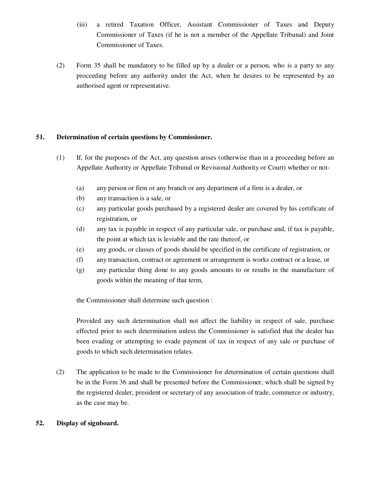- (iii) a retired Taxation Officer, Assistant Commissioner of Taxes and Deputy Commissioner of Taxes (if he is not a member of the Appellate Tribunal) and Joint Commissioner of Taxes.
- (2) Form 35 shall be mandatory to be filled up by a dealer or a person, who is a party to any proceeding before any authority under the Act, when he desires to be represented by an authorised agent or representative.

## **51. Determination of certain questions by Commissioner.**

- (1) If, for the purposes of the Act, any question arises (otherwise than in a proceeding before an Appellate Authority or Appellate Tribunal or Revisional Authority or Court) whether or not-
	- (a) any person or firm or any branch or any department of a firm is a dealer, or
	- (b) any transaction is a sale, or
	- (c) any particular goods purchased by a registered dealer are covered by his certificate of registration, or
	- (d) any tax is payable in respect of any particular sale, or purchase and, if tax is payable, the point at which tax is leviable and the rate thereof, or
	- (e) any goods, or classes of goods should be specified in the certificate of registration, or
	- (f) any transaction, contract or agreement or arrangement is works contract or a lease, or
	- (g) any particular thing done to any goods amounts to or results in the manufacture of goods within the meaning of that term,

the Commissioner shall determine such question :

Provided any such determination shall not affect the liability in respect of sale, purchase effected prior to such determination unless the Commissioner is satisfied that the dealer has been evading or attempting to evade payment of tax in respect of any sale or purchase of goods to which such determination relates.

(2) The application to be made to the Commissioner for determination of certain questions shall be in the Form 36 and shall be presented before the Commissioner, which shall be signed by the registered dealer, president or secretary of any association of trade, commerce or industry, as the case may be.

# **52. Display of signboard.**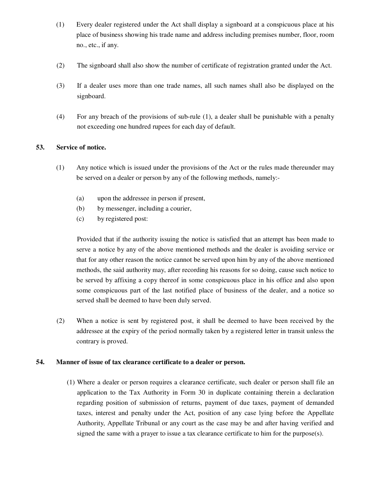- (1) Every dealer registered under the Act shall display a signboard at a conspicuous place at his place of business showing his trade name and address including premises number, floor, room no., etc., if any.
- (2) The signboard shall also show the number of certificate of registration granted under the Act.
- (3) If a dealer uses more than one trade names, all such names shall also be displayed on the signboard.
- (4) For any breach of the provisions of sub-rule (1), a dealer shall be punishable with a penalty not exceeding one hundred rupees for each day of default.

#### **53. Service of notice.**

- (1) Any notice which is issued under the provisions of the Act or the rules made thereunder may be served on a dealer or person by any of the following methods, namely:-
	- (a) upon the addressee in person if present,
	- (b) by messenger, including a courier,
	- (c) by registered post:

Provided that if the authority issuing the notice is satisfied that an attempt has been made to serve a notice by any of the above mentioned methods and the dealer is avoiding service or that for any other reason the notice cannot be served upon him by any of the above mentioned methods, the said authority may, after recording his reasons for so doing, cause such notice to be served by affixing a copy thereof in some conspicuous place in his office and also upon some conspicuous part of the last notified place of business of the dealer, and a notice so served shall be deemed to have been duly served.

(2) When a notice is sent by registered post, it shall be deemed to have been received by the addressee at the expiry of the period normally taken by a registered letter in transit unless the contrary is proved.

#### **54. Manner of issue of tax clearance certificate to a dealer or person.**

(1) Where a dealer or person requires a clearance certificate, such dealer or person shall file an application to the Tax Authority in Form 30 in duplicate containing therein a declaration regarding position of submission of returns, payment of due taxes, payment of demanded taxes, interest and penalty under the Act, position of any case lying before the Appellate Authority, Appellate Tribunal or any court as the case may be and after having verified and signed the same with a prayer to issue a tax clearance certificate to him for the purpose(s).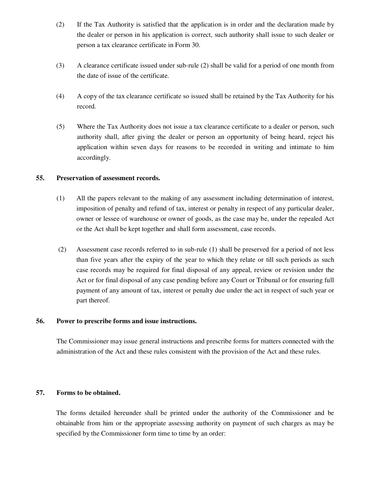- (2) If the Tax Authority is satisfied that the application is in order and the declaration made by the dealer or person in his application is correct, such authority shall issue to such dealer or person a tax clearance certificate in Form 30.
- (3) A clearance certificate issued under sub-rule (2) shall be valid for a period of one month from the date of issue of the certificate.
- (4) A copy of the tax clearance certificate so issued shall be retained by the Tax Authority for his record.
- (5) Where the Tax Authority does not issue a tax clearance certificate to a dealer or person, such authority shall, after giving the dealer or person an opportunity of being heard, reject his application within seven days for reasons to be recorded in writing and intimate to him accordingly.

#### **55. Preservation of assessment records.**

- (1) All the papers relevant to the making of any assessment including determination of interest, imposition of penalty and refund of tax, interest or penalty in respect of any particular dealer, owner or lessee of warehouse or owner of goods, as the case may be, under the repealed Act or the Act shall be kept together and shall form assessment, case records.
- (2) Assessment case records referred to in sub-rule (1) shall be preserved for a period of not less than five years after the expiry of the year to which they relate or till such periods as such case records may be required for final disposal of any appeal, review or revision under the Act or for final disposal of any case pending before any Court or Tribunal or for ensuring full payment of any amount of tax, interest or penalty due under the act in respect of such year or part thereof.

#### **56. Power to prescribe forms and issue instructions.**

The Commissioner may issue general instructions and prescribe forms for matters connected with the administration of the Act and these rules consistent with the provision of the Act and these rules.

## **57. Forms to be obtained.**

The forms detailed hereunder shall be printed under the authority of the Commissioner and be obtainable from him or the appropriate assessing authority on payment of such charges as may be specified by the Commissioner form time to time by an order: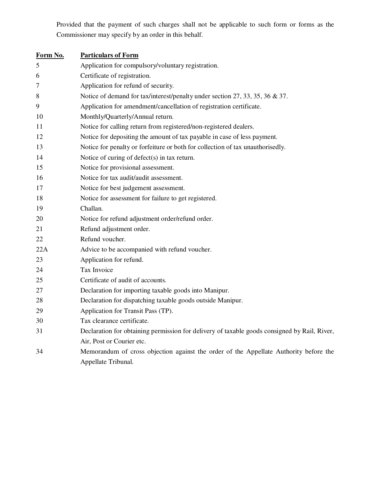Provided that the payment of such charges shall not be applicable to such form or forms as the Commissioner may specify by an order in this behalf.

| Form No. | <b>Particulars of Form</b>                                                                   |
|----------|----------------------------------------------------------------------------------------------|
| 5        | Application for compulsory/voluntary registration.                                           |
| 6        | Certificate of registration.                                                                 |
| 7        | Application for refund of security.                                                          |
| 8        | Notice of demand for tax/interest/penalty under section 27, 33, 35, 36 & 37.                 |
| 9        | Application for amendment/cancellation of registration certificate.                          |
| 10       | Monthly/Quarterly/Annual return.                                                             |
| 11       | Notice for calling return from registered/non-registered dealers.                            |
| 12       | Notice for depositing the amount of tax payable in case of less payment.                     |
| 13       | Notice for penalty or forfeiture or both for collection of tax unauthorisedly.               |
| 14       | Notice of curing of defect(s) in tax return.                                                 |
| 15       | Notice for provisional assessment.                                                           |
| 16       | Notice for tax audit/audit assessment.                                                       |
| 17       | Notice for best judgement assessment.                                                        |
| 18       | Notice for assessment for failure to get registered.                                         |
| 19       | Challan.                                                                                     |
| 20       | Notice for refund adjustment order/refund order.                                             |
| 21       | Refund adjustment order.                                                                     |
| 22       | Refund voucher.                                                                              |
| 22A      | Advice to be accompanied with refund voucher.                                                |
| 23       | Application for refund.                                                                      |
| 24       | Tax Invoice                                                                                  |
| 25       | Certificate of audit of accounts.                                                            |
| 27       | Declaration for importing taxable goods into Manipur.                                        |
| 28       | Declaration for dispatching taxable goods outside Manipur.                                   |
| 29       | Application for Transit Pass (TP).                                                           |
| 30       | Tax clearance certificate.                                                                   |
| 31       | Declaration for obtaining permission for delivery of taxable goods consigned by Rail, River, |
|          | Air, Post or Courier etc.                                                                    |
| 34       | Memorandum of cross objection against the order of the Appellate Authority before the        |
|          | Appellate Tribunal.                                                                          |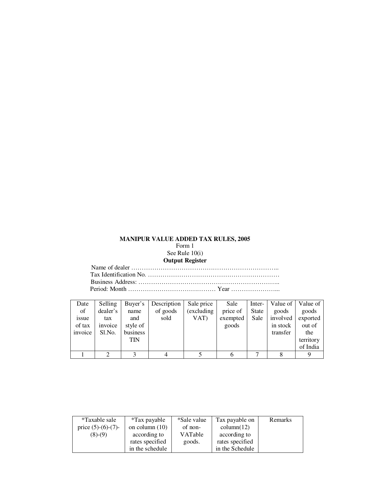# **MANIPUR VALUE ADDED TAX RULES, 2005**

Form 1 See Rule 10(i)

#### **Output Register**

Name of dealer …………………………………………………………….. Tax Identification No. ……………………………………………………… Business Address: ………………………………………………………….. Period: Month …………………………………… Year …………………...

| Date    | Selling  | Buver's    | Description | Sale price  | Sale     | Inter- | Value of 1 | Value of  |
|---------|----------|------------|-------------|-------------|----------|--------|------------|-----------|
| of      | dealer's | name       | of goods    | (excluding) | price of | State  | goods      | goods     |
| 1SSUe   | tax      | and        | sold        | VAT)        | exempted | Sale   | involved   | exported  |
| of tax  | invoice  | style of   |             |             | goods    |        | in stock   | out of    |
| invoice | Sl.No.   | business   |             |             |          |        | transfer   | the       |
|         |          | <b>TIN</b> |             |             |          |        |            | territory |
|         |          |            |             |             |          |        |            | of India  |
|         |          |            |             |             |          |        |            |           |

| *Taxable sale         | *Tax payable     | *Sale value    | Tax payable on  | Remarks |
|-----------------------|------------------|----------------|-----------------|---------|
| price $(5)-(6)-(7)$ - | on column $(10)$ | of non-        | column(12)      |         |
| $(8)-(9)$             | according to     | <b>VATable</b> | according to    |         |
|                       | rates specified  | goods.         | rates specified |         |
|                       | in the schedule  |                | in the Schedule |         |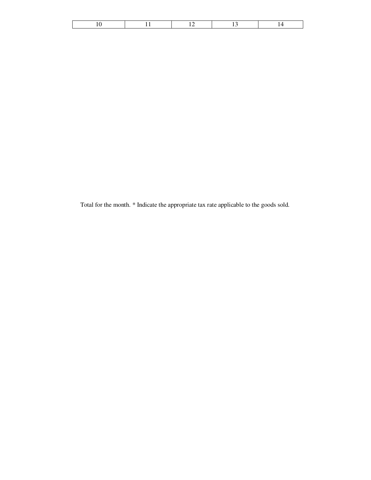Total for the month. \* Indicate the appropriate tax rate applicable to the goods sold.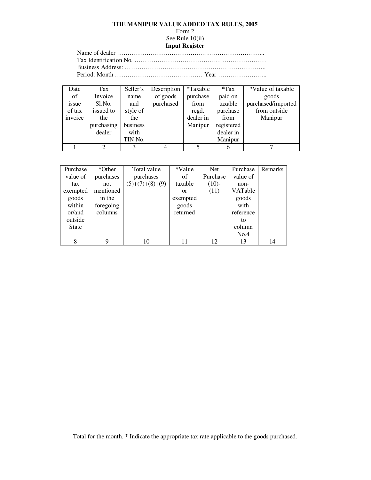#### **THE MANIPUR VALUE ADDED TAX RULES, 2005**

# Form 2

#### See Rule 10(ii) **Input Register**

Name of dealer …………………………………………………………….. Tax Identification No. ……………………………………………………… Business Address: ………………………………………………………….. Period: Month …………………………………… Year …………………...

Date of issue of tax invoice Tax Invoice Sl.No. issued to the purchasing dealer Seller's name and style of the business with TIN No. Description of goods purchased \*Taxable purchase from regd. dealer in Manipur \*Tax paid on taxable purchase from registered dealer in Manipur \*Value of taxable goods purchased/imported from outside Manipur  $1 \quad 2 \quad 3 \quad 4 \quad 5 \quad 6 \quad 7$ 

| Purchase     | *Other    | Total value       | *Value        | <b>Net</b> | Purchase  | Remarks |
|--------------|-----------|-------------------|---------------|------------|-----------|---------|
| value of     | purchases | purchases         | of            | Purchase   | value of  |         |
| tax          | not       | $(5)+(7)+(8)+(9)$ | taxable       | $(10)-$    | non-      |         |
| exempted     | mentioned |                   | <sub>or</sub> | (11)       | VATable   |         |
| goods        | in the    |                   | exempted      |            | goods     |         |
| within       | foregoing |                   | goods         |            | with      |         |
| or/and       | columns   |                   | returned      |            | reference |         |
| outside      |           |                   |               |            | to        |         |
| <b>State</b> |           |                   |               |            | column    |         |
|              |           |                   |               |            | No.4      |         |
| 8            | q         | 10                | 11            | 12         | 13        | 14      |

Total for the month. \* Indicate the appropriate tax rate applicable to the goods purchased.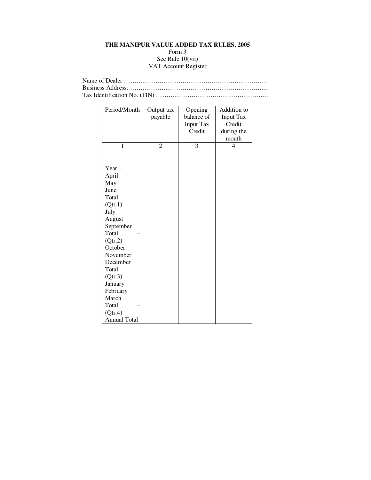#### **THE MANIPUR VALUE ADDED TAX RULES, 2005**  Form 3 See Rule 10(vii) VAT Account Register

| Period/Month        | Output tax | Opening          | Addition to      |
|---------------------|------------|------------------|------------------|
|                     | payable    | balance of       | <b>Input Tax</b> |
|                     |            | <b>Input Tax</b> | Credit           |
|                     |            | Credit           | during the       |
|                     |            |                  | month            |
| 1                   | 2          | 3                | 4                |
|                     |            |                  |                  |
|                     |            |                  |                  |
| Year $-$            |            |                  |                  |
| April               |            |                  |                  |
| May                 |            |                  |                  |
| June                |            |                  |                  |
| Total               |            |                  |                  |
| (Qtr.1)             |            |                  |                  |
| July                |            |                  |                  |
| August              |            |                  |                  |
| September           |            |                  |                  |
| Total               |            |                  |                  |
| (Qtr.2)             |            |                  |                  |
| October             |            |                  |                  |
| November            |            |                  |                  |
| December            |            |                  |                  |
| Total               |            |                  |                  |
| (Qtr.3)             |            |                  |                  |
| January             |            |                  |                  |
| February            |            |                  |                  |
| March               |            |                  |                  |
| Total               |            |                  |                  |
| (Qtr.4)             |            |                  |                  |
| <b>Annual Total</b> |            |                  |                  |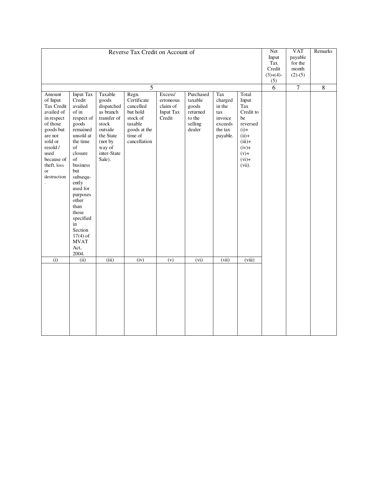|                                                                                                                                                                                          |                                                                                                                                                                                                                                                                                                         | Net<br>Input<br>Tax<br>Credit<br>$(3)+(4)-$<br>(5)                                                                                                | <b>VAT</b><br>payable<br>for the<br>month<br>$(2)-(5)$                                                          | Remarks                                                 |                                                                                      |                                                                              |                                                                                                                                        |  |  |  |
|------------------------------------------------------------------------------------------------------------------------------------------------------------------------------------------|---------------------------------------------------------------------------------------------------------------------------------------------------------------------------------------------------------------------------------------------------------------------------------------------------------|---------------------------------------------------------------------------------------------------------------------------------------------------|-----------------------------------------------------------------------------------------------------------------|---------------------------------------------------------|--------------------------------------------------------------------------------------|------------------------------------------------------------------------------|----------------------------------------------------------------------------------------------------------------------------------------|--|--|--|
|                                                                                                                                                                                          |                                                                                                                                                                                                                                                                                                         | 6                                                                                                                                                 | $\overline{7}$                                                                                                  | $\overline{8}$                                          |                                                                                      |                                                                              |                                                                                                                                        |  |  |  |
| Amount<br>of Input<br>Tax Credit<br>availed of<br>in respect<br>of those<br>goods but<br>are not<br>sold or<br>resold /<br>used<br>because of<br>theft, loss<br><b>or</b><br>destruction | <b>Input Tax</b><br>Credit<br>availed<br>of in<br>respect of<br>goods<br>remained<br>unsold at<br>the time<br>of<br>closure<br>of<br>business<br>but<br>subsequ-<br>ently<br>used for<br>purposes<br>other<br>than<br>those<br>specified<br>in<br>Section<br>$17(4)$ of<br><b>MVAT</b><br>Act,<br>2004. | Taxable<br>goods<br>dispatched<br>as branch<br>transfer of<br>${\sf stock}$<br>outside<br>the State<br>(not by<br>way of<br>inter-State<br>Sale). | Regn.<br>Certificate<br>cancelled<br>but hold<br>stock of<br>taxable<br>goods at the<br>time of<br>cancellation | Excess/<br>erroneous<br>claim of<br>Input Tax<br>Credit | Purchased<br>taxable<br>goods<br>$_\mathrm{returned}$<br>to the<br>selling<br>dealer | Tax<br>charged<br>in the<br>tax<br>invoice<br>exceeds<br>the tax<br>payable. | Total<br>Input<br>Tax<br>Credit to<br>be<br>reversed<br>$(i)$ +<br>$(ii)+$<br>$(iii)+$<br>$(iv) +$<br>$(v)$ +<br>$(vi)$ +<br>$(vii)$ . |  |  |  |
| (i)                                                                                                                                                                                      | (iii)                                                                                                                                                                                                                                                                                                   | (iii)                                                                                                                                             | (iv)                                                                                                            | (v)                                                     | $\overline{(vi)}$                                                                    | (vii)                                                                        | (viii)                                                                                                                                 |  |  |  |
|                                                                                                                                                                                          |                                                                                                                                                                                                                                                                                                         |                                                                                                                                                   |                                                                                                                 |                                                         |                                                                                      |                                                                              |                                                                                                                                        |  |  |  |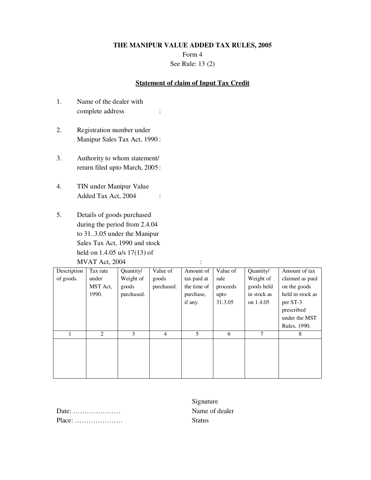Form 4 See Rule: 13 (2)

### **Statement of claim of Input Tax Credit**

- 1. Name of the dealer with complete address :
- 2. Registration number under Manipur Sales Tax Act, 1990 :
- 3. Authority to whom statement/ return filed upto March, 2005 :
- 4. TIN under Manipur Value Added Tax Act, 2004 :
- 5. Details of goods purchased during the period from 2.4.04 to 31..3.05 under the Manipur Sales Tax Act, 1990 and stock held on 1.4.05 u/s 17(13) of MVAT Act, 2004 :

| Description | Tax rate | Quantity/  | Value of       | Amount of   | Value of | Quantity/   | Amount of tax    |
|-------------|----------|------------|----------------|-------------|----------|-------------|------------------|
| of goods.   | under    | Weight of  | goods          | tax paid at | sale     | Weight of   | claimed as paid  |
|             | MST Act, | goods      | purchased.     | the time of | proceeds | goods held  | on the goods     |
|             | 1990.    | purchased. |                | purchase,   | upto     | in stock as | held in stock as |
|             |          |            |                | if any.     | 31.3.05  | on 1.4.05   | per ST-3         |
|             |          |            |                |             |          |             | prescribed       |
|             |          |            |                |             |          |             | under the MST    |
|             |          |            |                |             |          |             | Rules, 1990.     |
|             | 2        | 3          | $\overline{4}$ | 5           | 6        | 7           | 8                |
|             |          |            |                |             |          |             |                  |
|             |          |            |                |             |          |             |                  |
|             |          |            |                |             |          |             |                  |
|             |          |            |                |             |          |             |                  |
|             |          |            |                |             |          |             |                  |

| Date: $\dots\dots\dots\dots\dots\dots\dots\dots$   |  |  |  |  |  |  |  |  |  |  |  |
|----------------------------------------------------|--|--|--|--|--|--|--|--|--|--|--|
| $Place: \ldots \ldots \ldots \ldots \ldots \ldots$ |  |  |  |  |  |  |  |  |  |  |  |

Signature Name of dealer Status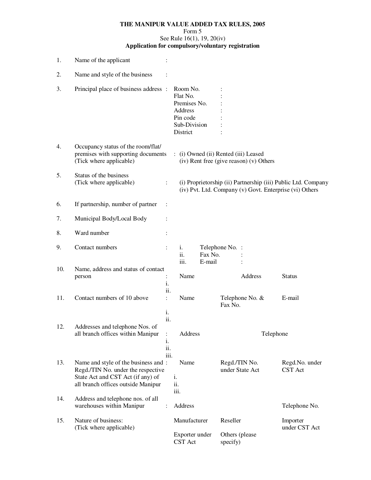### **THE MANIPUR VALUE ADDED TAX RULES, 2005**  Form 5 See Rule 16(1), 19, 20(iv) **Application for compulsory/voluntary registration**

| 1.  | Name of the applicant                                                                                                                                 |                             |                                                                                         |                   |                                        |                                         |                                                                                                                          |
|-----|-------------------------------------------------------------------------------------------------------------------------------------------------------|-----------------------------|-----------------------------------------------------------------------------------------|-------------------|----------------------------------------|-----------------------------------------|--------------------------------------------------------------------------------------------------------------------------|
| 2.  | Name and style of the business                                                                                                                        |                             |                                                                                         |                   |                                        |                                         |                                                                                                                          |
| 3.  | Principal place of business address :                                                                                                                 |                             | Room No.<br>Flat No.<br>Premises No.<br>Address<br>Pin code<br>Sub-Division<br>District |                   |                                        |                                         |                                                                                                                          |
| 4.  | Occupancy status of the room/flat/<br>premises with supporting documents<br>(Tick where applicable)                                                   |                             | : (i) Owned (ii) Rented (iii) Leased                                                    |                   |                                        | (iv) Rent free (give reason) (v) Others |                                                                                                                          |
| 5.  | Status of the business<br>(Tick where applicable)                                                                                                     | $\ddot{\cdot}$              |                                                                                         |                   |                                        |                                         | (i) Proprietorship (ii) Partnership (iii) Public Ltd. Company<br>(iv) Pvt. Ltd. Company (v) Govt. Enterprise (vi) Others |
| 6.  | If partnership, number of partner                                                                                                                     | $\ddot{\cdot}$              |                                                                                         |                   |                                        |                                         |                                                                                                                          |
| 7.  | Municipal Body/Local Body                                                                                                                             | $\ddot{\cdot}$              |                                                                                         |                   |                                        |                                         |                                                                                                                          |
| 8.  | Ward number                                                                                                                                           | $\ddot{\cdot}$              |                                                                                         |                   |                                        |                                         |                                                                                                                          |
| 9.  | Contact numbers                                                                                                                                       | $\ddot{\cdot}$              | i.<br>ii.<br>iii.                                                                       | Fax No.<br>E-mail | Telephone No. :                        |                                         |                                                                                                                          |
| 10. | Name, address and status of contact<br>person                                                                                                         | $\ddot{\cdot}$<br>i.<br>ii. | Name                                                                                    |                   |                                        | Address                                 | <b>Status</b>                                                                                                            |
| 11. | Contact numbers of 10 above                                                                                                                           | $\ddot{\cdot}$<br>i.        | Name                                                                                    |                   | Telephone No. &<br>Fax No.             |                                         | E-mail                                                                                                                   |
| 12. | Addresses and telephone Nos. of<br>all branch offices within Manipur                                                                                  | ii.<br>i.<br>ii.<br>iii.    | Address                                                                                 |                   |                                        | Telephone                               |                                                                                                                          |
| 13. | Name and style of the business and :<br>Regd./TIN No. under the respective<br>State Act and CST Act (if any) of<br>all branch offices outside Manipur |                             | Name<br>i.<br>ii.<br>iii.                                                               |                   | Regd./TIN No.<br>under State Act       |                                         | Regd.No. under<br>CST Act                                                                                                |
| 14. | Address and telephone nos. of all<br>warehouses within Manipur                                                                                        | $\ddot{\cdot}$              | Address                                                                                 |                   |                                        |                                         | Telephone No.                                                                                                            |
| 15. | Nature of business:<br>(Tick where applicable)                                                                                                        |                             | Manufacturer<br>Exporter under<br>CST Act                                               |                   | Reseller<br>Others (please<br>specify) |                                         | Importer<br>under CST Act                                                                                                |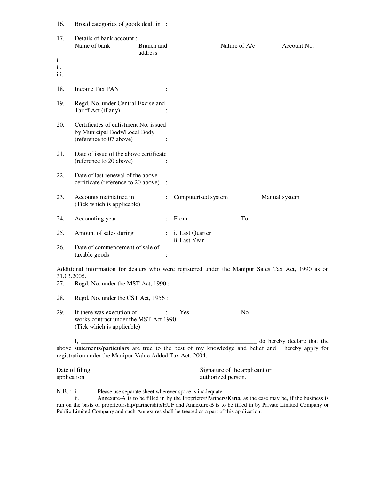| 16.         | Broad categories of goods dealt in :                                                             |                       |                                    |               |                                                                                                                                   |
|-------------|--------------------------------------------------------------------------------------------------|-----------------------|------------------------------------|---------------|-----------------------------------------------------------------------------------------------------------------------------------|
| 17.<br>i.   | Details of bank account:<br>Name of bank                                                         | Branch and<br>address |                                    | Nature of A/c | Account No.                                                                                                                       |
| ii.<br>111. |                                                                                                  |                       |                                    |               |                                                                                                                                   |
| 18.         | <b>Income Tax PAN</b>                                                                            |                       |                                    |               |                                                                                                                                   |
| 19.         | Regd. No. under Central Excise and<br>Tariff Act (if any)                                        |                       |                                    |               |                                                                                                                                   |
| 20.         | Certificates of enlistment No. issued                                                            |                       |                                    |               |                                                                                                                                   |
|             | by Municipal Body/Local Body<br>(reference to 07 above)                                          |                       |                                    |               |                                                                                                                                   |
| 21.         | Date of issue of the above certificate<br>(reference to 20 above)                                |                       |                                    |               |                                                                                                                                   |
| 22.         | Date of last renewal of the above<br>certificate (reference to 20 above)                         | $\ddot{\cdot}$        |                                    |               |                                                                                                                                   |
| 23.         | Accounts maintained in<br>(Tick which is applicable)                                             |                       | Computerised system                |               | Manual system                                                                                                                     |
| 24.         | Accounting year                                                                                  |                       | From                               | To            |                                                                                                                                   |
| 25.         | Amount of sales during                                                                           |                       | : i. Last Quarter<br>ii. Last Year |               |                                                                                                                                   |
| 26.         | Date of commencement of sale of<br>taxable goods                                                 |                       |                                    |               |                                                                                                                                   |
| 31.03.2005. |                                                                                                  |                       |                                    |               | Additional information for dealers who were registered under the Manipur Sales Tax Act, 1990 as on                                |
| 27.         | Regd. No. under the MST Act, 1990:                                                               |                       |                                    |               |                                                                                                                                   |
| 28.         | Regd. No. under the CST Act, 1956:                                                               |                       |                                    |               |                                                                                                                                   |
| 29.         | If there was execution of<br>works contract under the MST Act 1990<br>(Tick which is applicable) |                       | Yes                                | No            |                                                                                                                                   |
|             | I,                                                                                               |                       |                                    |               | do hereby declare that the<br>above statements/particulars are true to the best of my knowledge and belief and I hereby apply for |
|             |                                                                                                  |                       |                                    |               |                                                                                                                                   |

above statements/particulars are true to the best of my knowledge and belief and I hereby apply for registration under the Manipur Value Added Tax Act, 2004.

| Date of filing | Signature of the applicant or |
|----------------|-------------------------------|
| application.   | authorized person.            |

N.B. : i. Please use separate sheet wherever space is inadequate.

 ii. Annexure-A is to be filled in by the Proprietor/Partners/Karta, as the case may be, if the business is run on the basis of proprietorship/partnership/HUF and Annexure-B is to be filled in by Private Limited Company or Public Limited Company and such Annexures shall be treated as a part of this application.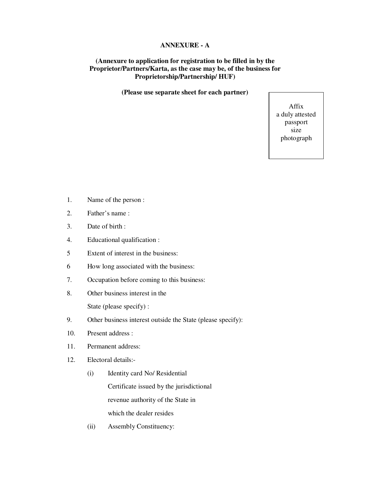### **ANNEXURE - A**

### **(Annexure to application for registration to be filled in by the Proprietor/Partners/Karta, as the case may be, of the business for Proprietorship/Partnership/ HUF)**

**(Please use separate sheet for each partner)** 

Affix a duly attested passport size photograph

- 1. Name of the person :
- 2. Father's name :
- 3. Date of birth :
- 4. Educational qualification :
- 5 Extent of interest in the business:
- 6 How long associated with the business:
- 7. Occupation before coming to this business:
- 8. Other business interest in the

State (please specify) :

- 9. Other business interest outside the State (please specify):
- 10. Present address :
- 11. Permanent address:
- 12. Electoral details:-
	- (i) Identity card No/ Residential Certificate issued by the jurisdictional revenue authority of the State in which the dealer resides
	- (ii) Assembly Constituency: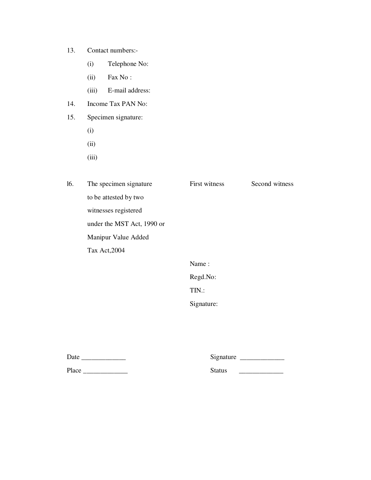- 13. Contact numbers:-
	- (i) Telephone No:
	- (ii) Fax No :
	- (iii) E-mail address:
- 14. Income Tax PAN No:
- 15. Specimen signature:
	- (i)
	- (ii)
	- (iii)

| 16. | The specimen signature     | First witness | Second witness |
|-----|----------------------------|---------------|----------------|
|     | to be attested by two      |               |                |
|     | witnesses registered       |               |                |
|     | under the MST Act, 1990 or |               |                |
|     | Manipur Value Added        |               |                |
|     | Tax Act, 2004              |               |                |
|     |                            | Name:         |                |
|     |                            | Regd.No:      |                |
|     |                            | TIN.:         |                |

Signature:

| Date  | Signature |  |
|-------|-----------|--|
| Place | Status    |  |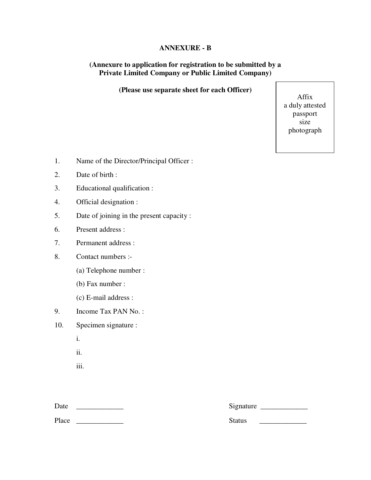# **ANNEXURE - B**

# **(Annexure to application for registration to be submitted by a Private Limited Company or Public Limited Company)**

**(Please use separate sheet for each Officer)** 

Affix a duly attested passport size photograph

- 1. Name of the Director/Principal Officer :
- 2. Date of birth :
- 3. Educational qualification :
- 4. Official designation :
- 5. Date of joining in the present capacity :
- 6. Present address :
- 7. Permanent address :
- 8. Contact numbers :-
	- (a) Telephone number :
	- (b) Fax number :
	- (c) E-mail address :
- 9. Income Tax PAN No. :
- 10. Specimen signature :
	- i.
	- ii.
	- iii.

Date \_\_\_\_\_\_\_\_\_\_\_\_\_ Signature \_\_\_\_\_\_\_\_\_\_\_\_\_ Place Status  $\overline{\phantom{a}}$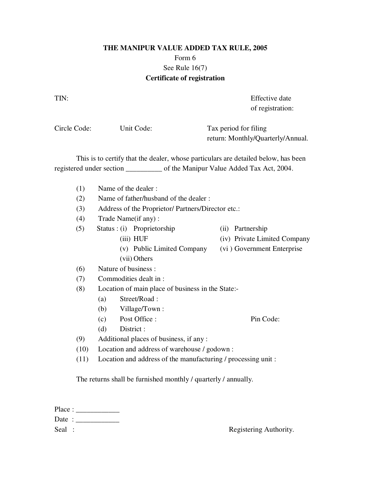# **THE MANIPUR VALUE ADDED TAX RULE, 2005**  Form 6 See Rule 16(7) **Certificate of registration**

TIN: Effective date of registration:

Circle Code: Unit Code: Tax period for filing return: Monthly/Quarterly/Annual.

 This is to certify that the dealer, whose particulars are detailed below, has been registered under section \_\_\_\_\_\_\_\_\_\_ of the Manipur Value Added Tax Act, 2004.

- (1) Name of the dealer :
- (2) Name of father/husband of the dealer :
- (3) Address of the Proprietor/ Partners/Director etc.:
- (4) Trade Name(if any) :
- (5) Status : (i) Proprietorship (ii) Partnership
- - (iii) HUF (iv) Private Limited Company
	- (v) Public Limited Company (vi ) Government Enterprise
	-
- (vii) Others (6) Nature of business :
- (7) Commodities dealt in :
- (8) Location of main place of business in the State:-
	- (a) Street/Road :
	- (b) Village/Town :
	- (c) Post Office : Pin Code:
	- (d) District :
- (9) Additional places of business, if any :
- (10) Location and address of warehouse / godown :
- (11) Location and address of the manufacturing / processing unit :

The returns shall be furnished monthly / quarterly / annually.

| Place: |  |
|--------|--|
| Date:  |  |
| Seal : |  |

Registering Authority.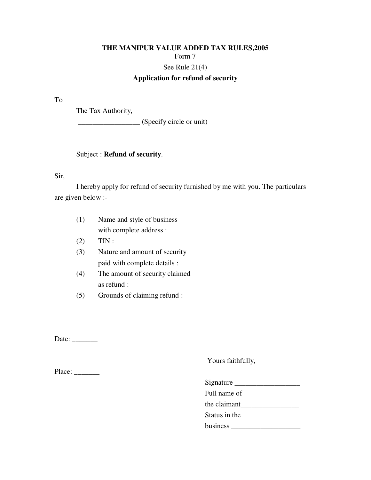# **THE MANIPUR VALUE ADDED TAX RULES,2005**  Form 7 See Rule 21(4)

# **Application for refund of security**

To

The Tax Authority,

\_\_\_\_\_\_\_\_\_\_\_\_\_\_\_\_\_ (Specify circle or unit)

### Subject : **Refund of security**.

Sir,

 I hereby apply for refund of security furnished by me with you. The particulars are given below :-

- (1) Name and style of business with complete address :
- (2) TIN :
- (3) Nature and amount of security paid with complete details :
- (4) The amount of security claimed as refund :
- (5) Grounds of claiming refund :

Date:  $\frac{2}{\sqrt{2\pi}}$ 

Yours faithfully,

Place: \_\_\_\_\_\_\_\_\_

Signature \_\_\_\_\_\_\_\_\_\_\_\_\_\_\_\_\_\_

Full name of

the claimant\_\_\_\_\_\_\_\_\_\_\_\_\_\_\_\_

Status in the

business \_\_\_\_\_\_\_\_\_\_\_\_\_\_\_\_\_\_\_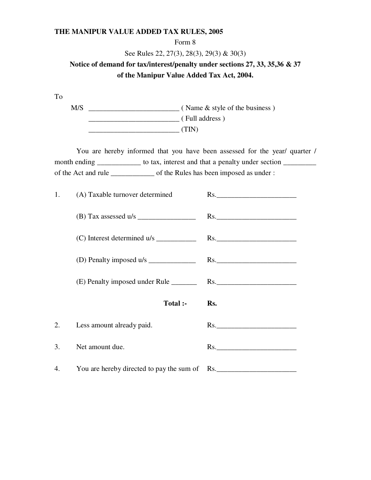### Form 8

See Rules 22, 27(3), 28(3), 29(3) & 30(3)

# **Notice of demand for tax/interest/penalty under sections 27, 33, 35,36 & 37 of the Manipur Value Added Tax Act, 2004.**

To

 M/S \_\_\_\_\_\_\_\_\_\_\_\_\_\_\_\_\_\_\_\_\_\_\_\_\_ ( Name & style of the business ) \_\_\_\_\_\_\_\_\_\_\_\_\_\_\_\_\_\_\_\_\_\_\_\_\_ ( Full address ) \_\_\_\_\_\_\_\_\_\_\_\_\_\_\_\_\_\_\_\_\_\_\_\_\_ (TIN)

 You are hereby informed that you have been assessed for the year/ quarter / month ending \_\_\_\_\_\_\_\_\_\_\_\_\_\_ to tax, interest and that a penalty under section \_\_\_\_\_\_\_\_\_ of the Act and rule \_\_\_\_\_\_\_\_\_\_\_\_ of the Rules has been imposed as under :

| 1. | (A) Taxable turnover determined               | Rs.          |
|----|-----------------------------------------------|--------------|
|    | $(B)$ Tax assessed u/s                        |              |
|    |                                               | Rs.          |
|    |                                               | Rs.          |
|    |                                               |              |
|    | Total :-                                      | Rs.          |
| 2. | Less amount already paid.                     | $\text{Rs.}$ |
| 3. | Net amount due.                               | Rs.          |
| 4. | You are hereby directed to pay the sum of Rs. |              |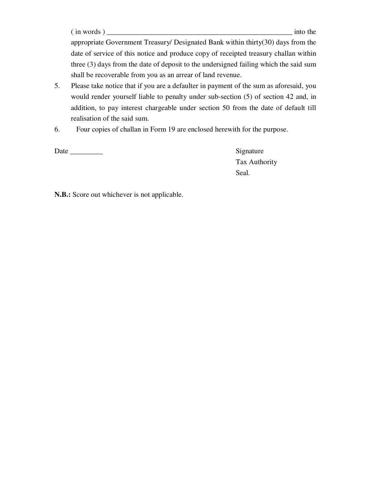( in words ) \_\_\_\_\_\_\_\_\_\_\_\_\_\_\_\_\_\_\_\_\_\_\_\_\_\_\_\_\_\_\_\_\_\_\_\_\_\_\_\_\_\_\_\_\_\_\_\_\_\_\_ into the

appropriate Government Treasury/ Designated Bank within thirty(30) days from the date of service of this notice and produce copy of receipted treasury challan within three (3) days from the date of deposit to the undersigned failing which the said sum shall be recoverable from you as an arrear of land revenue.

- 5. Please take notice that if you are a defaulter in payment of the sum as aforesaid, you would render yourself liable to penalty under sub-section (5) of section 42 and, in addition, to pay interest chargeable under section 50 from the date of default till realisation of the said sum.
- 6. Four copies of challan in Form 19 are enclosed herewith for the purpose.

Date \_\_\_\_\_\_\_\_\_ Signature

Tax Authority Seal.

**N.B.:** Score out whichever is not applicable.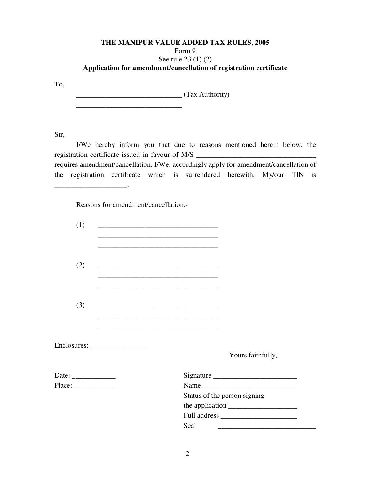## **THE MANIPUR VALUE ADDED TAX RULES, 2005**  Form 9 See rule 23 (1) (2) **Application for amendment/cancellation of registration certificate**

To,

 \_\_\_\_\_\_\_\_\_\_\_\_\_\_\_\_\_\_\_\_\_\_\_\_\_\_\_\_\_ (Tax Authority)  $\frac{1}{\sqrt{2}}$  ,  $\frac{1}{\sqrt{2}}$  ,  $\frac{1}{\sqrt{2}}$  ,  $\frac{1}{\sqrt{2}}$  ,  $\frac{1}{\sqrt{2}}$  ,  $\frac{1}{\sqrt{2}}$  ,  $\frac{1}{\sqrt{2}}$  ,  $\frac{1}{\sqrt{2}}$  ,  $\frac{1}{\sqrt{2}}$  ,  $\frac{1}{\sqrt{2}}$  ,  $\frac{1}{\sqrt{2}}$  ,  $\frac{1}{\sqrt{2}}$  ,  $\frac{1}{\sqrt{2}}$  ,  $\frac{1}{\sqrt{2}}$  ,  $\frac{1}{\sqrt{2}}$ 

Sir,

\_\_\_\_\_\_\_\_\_\_\_\_\_\_\_\_\_\_\_\_.

 I/We hereby inform you that due to reasons mentioned herein below, the registration certificate issued in favour of M/S requires amendment/cancellation. I/We, accordingly apply for amendment/cancellation of the registration certificate which is surrendered herewith. My/our TIN is

Reasons for amendment/cancellation:-

| (1)                                                      | <u> 1989 - Johann John Stein, markin fan it ferstjer fan it ferstjer fan it ferstjer fan it ferstjer fan it fers</u> |
|----------------------------------------------------------|----------------------------------------------------------------------------------------------------------------------|
|                                                          |                                                                                                                      |
|                                                          |                                                                                                                      |
|                                                          |                                                                                                                      |
| (2)                                                      |                                                                                                                      |
|                                                          |                                                                                                                      |
|                                                          |                                                                                                                      |
|                                                          |                                                                                                                      |
| (3)                                                      | <u> 1989 - Johann John Stone, markin film yn y brening yn y brening yn y brening yn y brening y brening yn y bre</u> |
|                                                          |                                                                                                                      |
|                                                          |                                                                                                                      |
|                                                          |                                                                                                                      |
|                                                          |                                                                                                                      |
|                                                          | Yours faithfully,                                                                                                    |
| Date: $\frac{1}{\sqrt{1-\frac{1}{2}} \cdot \frac{1}{2}}$ |                                                                                                                      |
|                                                          |                                                                                                                      |
|                                                          | Status of the person signing                                                                                         |
|                                                          |                                                                                                                      |
|                                                          | Full address                                                                                                         |
|                                                          | Seal                                                                                                                 |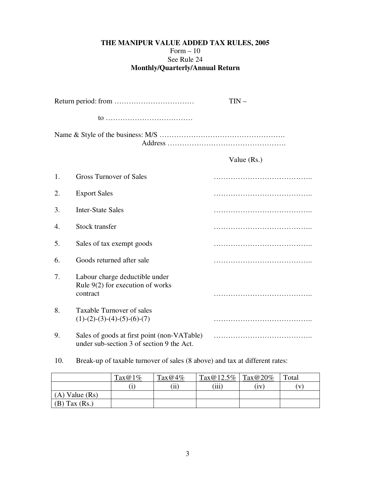# **THE MANIPUR VALUE ADDED TAX RULES, 2005**  Form  $-10$ See Rule 24 **Monthly/Quarterly/Annual Return**

|    |                                                                                          | $TIN -$     |
|----|------------------------------------------------------------------------------------------|-------------|
|    | $10$                                                                                     |             |
|    |                                                                                          |             |
|    |                                                                                          | Value (Rs.) |
| 1. | <b>Gross Turnover of Sales</b>                                                           |             |
| 2. | <b>Export Sales</b>                                                                      |             |
| 3. | <b>Inter-State Sales</b>                                                                 |             |
| 4. | Stock transfer                                                                           |             |
| 5. | Sales of tax exempt goods                                                                |             |
| 6. | Goods returned after sale                                                                |             |
| 7. | Labour charge deductible under<br>Rule $9(2)$ for execution of works<br>contract         |             |
| 8. | Taxable Turnover of sales<br>$(1)-(2)-(3)-(4)-(5)-(6)-(7)$                               |             |
| 9. | Sales of goods at first point (non-VATable)<br>under sub-section 3 of section 9 the Act. |             |

10. Break-up of taxable turnover of sales (8 above) and tax at different rates:

|                    | $\text{Tax}@1\%$ | $\text{Tax}@4\%$ | $Tax@12.5\%$ Tax $@20\%$ |    | Total        |
|--------------------|------------------|------------------|--------------------------|----|--------------|
|                    |                  | $\cdots$<br>11   | (iii)                    | 1V | $\mathbf{V}$ |
| $(A)$ Value $(Rs)$ |                  |                  |                          |    |              |
| $(B)$ Tax $(Rs.)$  |                  |                  |                          |    |              |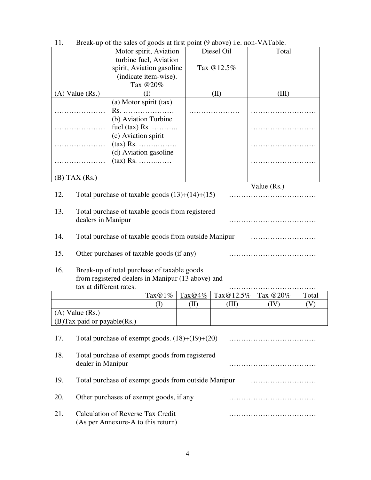| 11.                         |                                          |                                    |                                                      |            | $Dicak-up$ of the safes of goods at first point (9 above) i.e. non- $vA$ radie. |               |       |  |  |  |
|-----------------------------|------------------------------------------|------------------------------------|------------------------------------------------------|------------|---------------------------------------------------------------------------------|---------------|-------|--|--|--|
|                             |                                          | Motor spirit, Aviation             |                                                      |            | Diesel Oil                                                                      | Total         |       |  |  |  |
|                             |                                          |                                    | turbine fuel, Aviation                               |            |                                                                                 |               |       |  |  |  |
|                             | spirit, Aviation gasoline                |                                    |                                                      |            | Tax @12.5%                                                                      |               |       |  |  |  |
|                             |                                          |                                    | (indicate item-wise).                                |            |                                                                                 |               |       |  |  |  |
|                             |                                          |                                    | Tax @20%                                             |            |                                                                                 |               |       |  |  |  |
| $(A)$ Value $(Rs.)$         |                                          |                                    | (I)                                                  |            | (II)                                                                            | (III)         |       |  |  |  |
|                             |                                          |                                    | (a) Motor spirit (tax)                               |            |                                                                                 |               |       |  |  |  |
| .                           |                                          |                                    | $Rs.$                                                |            |                                                                                 |               |       |  |  |  |
|                             |                                          |                                    | (b) Aviation Turbine                                 |            |                                                                                 |               |       |  |  |  |
|                             |                                          |                                    | fuel $(tax)$ Rs.                                     |            |                                                                                 |               |       |  |  |  |
|                             |                                          | (c) Aviation spirit                |                                                      |            |                                                                                 |               |       |  |  |  |
|                             |                                          |                                    | $(\text{tax})$ Rs.                                   |            |                                                                                 |               |       |  |  |  |
|                             |                                          |                                    | (d) Aviation gasoline                                |            |                                                                                 |               |       |  |  |  |
|                             |                                          |                                    | $(\text{tax})$ Rs.                                   |            |                                                                                 |               |       |  |  |  |
|                             |                                          |                                    |                                                      |            |                                                                                 |               |       |  |  |  |
| $(B)$ TAX $(Rs.)$           |                                          |                                    |                                                      |            |                                                                                 |               |       |  |  |  |
|                             |                                          |                                    |                                                      |            |                                                                                 | Value $(Rs.)$ |       |  |  |  |
| 12.                         |                                          |                                    | Total purchase of taxable goods $(13)+(14)+(15)$     |            |                                                                                 |               |       |  |  |  |
|                             |                                          |                                    |                                                      |            |                                                                                 |               |       |  |  |  |
| 13.                         |                                          |                                    | Total purchase of taxable goods from registered      |            |                                                                                 |               |       |  |  |  |
|                             |                                          | dealers in Manipur                 |                                                      |            |                                                                                 |               |       |  |  |  |
|                             |                                          |                                    |                                                      |            |                                                                                 |               |       |  |  |  |
| 14.                         |                                          |                                    | Total purchase of taxable goods from outside Manipur |            |                                                                                 |               |       |  |  |  |
|                             |                                          |                                    |                                                      |            |                                                                                 |               |       |  |  |  |
| 15.                         |                                          |                                    | Other purchases of taxable goods (if any)            |            |                                                                                 |               |       |  |  |  |
|                             |                                          |                                    |                                                      |            |                                                                                 |               |       |  |  |  |
| 16.                         |                                          |                                    | Break-up of total purchase of taxable goods          |            |                                                                                 |               |       |  |  |  |
|                             |                                          |                                    | from registered dealers in Manipur (13 above) and    |            |                                                                                 |               |       |  |  |  |
|                             |                                          | tax at different rates.            |                                                      |            |                                                                                 |               |       |  |  |  |
|                             |                                          |                                    | $\text{Tax} @ 1\%$                                   | Tax $@4\%$ | $\text{Tax} @ 12.5\%$                                                           | Tax @20%      | Total |  |  |  |
|                             |                                          |                                    | (I)                                                  | (II)       | (III)                                                                           | (IV)          | (V)   |  |  |  |
| $(A)$ Value $(Rs.)$         |                                          |                                    |                                                      |            |                                                                                 |               |       |  |  |  |
| (B)Tax paid or payable(Rs.) |                                          |                                    |                                                      |            |                                                                                 |               |       |  |  |  |
|                             |                                          |                                    |                                                      |            |                                                                                 |               |       |  |  |  |
| 17.                         |                                          |                                    | Total purchase of exempt goods. $(18)+(19)+(20)$     |            |                                                                                 |               |       |  |  |  |
|                             |                                          |                                    |                                                      |            |                                                                                 |               |       |  |  |  |
| 18.                         |                                          |                                    | Total purchase of exempt goods from registered       |            |                                                                                 |               |       |  |  |  |
|                             | dealer in Manipur                        |                                    |                                                      |            |                                                                                 |               |       |  |  |  |
|                             |                                          |                                    |                                                      |            |                                                                                 |               |       |  |  |  |
| 19.                         |                                          |                                    | Total purchase of exempt goods from outside Manipur  |            |                                                                                 |               |       |  |  |  |
|                             |                                          |                                    |                                                      |            |                                                                                 |               |       |  |  |  |
| 20.                         |                                          |                                    | Other purchases of exempt goods, if any              |            |                                                                                 |               |       |  |  |  |
|                             |                                          |                                    |                                                      |            |                                                                                 |               |       |  |  |  |
| 21.                         | <b>Calculation of Reverse Tax Credit</b> |                                    |                                                      |            |                                                                                 |               |       |  |  |  |
|                             |                                          | (As per Annexure-A to this return) |                                                      |            |                                                                                 |               |       |  |  |  |

11. Break-up of the sales of goods at first point (9 above) i.e. non-VATable.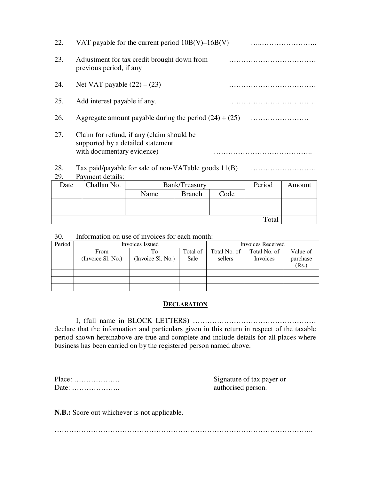| 22.  |                                                                 | VAT payable for the current period $10B(V)$ –16B(V)  |  |        |           |  |  |  |  |
|------|-----------------------------------------------------------------|------------------------------------------------------|--|--------|-----------|--|--|--|--|
| 23.  | previous period, if any                                         | Adjustment for tax credit brought down from          |  |        |           |  |  |  |  |
| 24.  | Net VAT payable $(22) - (23)$                                   |                                                      |  |        |           |  |  |  |  |
| 25.  | Add interest payable if any.                                    |                                                      |  |        |           |  |  |  |  |
| 26.  | Aggregate amount payable during the period $(24) + (25)$        |                                                      |  |        |           |  |  |  |  |
| 27.  | supported by a detailed statement<br>with documentary evidence) | Claim for refund, if any (claim should be            |  |        |           |  |  |  |  |
| 28.  |                                                                 | Tax paid/payable for sale of non-VATable goods 11(B) |  |        |           |  |  |  |  |
| 29.  | Payment details:                                                |                                                      |  |        |           |  |  |  |  |
| Date | Challan No                                                      | Bank/Treasury                                        |  | Period | $A$ mount |  |  |  |  |

| Date | Challan No. | Bank/Treasury | Period        | Amount |       |  |
|------|-------------|---------------|---------------|--------|-------|--|
|      |             | Name          | <b>Branch</b> | Code   |       |  |
|      |             |               |               |        |       |  |
|      |             |               |               |        |       |  |
|      |             |               |               |        | Total |  |

30. Information on use of invoices for each month:

| Period |                   | Invoices Issued   | <b>Invoices Received</b> |              |              |          |  |  |
|--------|-------------------|-------------------|--------------------------|--------------|--------------|----------|--|--|
|        | From              | To                | Total of                 | Total No. of | Total No. of | Value of |  |  |
|        | (Invoice Sl. No.) | (Invoice Sl. No.) | Sale                     | sellers      | Invoices     | purchase |  |  |
|        |                   |                   |                          |              |              | (Rs.)    |  |  |
|        |                   |                   |                          |              |              |          |  |  |
|        |                   |                   |                          |              |              |          |  |  |
|        |                   |                   |                          |              |              |          |  |  |

### **DECLARATION**

 I, (full name in BLOCK LETTERS) …………………………………………… declare that the information and particulars given in this return in respect of the taxable period shown hereinabove are true and complete and include details for all places where business has been carried on by the registered person named above.

| $Place: \ldots \ldots \ldots \ldots \ldots$ |  |  |  |  |  |  |  |  |  |  |
|---------------------------------------------|--|--|--|--|--|--|--|--|--|--|
| Date:                                       |  |  |  |  |  |  |  |  |  |  |

Signature of tax payer or authorised person.

**N.B.:** Score out whichever is not applicable.

……………………………………………………………………………………………..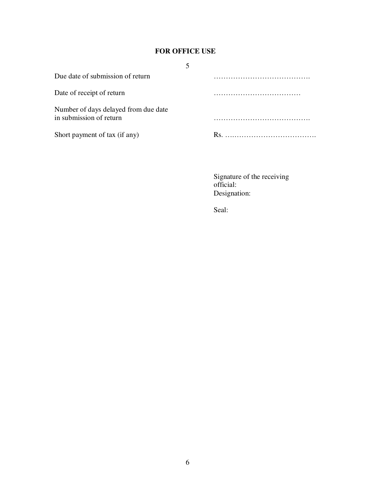# **FOR OFFICE USE**

| Due date of submission of return                                |  |
|-----------------------------------------------------------------|--|
| Date of receipt of return                                       |  |
| Number of days delayed from due date<br>in submission of return |  |
| Short payment of tax (if any)                                   |  |

Signature of the receiving official: Designation:

Seal: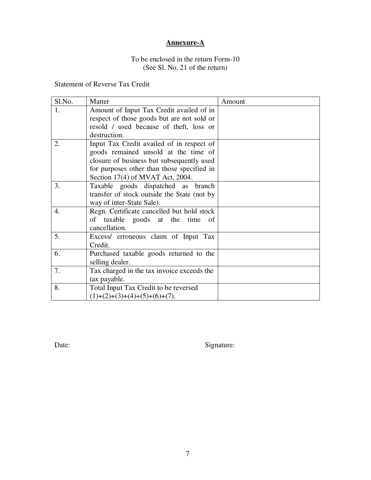# **Annexure-A**

# To be enclosed in the return Form-10 (See Sl. No. 21 of the return)

# Statement of Reverse Tax Credit

| Sl.No.           | Matter                                      | Amount |
|------------------|---------------------------------------------|--------|
| 1.               | Amount of Input Tax Credit availed of in    |        |
|                  | respect of those goods but are not sold or  |        |
|                  | resold / used because of theft, loss or     |        |
|                  | destruction.                                |        |
| 2.               | Input Tax Credit availed of in respect of   |        |
|                  | goods remained unsold at the time of        |        |
|                  | closure of business but subsequently used   |        |
|                  | for purposes other than those specified in  |        |
|                  | Section $17(4)$ of MVAT Act, 2004.          |        |
| 3.               | Taxable goods dispatched as branch          |        |
|                  | transfer of stock outside the State (not by |        |
|                  | way of inter-State Sale).                   |        |
| $\overline{4}$ . | Regn. Certificate cancelled but hold stock  |        |
|                  | of taxable goods at the time<br>of          |        |
|                  | cancellation.                               |        |
| 5.               | Excess/ erroneous claim of Input Tax        |        |
|                  | Credit.                                     |        |
| 6.               | Purchased taxable goods returned to the     |        |
|                  | selling dealer.                             |        |
| 7.               | Tax charged in the tax invoice exceeds the  |        |
|                  | tax payable.                                |        |
| 8.               | Total Input Tax Credit to be reversed       |        |
|                  | $(1)+(2)+(3)+(4)+(5)+(6)+(7).$              |        |

Date: Signature: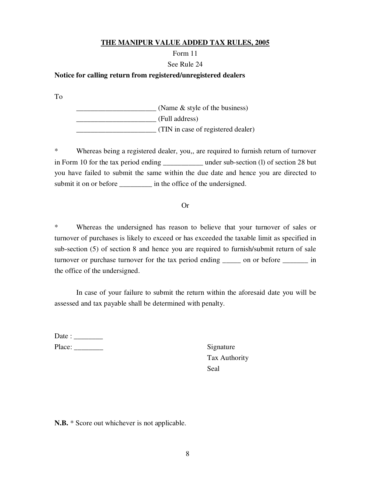## Form 11

### See Rule 24

### **Notice for calling return from registered/unregistered dealers**

To

 $\frac{1}{2}$  (Name & style of the business) \_\_\_\_\_\_\_\_\_\_\_\_\_\_\_\_\_\_\_\_\_\_ (Full address) \_\_\_\_\_\_\_\_\_\_\_\_\_\_\_\_\_\_\_\_\_\_ (TIN in case of registered dealer)

\* Whereas being a registered dealer, you,, are required to furnish return of turnover in Form 10 for the tax period ending \_\_\_\_\_\_\_\_\_\_\_ under sub-section (l) of section 28 but you have failed to submit the same within the due date and hence you are directed to submit it on or before \_\_\_\_\_\_\_\_\_\_\_ in the office of the undersigned.

### Or

\* Whereas the undersigned has reason to believe that your turnover of sales or turnover of purchases is likely to exceed or has exceeded the taxable limit as specified in sub-section (5) of section 8 and hence you are required to furnish/submit return of sale turnover or purchase turnover for the tax period ending \_\_\_\_\_ on or before \_\_\_\_\_\_\_ in the office of the undersigned.

In case of your failure to submit the return within the aforesaid date you will be assessed and tax payable shall be determined with penalty.

| Date : |  |
|--------|--|
| Place: |  |

Signature Tax Authority Seal

**N.B.** \* Score out whichever is not applicable.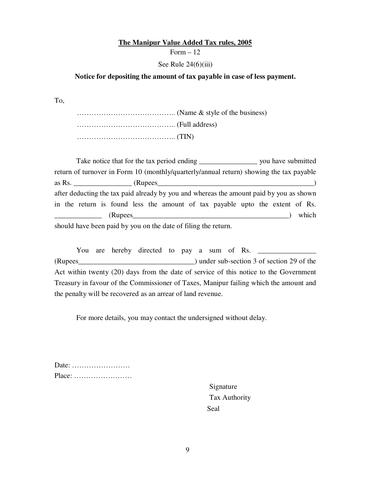### **The Manipur Value Added Tax rules, 2005**

Form  $-12$ 

### See Rule  $24(6)(iii)$

### **Notice for depositing the amount of tax payable in case of less payment.**

To,

 ………………………………….. (Name & style of the business) ………………………………….. (Full address) ………………………………….. (TIN)

Take notice that for the tax period ending you have submitted return of turnover in Form 10 (monthly/quarterly/annual return) showing the tax payable as Rs. \_\_\_\_\_\_\_\_\_\_\_\_\_\_\_\_ (Rupees\_\_\_\_\_\_\_\_\_\_\_\_\_\_\_\_\_\_\_\_\_\_\_\_\_\_\_\_\_\_\_\_\_\_\_\_\_\_\_\_\_\_\_) after deducting the tax paid already by you and whereas the amount paid by you as shown in the return is found less the amount of tax payable upto the extent of Rs. \_\_\_\_\_\_\_\_\_\_\_\_\_ (Rupees\_\_\_\_\_\_\_\_\_\_\_\_\_\_\_\_\_\_\_\_\_\_\_\_\_\_\_\_\_\_\_\_\_\_\_\_\_\_\_\_\_\_\_) which should have been paid by you on the date of filing the return.

You are hereby directed to pay a sum of Rs. (Rupees\_\_\_\_\_\_\_\_\_\_\_\_\_\_\_\_\_\_\_\_\_\_\_\_\_\_\_\_\_\_\_\_) under sub-section 3 of section 29 of the Act within twenty (20) days from the date of service of this notice to the Government Treasury in favour of the Commissioner of Taxes, Manipur failing which the amount and the penalty will be recovered as an arrear of land revenue.

For more details, you may contact the undersigned without delay.

| Date:                                                     |  |  |  |  |  |  |  |  |  |
|-----------------------------------------------------------|--|--|--|--|--|--|--|--|--|
| $Place: \ldots \ldots \ldots \ldots \ldots \ldots \ldots$ |  |  |  |  |  |  |  |  |  |

Signature Tax Authority Seal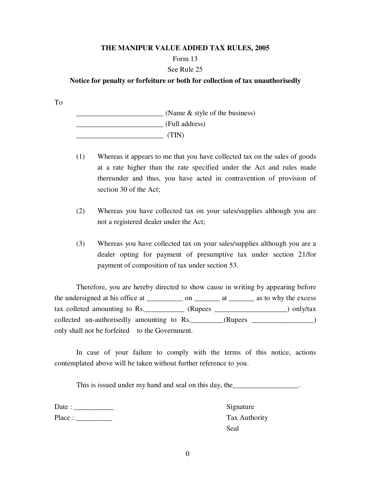### Form 13

## See Rule 25

### **Notice for penalty or forfeiture or both for collection of tax unauthorisedly**

To

 \_\_\_\_\_\_\_\_\_\_\_\_\_\_\_\_\_\_\_\_\_\_\_\_ (Name & style of the business) \_\_\_\_\_\_\_\_\_\_\_\_\_\_\_\_\_\_\_\_\_\_\_\_ (Full address)  $\overline{\phantom{a}}$  (TIN)

- (1) Whereas it appears to me that you have collected tax on the sales of goods at a rate higher than the rate specified under the Act and rules made thereunder and thus, you have acted in contravention of provision of section 30 of the Act;
- (2) Whereas you have collected tax on your sales/supplies although you are not a registered dealer under the Act;
- (3) Whereas you have collected tax on your sales/supplies although you are a dealer opting for payment of presumptive tax under section 21/for payment of composition of tax under section 53.

 Therefore, you are hereby directed to show cause in writing by appearing before the undersigned at his office at \_\_\_\_\_\_\_\_\_\_\_ on \_\_\_\_\_\_\_\_ at \_\_\_\_\_\_\_\_ as to why the excess tax colleted amounting to Rs. \_\_\_\_\_\_\_\_\_\_\_ (Rupees \_\_\_\_\_\_\_\_\_\_\_\_\_\_\_\_\_\_\_\_\_) only/tax collected un-authorisedly amounting to Rs.\_\_\_\_\_\_\_\_\_(Rupees \_\_\_\_\_\_\_\_\_\_\_\_\_\_\_\_\_) only shall not be forfeited to the Government.

 In case of your failure to comply with the terms of this notice, actions contemplated above will be taken without further reference to you.

This is issued under my hand and seal on this day, the \_\_\_\_\_\_\_\_\_\_\_\_\_\_\_\_\_\_\_.

Date : \_\_\_\_\_\_\_\_\_\_\_ Signature Place : \_\_\_\_\_\_\_\_\_\_ Tax Authority

Seal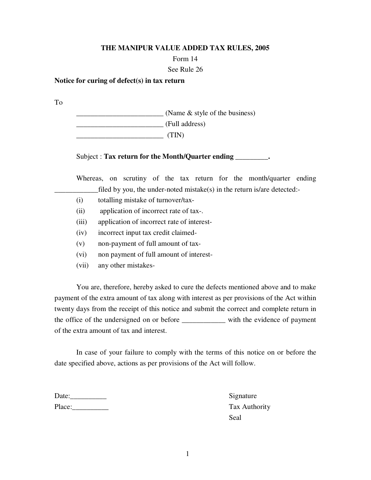### Form 14

### See Rule 26

### **Notice for curing of defect(s) in tax return**

To

 \_\_\_\_\_\_\_\_\_\_\_\_\_\_\_\_\_\_\_\_\_\_\_\_ (Name & style of the business) \_\_\_\_\_\_\_\_\_\_\_\_\_\_\_\_\_\_\_\_\_\_\_\_ (Full address)  $\overline{\phantom{a}}$  (TIN)

## Subject : **Tax return for the Month/Quarter ending \_\_\_\_\_\_\_\_\_.**

 Whereas, on scrutiny of the tax return for the month/quarter ending  $_1$  filed by you, the under-noted mistake(s) in the return is/are detected:-

- (i) totalling mistake of turnover/tax-
- (ii) application of incorrect rate of tax-.
- (iii) application of incorrect rate of interest-
- (iv) incorrect input tax credit claimed-
- (v) non-payment of full amount of tax-
- (vi) non payment of full amount of interest-
- (vii) any other mistakes-

 You are, therefore, hereby asked to cure the defects mentioned above and to make payment of the extra amount of tax along with interest as per provisions of the Act within twenty days from the receipt of this notice and submit the correct and complete return in the office of the undersigned on or before \_\_\_\_\_\_\_\_\_\_\_\_ with the evidence of payment of the extra amount of tax and interest.

 In case of your failure to comply with the terms of this notice on or before the date specified above, actions as per provisions of the Act will follow.

| Date:  |  |
|--------|--|
| Place: |  |

Signature Tax Authority Seal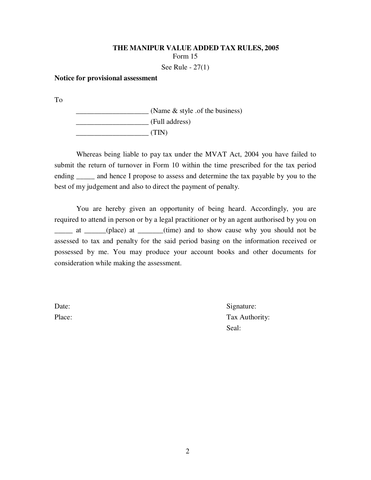### **THE MANIPUR VALUE ADDED TAX RULES, 2005**  Form 15

See Rule - 27(1)

### **Notice for provisional assessment**

To

 \_\_\_\_\_\_\_\_\_\_\_\_\_\_\_\_\_\_\_\_ (Name & style .of the business) \_\_\_\_\_\_\_\_\_\_\_\_\_\_\_\_\_\_\_\_ (Full address) \_\_\_\_\_\_\_\_\_\_\_\_\_\_\_\_\_\_\_\_ (TIN)

Whereas being liable to pay tax under the MVAT Act, 2004 you have failed to submit the return of turnover in Form 10 within the time prescribed for the tax period ending \_\_\_\_\_\_ and hence I propose to assess and determine the tax payable by you to the best of my judgement and also to direct the payment of penalty.

You are hereby given an opportunity of being heard. Accordingly, you are required to attend in person or by a legal practitioner or by an agent authorised by you on \_\_\_\_\_ at \_\_\_\_\_\_(place) at \_\_\_\_\_\_\_(time) and to show cause why you should not be assessed to tax and penalty for the said period basing on the information received or possessed by me. You may produce your account books and other documents for consideration while making the assessment.

Date: Signature: Place: Tax Authority: Seal: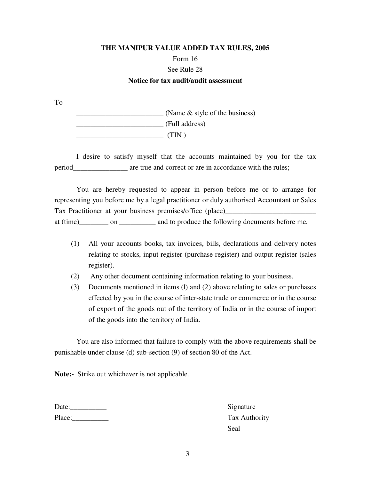# **THE MANIPUR VALUE ADDED TAX RULES, 2005**  Form 16 See Rule 28 **Notice for tax audit/audit assessment**

To

 \_\_\_\_\_\_\_\_\_\_\_\_\_\_\_\_\_\_\_\_\_\_\_\_ (Name & style of the business) \_\_\_\_\_\_\_\_\_\_\_\_\_\_\_\_\_\_\_\_\_\_\_\_ (Full address) \_\_\_\_\_\_\_\_\_\_\_\_\_\_\_\_\_\_\_\_\_\_\_\_ (TIN )

 I desire to satisfy myself that the accounts maintained by you for the tax period are true and correct or are in accordance with the rules;

 You are hereby requested to appear in person before me or to arrange for representing you before me by a legal practitioner or duly authorised Accountant or Sales Tax Practitioner at your business premises/office (place)\_\_\_\_\_\_\_\_\_\_\_\_\_\_\_\_\_\_\_\_\_\_\_\_\_ at (time) \_\_\_\_\_\_\_ on \_\_\_\_\_\_\_\_\_ and to produce the following documents before me.

- (1) All your accounts books, tax invoices, bills, declarations and delivery notes relating to stocks, input register (purchase register) and output register (sales register).
- (2) Any other document containing information relating to your business.
- (3) Documents mentioned in items (l) and (2) above relating to sales or purchases effected by you in the course of inter-state trade or commerce or in the course of export of the goods out of the territory of India or in the course of import of the goods into the territory of India.

 You are also informed that failure to comply with the above requirements shall be punishable under clause (d) sub-section (9) of section 80 of the Act.

**Note:-** Strike out whichever is not applicable.

| Date:  |  |
|--------|--|
| Place: |  |

Signature Tax Authority Seal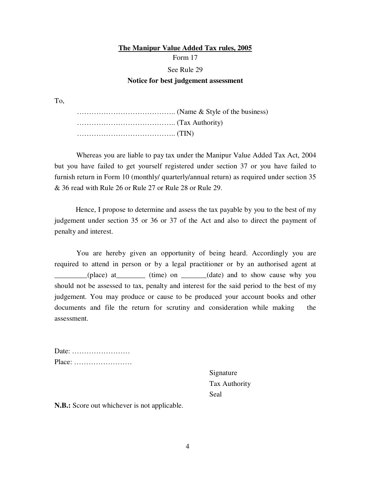# **The Manipur Value Added Tax rules, 2005** Form 17 See Rule 29 **Notice for best judgement assessment**

To,

 ………………………………….. (Name & Style of the business) ………………………………….. (Tax Authority) ………………………………….. (TIN)

 Whereas you are liable to pay tax under the Manipur Value Added Tax Act, 2004 but you have failed to get yourself registered under section 37 or you have failed to furnish return in Form 10 (monthly/ quarterly/annual return) as required under section 35 & 36 read with Rule 26 or Rule 27 or Rule 28 or Rule 29.

Hence, I propose to determine and assess the tax payable by you to the best of my judgement under section 35 or 36 or 37 of the Act and also to direct the payment of penalty and interest.

You are hereby given an opportunity of being heard. Accordingly you are required to attend in person or by a legal practitioner or by an authorised agent at \_\_\_\_\_\_\_\_\_(place) at\_\_\_\_\_\_\_\_ (time) on \_\_\_\_\_\_\_(date) and to show cause why you should not be assessed to tax, penalty and interest for the said period to the best of my judgement. You may produce or cause to be produced your account books and other documents and file the return for scrutiny and consideration while making the assessment.

| Date:                                                     |  |  |  |  |  |  |  |  |  |  |  |  |
|-----------------------------------------------------------|--|--|--|--|--|--|--|--|--|--|--|--|
| $Place: \ldots \ldots \ldots \ldots \ldots \ldots \ldots$ |  |  |  |  |  |  |  |  |  |  |  |  |

Signature Tax Authority Seal

**N.B.:** Score out whichever is not applicable.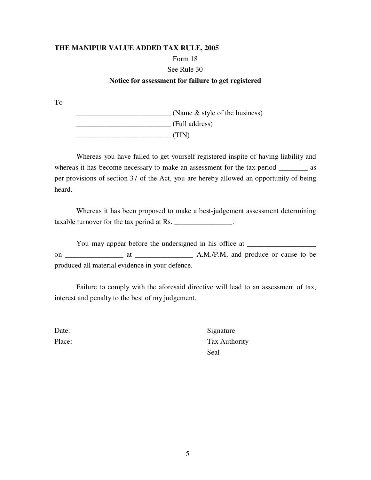### Form 18

### See Rule 30

# **Notice for assessment for failure to get registered**

To

 \_\_\_\_\_\_\_\_\_\_\_\_\_\_\_\_\_\_\_\_\_\_\_\_\_\_ (Name & style of the business) \_\_\_\_\_\_\_\_\_\_\_\_\_\_\_\_\_\_\_\_\_\_\_\_\_\_ (Full address) \_\_\_\_\_\_\_\_\_\_\_\_\_\_\_\_\_\_\_\_\_\_\_\_\_\_ (TIN)

 Whereas you have failed to get yourself registered inspite of having liability and whereas it has become necessary to make an assessment for the tax period \_\_\_\_\_\_\_\_ as per provisions of section 37 of the Act, you are hereby allowed an opportunity of being heard.

 Whereas it has been proposed to make a best-judgement assessment determining taxable turnover for the tax period at Rs.

You may appear before the undersigned in his office at \_\_\_\_\_\_\_\_\_\_\_\_\_\_\_\_\_\_\_\_\_\_\_\_\_ on \_\_\_\_\_\_\_\_\_\_\_\_\_\_\_\_ at \_\_\_\_\_\_\_\_\_\_\_\_\_\_\_\_ A.M./P.M, and produce or cause to be produced all material evidence in your defence.

 Failure to comply with the aforesaid directive will lead to an assessment of tax, interest and penalty to the best of my judgement.

Date: Signature Place: Tax Authority Seal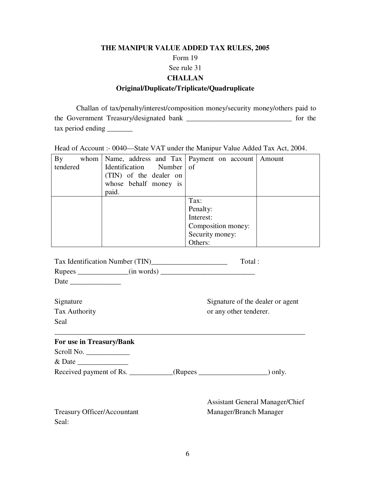# **THE MANIPUR VALUE ADDED TAX RULES, 2005**  Form 19 See rule 31 **CHALLAN Original/Duplicate/Triplicate/Quadruplicate**

 Challan of tax/penalty/interest/composition money/security money/others paid to the Government Treasury/designated bank \_\_\_\_\_\_\_\_\_\_\_\_\_\_\_\_\_\_\_\_\_\_\_\_\_\_\_\_\_ for the tax period ending \_\_\_\_\_\_\_

Head of Account :- 0040—State VAT under the Manipur Value Added Tax Act, 2004.

| By<br>whom | Name, address and Tax   Payment on account   Amount |                    |  |
|------------|-----------------------------------------------------|--------------------|--|
| tendered   | Identification Number of                            |                    |  |
|            | (TIN) of the dealer on                              |                    |  |
|            | whose behalf money is                               |                    |  |
|            | paid.                                               |                    |  |
|            |                                                     | Tax:               |  |
|            |                                                     | Penalty:           |  |
|            |                                                     | Interest:          |  |
|            |                                                     | Composition money: |  |
|            |                                                     | Security money:    |  |
|            |                                                     | Others:            |  |

|                                    |  | Total:                                                                     |
|------------------------------------|--|----------------------------------------------------------------------------|
|                                    |  |                                                                            |
| Date                               |  |                                                                            |
| Signature                          |  | Signature of the dealer or agent                                           |
| Tax Authority                      |  | or any other tenderer.                                                     |
| Seal                               |  |                                                                            |
| For use in Treasury/Bank           |  |                                                                            |
| Scroll No.                         |  |                                                                            |
| $&$ Date $\_\_$                    |  |                                                                            |
|                                    |  | Received payment of Rs. _______________(Rupees ____________________) only. |
|                                    |  | <b>Assistant General Manager/Chief</b>                                     |
| <b>Treasury Officer/Accountant</b> |  | Manager/Branch Manager                                                     |
| Seal:                              |  |                                                                            |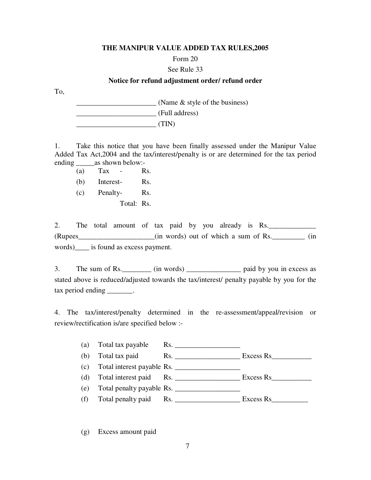### Form 20

### See Rule 33

### **Notice for refund adjustment order/ refund order**

To,

(Name & style of the business) \_\_\_\_\_\_\_\_\_\_\_\_\_\_\_\_\_\_\_\_\_\_ (Full address)  $(TIN)$ 

1. Take this notice that you have been finally assessed under the Manipur Value Added Tax Act,2004 and the tax/interest/penalty is or are determined for the tax period ending as shown below:-

 $(a)$  Tax - Rs.

(b) Interest- Rs.

(c) Penalty- Rs.

Total: Rs.

2. The total amount of tax paid by you already is Rs. (Rupees\_\_\_\_\_\_\_\_\_\_\_\_\_\_\_\_\_\_\_\_\_(in words) out of which a sum of Rs.\_\_\_\_\_\_\_\_\_ (in words)\_\_\_\_ is found as excess payment.

3. The sum of Rs. \_\_\_\_\_\_\_\_ (in words) \_\_\_\_\_\_\_\_\_\_\_\_\_\_\_\_ paid by you in excess as stated above is reduced/adjusted towards the tax/interest/ penalty payable by you for the tax period ending tax.

4. The tax/interest/penalty determined in the re-assessment/appeal/revision or review/rectification is/are specified below :-

(a) Total tax payable Rs. \_\_\_\_\_\_\_\_\_\_\_\_\_\_\_\_\_\_

(b) Total tax paid Rs. \_\_\_\_\_\_\_\_\_\_\_\_\_\_\_\_\_\_ Excess Rs\_\_\_\_\_\_\_\_\_\_\_

(c) Total interest payable Rs. \_\_\_\_\_\_\_\_\_\_\_\_\_\_\_\_\_\_

(d) Total interest paid Rs. \_\_\_\_\_\_\_\_\_\_\_\_\_\_\_\_\_\_ Excess Rs\_\_\_\_\_\_\_\_\_\_\_

(e) Total penalty payable Rs. \_\_\_\_\_\_\_\_\_\_\_\_\_\_\_\_\_\_

(f) Total penalty paid Rs.  $\frac{1}{2}$  Rs.  $\frac{1}{2}$  Excess Rs

(g) Excess amount paid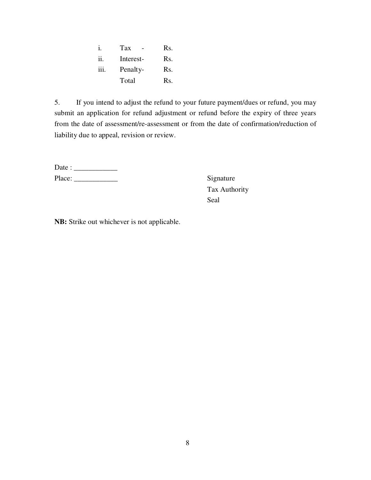|      | Tax       | Rs. |
|------|-----------|-----|
| ii.  | Interest- | Rs. |
| iii. | Penalty-  | Rs. |
|      | Total     | Rs. |

5. If you intend to adjust the refund to your future payment/dues or refund, you may submit an application for refund adjustment or refund before the expiry of three years from the date of assessment/re-assessment or from the date of confirmation/reduction of liability due to appeal, revision or review.

| Date : |  |
|--------|--|
| Place: |  |

Signature Tax Authority Seal

**NB:** Strike out whichever is not applicable.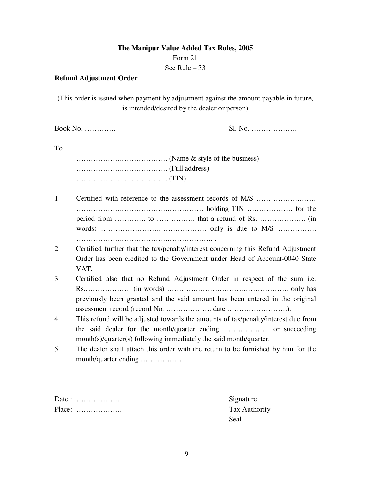# **The Manipur Value Added Tax Rules, 2005**  Form 21 See Rule – 33

## **Refund Adjustment Order**

(This order is issued when payment by adjustment against the amount payable in future, is intended/desired by the dealer or person)

Book No. …………. Sl. No. ……………….

### To

 ……………….………………. (Name & style of the business) ……………….………………. (Full address) ……………….………………. (TIN)

- 1. Certified with reference to the assessment records of M/S ……………….…… ……………….……………….…………… holding TIN ………………. for the period from …………. to ……………. that a refund of Rs. ………………. (in words) …………………….………………. only is due to M/S ……………. ……………….……………….………………. .
- 2. Certified further that the tax/penalty/interest concerning this Refund Adjustment Order has been credited to the Government under Head of Account-0040 State VAT.
- 3. Certified also that no Refund Adjustment Order in respect of the sum i.e. Rs.………………. (in words) ………….……………….………………. only has previously been granted and the said amount has been entered in the original assessment record (record No. ………………. date …………………….).
- 4. This refund will be adjusted towards the amounts of tax/penalty/interest due from the said dealer for the month/quarter ending ………………. or succeeding month(s)/quarter(s) following immediately the said month/quarter.
- 5. The dealer shall attach this order with the return to be furnished by him for the month/quarter ending ………………..

| Date: $\dots\dots\dots\dots\dots\dots\dots$ | Sign |
|---------------------------------------------|------|
| $Place:$                                    | Tax  |
|                                             | Seal |

Signature Tax Authority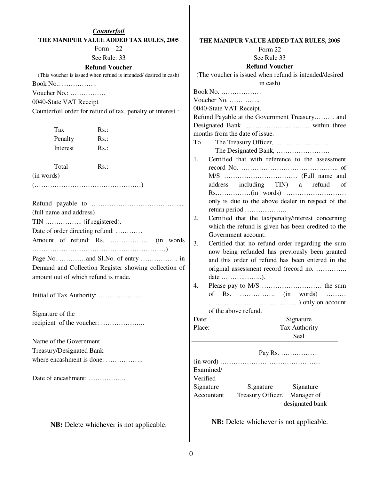| Book No.:<br>Voucher No.:<br>0040-State VAT Receipt | Counterfoil<br>THE MANIPUR VALUE ADDED TAX RULES, 2005<br>Form $-22$<br>See Rule: 33<br><b>Refund Voucher</b><br>(This voucher is issued when refund is intended/ desired in cash)<br>Counterfoil order for refund of tax, penalty or interest : | THE MANIPUR VALUE ADDED TAX RULES, 2005<br>Form 22<br>See Rule 33<br><b>Refund Voucher</b><br>(The voucher is issued when refund is intended/desired<br>in cash)<br>Book No. $\dots\dots\dots\dots\dots\dots$<br>Voucher No.<br>0040-State VAT Receipt.<br>Refund Payable at the Government Treasury and |                                                                                                    |  |  |  |
|-----------------------------------------------------|--------------------------------------------------------------------------------------------------------------------------------------------------------------------------------------------------------------------------------------------------|----------------------------------------------------------------------------------------------------------------------------------------------------------------------------------------------------------------------------------------------------------------------------------------------------------|----------------------------------------------------------------------------------------------------|--|--|--|
| Tax                                                 | $Rs.$ :                                                                                                                                                                                                                                          | months from the date of issue.                                                                                                                                                                                                                                                                           |                                                                                                    |  |  |  |
| Penalty                                             | $Rs.$ :                                                                                                                                                                                                                                          | To                                                                                                                                                                                                                                                                                                       |                                                                                                    |  |  |  |
| Interest                                            | $Rs.$ :                                                                                                                                                                                                                                          |                                                                                                                                                                                                                                                                                                          |                                                                                                    |  |  |  |
| Total<br>(in words)                                 | Rs.:                                                                                                                                                                                                                                             | 1.<br>address                                                                                                                                                                                                                                                                                            | Certified that with reference to the assessment<br>including TIN) a refund<br><sub>of</sub>        |  |  |  |
|                                                     |                                                                                                                                                                                                                                                  |                                                                                                                                                                                                                                                                                                          | only is due to the above dealer in respect of the                                                  |  |  |  |
| (full name and address)                             |                                                                                                                                                                                                                                                  | return period                                                                                                                                                                                                                                                                                            |                                                                                                    |  |  |  |
|                                                     |                                                                                                                                                                                                                                                  | 2.<br>Certified that the tax/penalty/interest concerning<br>which the refund is given has been credited to the                                                                                                                                                                                           |                                                                                                    |  |  |  |
| Date of order directing refund:                     |                                                                                                                                                                                                                                                  | Government account.                                                                                                                                                                                                                                                                                      |                                                                                                    |  |  |  |
|                                                     |                                                                                                                                                                                                                                                  | 3.                                                                                                                                                                                                                                                                                                       | Certified that no refund order regarding the sum<br>now being refunded has previously been granted |  |  |  |
|                                                     |                                                                                                                                                                                                                                                  |                                                                                                                                                                                                                                                                                                          | and this order of refund has been entered in the                                                   |  |  |  |
|                                                     | Demand and Collection Register showing collection of                                                                                                                                                                                             |                                                                                                                                                                                                                                                                                                          | original assessment record (record no.                                                             |  |  |  |
| amount out of which refund is made.                 |                                                                                                                                                                                                                                                  | $date \ldots \ldots \ldots \ldots \ldots \ldots$                                                                                                                                                                                                                                                         |                                                                                                    |  |  |  |
| Initial of Tax Authority:                           |                                                                                                                                                                                                                                                  | 4.                                                                                                                                                                                                                                                                                                       |                                                                                                    |  |  |  |
| Signature of the                                    |                                                                                                                                                                                                                                                  | of the above refund.                                                                                                                                                                                                                                                                                     |                                                                                                    |  |  |  |
|                                                     |                                                                                                                                                                                                                                                  | Date:<br>Place:                                                                                                                                                                                                                                                                                          | Signature<br>Tax Authority                                                                         |  |  |  |
| Name of the Government                              |                                                                                                                                                                                                                                                  |                                                                                                                                                                                                                                                                                                          | Seal                                                                                               |  |  |  |
| Treasury/Designated Bank                            |                                                                                                                                                                                                                                                  |                                                                                                                                                                                                                                                                                                          |                                                                                                    |  |  |  |
| where encashment is done:                           |                                                                                                                                                                                                                                                  |                                                                                                                                                                                                                                                                                                          |                                                                                                    |  |  |  |
|                                                     |                                                                                                                                                                                                                                                  | Examined/                                                                                                                                                                                                                                                                                                |                                                                                                    |  |  |  |
| Date of encashment:                                 |                                                                                                                                                                                                                                                  | Verified<br>Signature<br>Signature<br>Treasury Officer.<br>Accountant                                                                                                                                                                                                                                    | Signature<br>Manager of<br>designated bank                                                         |  |  |  |
|                                                     | <b>NB</b> : Delete whichever is not applicable.                                                                                                                                                                                                  | <b>NB</b> : Delete whichever is not applicable.                                                                                                                                                                                                                                                          |                                                                                                    |  |  |  |

 $\overline{\phantom{a}}$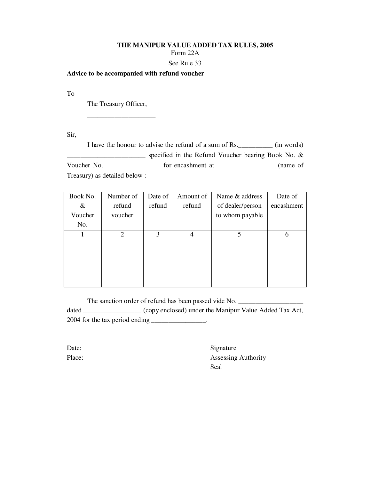#### **THE MANIPUR VALUE ADDED TAX RULES, 2005**  Form 22A

### See Rule 33

### **Advice to be accompanied with refund voucher**

To

The Treasury Officer,

\_\_\_\_\_\_\_\_\_\_\_\_\_\_\_\_\_\_\_\_

Sir,

I have the honour to advise the refund of a sum of Rs.\_\_\_\_\_\_\_\_\_\_ (in words) **EXECUTE:** Specified in the Refund Voucher bearing Book No. & Voucher No. \_\_\_\_\_\_\_\_\_\_\_\_\_\_\_\_\_\_\_\_\_\_\_ for encashment at \_\_\_\_\_\_\_\_\_\_\_\_\_\_\_\_\_\_\_\_\_\_\_\_ (name of Treasury) as detailed below :-

| Book No. | Number of                   | Date of | Amount of | Name & address   | Date of    |
|----------|-----------------------------|---------|-----------|------------------|------------|
| &        | refund                      | refund  | refund    | of dealer/person | encashment |
| Voucher  | voucher                     |         |           | to whom payable  |            |
| No.      |                             |         |           |                  |            |
|          | $\mathcal{D}_{\mathcal{L}}$ | 3       | 4         | 5                | 6          |
|          |                             |         |           |                  |            |
|          |                             |         |           |                  |            |
|          |                             |         |           |                  |            |
|          |                             |         |           |                  |            |
|          |                             |         |           |                  |            |

The sanction order of refund has been passed vide No. dated \_\_\_\_\_\_\_\_\_\_\_\_\_\_\_\_\_ (copy enclosed) under the Manipur Value Added Tax Act, 2004 for the tax period ending \_\_\_\_\_\_\_\_\_\_\_\_\_\_\_\_.

Date: Signature Place: Assessing Authority Seal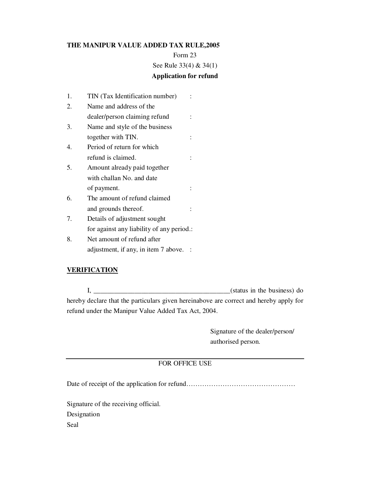Form 23 See Rule 33(4) & 34(1)

# **Application for refund**

- 1. TIN (Tax Identification number) : 2. Name and address of the
- dealer/person claiming refund :
- 3. Name and style of the business together with TIN.  $\cdot$  :
- 4. Period of return for which refund is claimed.  $\cdot$  :
- 5. Amount already paid together with challan No. and date of payment. :
- 6. The amount of refund claimed and grounds thereof.  $\cdot$
- 7. Details of adjustment sought for against any liability of any period.:
- 8. Net amount of refund after adjustment, if any, in item 7 above. :

## **VERIFICATION**

 $I, \underline{\hspace{1cm}}$  (status in the business) do hereby declare that the particulars given hereinabove are correct and hereby apply for refund under the Manipur Value Added Tax Act, 2004.

> Signature of the dealer/person/ authorised person.

## FOR OFFICE USE

Date of receipt of the application for refund…………………………………………

Signature of the receiving official. Designation Seal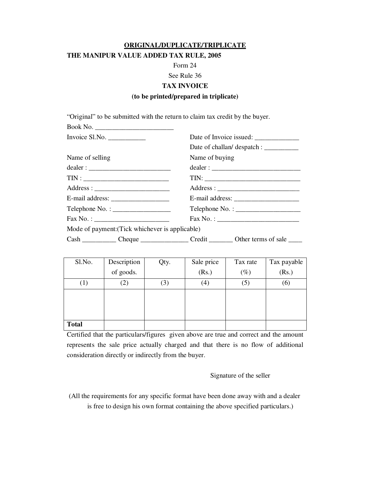### **ORIGINAL/DUPLICATE/TRIPLICATE**

### **THE MANIPUR VALUE ADDED TAX RULE, 2005**

Book No. \_\_\_\_\_\_\_\_\_\_\_\_\_\_\_\_\_\_\_\_\_\_\_

Form 24

#### See Rule 36

### **TAX INVOICE**

### **(to be printed/prepared in triplicate)**

"Original" to be submitted with the return to claim tax credit by the buyer.

| Invoice $S1.No.$                                |                                                                                                                                                                                                                                                                                                                                                                                                                 |  |  |  |
|-------------------------------------------------|-----------------------------------------------------------------------------------------------------------------------------------------------------------------------------------------------------------------------------------------------------------------------------------------------------------------------------------------------------------------------------------------------------------------|--|--|--|
|                                                 | Date of challan/ despatch : ___________                                                                                                                                                                                                                                                                                                                                                                         |  |  |  |
| Name of selling                                 | Name of buying                                                                                                                                                                                                                                                                                                                                                                                                  |  |  |  |
|                                                 |                                                                                                                                                                                                                                                                                                                                                                                                                 |  |  |  |
|                                                 |                                                                                                                                                                                                                                                                                                                                                                                                                 |  |  |  |
|                                                 |                                                                                                                                                                                                                                                                                                                                                                                                                 |  |  |  |
|                                                 | E-mail address: $\frac{1}{\sqrt{1-\frac{1}{2}}}\left\{ \frac{1}{2}, \frac{1}{2}, \frac{1}{2}, \frac{1}{2}, \frac{1}{2}, \frac{1}{2}, \frac{1}{2}, \frac{1}{2}, \frac{1}{2}, \frac{1}{2}, \frac{1}{2}, \frac{1}{2}, \frac{1}{2}, \frac{1}{2}, \frac{1}{2}, \frac{1}{2}, \frac{1}{2}, \frac{1}{2}, \frac{1}{2}, \frac{1}{2}, \frac{1}{2}, \frac{1}{2}, \frac{1}{2}, \frac{1}{2}, \frac{1}{2}, \frac{1}{2}, \frac$ |  |  |  |
| $\text{Telephone No. : }$                       | Telephone No. :                                                                                                                                                                                                                                                                                                                                                                                                 |  |  |  |
| $\text{Fax No. : }$                             | $Fax No. : __________$                                                                                                                                                                                                                                                                                                                                                                                          |  |  |  |
| Mode of payment: (Tick whichever is applicable) |                                                                                                                                                                                                                                                                                                                                                                                                                 |  |  |  |
|                                                 | Cash ______________ Cheque ______________________ Credit ___________ Other terms of sale __________                                                                                                                                                                                                                                                                                                             |  |  |  |

| Sl.No.           | Description       | Qty. | Sale price        | Tax rate | Tax payable |
|------------------|-------------------|------|-------------------|----------|-------------|
|                  | of goods.         |      | (Rs.)             | $(\%)$   | (Rs.)       |
| $\left(1\right)$ | $\left( 2\right)$ | (3)  | $\left( 4\right)$ | (5)      | (6)         |
|                  |                   |      |                   |          |             |
|                  |                   |      |                   |          |             |
|                  |                   |      |                   |          |             |
| <b>Total</b>     |                   |      |                   |          |             |

Certified that the particulars/figures given above are true and correct and the amount represents the sale price actually charged and that there is no flow of additional consideration directly or indirectly from the buyer.

Signature of the seller

(All the requirements for any specific format have been done away with and a dealer is free to design his own format containing the above specified particulars.)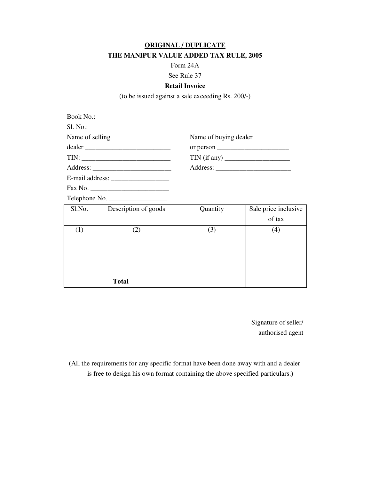### **ORIGINAL / DUPLICATE**

# **THE MANIPUR VALUE ADDED TAX RULE, 2005**

Form 24A

### See Rule 37

### **Retail Invoice**

(to be issued against a sale exceeding Rs. 200/-)

| <b>Book No.:</b> |                      |                       |                                                      |
|------------------|----------------------|-----------------------|------------------------------------------------------|
| $SI. No.$ :      |                      |                       |                                                      |
| Name of selling  |                      | Name of buying dealer |                                                      |
|                  | dealer               |                       | or person $\sqrt{2}$ or person $\sqrt{2}$            |
|                  |                      |                       | $TIN (if any) \qquad \qquad \boxed{ \qquad \qquad }$ |
|                  |                      |                       |                                                      |
|                  |                      |                       |                                                      |
|                  |                      |                       |                                                      |
|                  | Telephone No.        |                       |                                                      |
| S1.No.           | Description of goods | Quantity              | Sale price inclusive                                 |
|                  |                      |                       | of tax                                               |
| (1)              | (2)                  | (3)                   | (4)                                                  |
|                  |                      |                       |                                                      |
|                  |                      |                       |                                                      |
|                  |                      |                       |                                                      |
|                  |                      |                       |                                                      |

**Total** 

Signature of seller/ authorised agent

(All the requirements for any specific format have been done away with and a dealer is free to design his own format containing the above specified particulars.)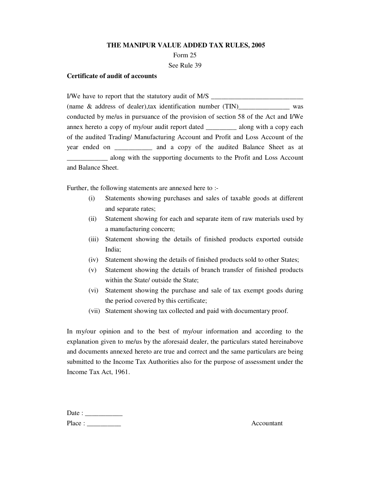Form 25

See Rule 39

### **Certificate of audit of accounts**

I/We have to report that the statutory audit of M/S \_\_\_\_\_\_\_\_\_\_\_\_\_\_\_\_\_\_\_\_\_\_\_\_\_\_\_\_ (name & address of dealer),tax identification number (TIN)\_\_\_\_\_\_\_\_\_\_\_\_\_\_\_ was conducted by me/us in pursuance of the provision of section 58 of the Act and I/We annex hereto a copy of my/our audit report dated \_\_\_\_\_\_\_\_\_ along with a copy each of the audited Trading/ Manufacturing Account and Profit and Loss Account of the year ended on \_\_\_\_\_\_\_\_\_\_\_ and a copy of the audited Balance Sheet as at \_\_\_\_\_\_\_\_\_\_\_\_ along with the supporting documents to the Profit and Loss Account and Balance Sheet.

Further, the following statements are annexed here to :-

- (i) Statements showing purchases and sales of taxable goods at different and separate rates;
- (ii) Statement showing for each and separate item of raw materials used by a manufacturing concern;
- (iii) Statement showing the details of finished products exported outside India;
- (iv) Statement showing the details of finished products sold to other States;
- (v) Statement showing the details of branch transfer of finished products within the State/ outside the State;
- (vi) Statement showing the purchase and sale of tax exempt goods during the period covered by this certificate;
- (vii) Statement showing tax collected and paid with documentary proof.

In my/our opinion and to the best of my/our information and according to the explanation given to me/us by the aforesaid dealer, the particulars stated hereinabove and documents annexed hereto are true and correct and the same particulars are being submitted to the Income Tax Authorities also for the purpose of assessment under the Income Tax Act, 1961.

| Date : |  |
|--------|--|
| Place: |  |

Accountant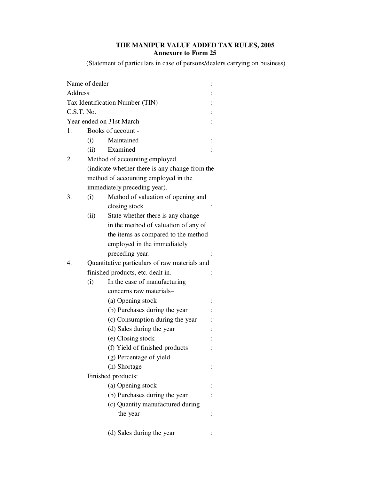# **THE MANIPUR VALUE ADDED TAX RULES, 2005 Annexure to Form 25**

(Statement of particulars in case of persons/dealers carrying on business)

|                                            | Name of dealer                                 |                                      |  |
|--------------------------------------------|------------------------------------------------|--------------------------------------|--|
| Address<br>Tax Identification Number (TIN) |                                                |                                      |  |
|                                            |                                                |                                      |  |
|                                            | C.S.T. No.                                     |                                      |  |
|                                            |                                                | Year ended on 31st March             |  |
| 1.                                         | Books of account -                             |                                      |  |
|                                            | (i)                                            | Maintained                           |  |
|                                            | (ii)                                           | Examined                             |  |
| 2.                                         | Method of accounting employed                  |                                      |  |
|                                            | (indicate whether there is any change from the |                                      |  |
|                                            | method of accounting employed in the           |                                      |  |
|                                            | immediately preceding year).                   |                                      |  |
| 3.                                         | (i)                                            | Method of valuation of opening and   |  |
|                                            |                                                | closing stock                        |  |
|                                            | (ii)                                           | State whether there is any change    |  |
|                                            |                                                | in the method of valuation of any of |  |
|                                            |                                                | the items as compared to the method  |  |
|                                            |                                                | employed in the immediately          |  |
|                                            |                                                | preceding year.                      |  |
| 4.                                         | Quantitative particulars of raw materials and  |                                      |  |
|                                            | finished products, etc. dealt in.              |                                      |  |
|                                            | (i)                                            | In the case of manufacturing         |  |
|                                            |                                                | concerns raw materials-              |  |
|                                            |                                                | (a) Opening stock                    |  |
|                                            |                                                | (b) Purchases during the year        |  |
|                                            |                                                | (c) Consumption during the year      |  |
|                                            |                                                | (d) Sales during the year            |  |
|                                            |                                                | (e) Closing stock                    |  |
|                                            |                                                | (f) Yield of finished products       |  |
|                                            |                                                | (g) Percentage of yield              |  |
|                                            |                                                | (h) Shortage                         |  |
|                                            | Finished products:                             |                                      |  |
|                                            |                                                | (a) Opening stock                    |  |
|                                            |                                                | (b) Purchases during the year        |  |
|                                            |                                                | (c) Quantity manufactured during     |  |
|                                            |                                                | the year                             |  |
|                                            |                                                | (d) Sales during the year            |  |
|                                            |                                                |                                      |  |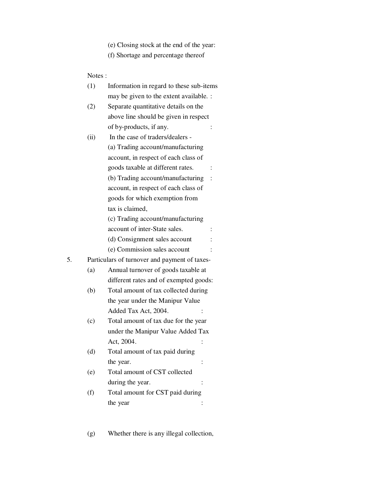- (e) Closing stock at the end of the year:
- (f) Shortage and percentage thereof

## Notes :

|    | (1)  | Information in regard to these sub-items      |  |
|----|------|-----------------------------------------------|--|
|    |      | may be given to the extent available. :       |  |
|    | (2)  | Separate quantitative details on the          |  |
|    |      | above line should be given in respect         |  |
|    |      | of by-products, if any.                       |  |
|    | (ii) | In the case of traders/dealers -              |  |
|    |      | (a) Trading account/manufacturing             |  |
|    |      | account, in respect of each class of          |  |
|    |      | goods taxable at different rates.             |  |
|    |      | (b) Trading account/manufacturing             |  |
|    |      | account, in respect of each class of          |  |
|    |      | goods for which exemption from                |  |
|    |      | tax is claimed.                               |  |
|    |      | (c) Trading account/manufacturing             |  |
|    |      | account of inter-State sales.                 |  |
|    |      | (d) Consignment sales account                 |  |
|    |      | (e) Commission sales account                  |  |
| 5. |      | Particulars of turnover and payment of taxes- |  |
|    | (a)  | Annual turnover of goods taxable at           |  |
|    |      | different rates and of exempted goods:        |  |
|    | (b)  | Total amount of tax collected during          |  |
|    |      | the year under the Manipur Value              |  |
|    |      | Added Tax Act, 2004.                          |  |
|    | (c)  | Total amount of tax due for the year          |  |
|    |      | under the Manipur Value Added Tax             |  |
|    |      | Act, 2004.                                    |  |
|    | (d)  | Total amount of tax paid during               |  |
|    |      | the year.                                     |  |
|    | (e)  | Total amount of CST collected                 |  |
|    |      | during the year.                              |  |
|    | (f)  | Total amount for CST paid during              |  |
|    |      | the year                                      |  |
|    |      |                                               |  |

(g) Whether there is any illegal collection,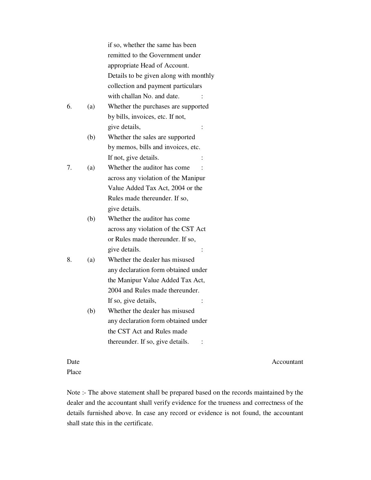|    |     | if so, whether the same has been       |
|----|-----|----------------------------------------|
|    |     | remitted to the Government under       |
|    |     | appropriate Head of Account.           |
|    |     | Details to be given along with monthly |
|    |     | collection and payment particulars     |
|    |     | with challan No. and date.             |
| 6. | (a) | Whether the purchases are supported    |
|    |     | by bills, invoices, etc. If not,       |
|    |     | give details,<br>$\ddot{\cdot}$        |
|    | (b) | Whether the sales are supported        |
|    |     | by memos, bills and invoices, etc.     |
|    |     | If not, give details.                  |
| 7. | (a) | Whether the auditor has come           |
|    |     | across any violation of the Manipur    |
|    |     | Value Added Tax Act, 2004 or the       |
|    |     | Rules made thereunder. If so,          |
|    |     | give details.                          |
|    | (b) | Whether the auditor has come           |
|    |     | across any violation of the CST Act    |
|    |     | or Rules made thereunder. If so,       |
|    |     | give details.                          |
| 8. | (a) | Whether the dealer has misused         |
|    |     | any declaration form obtained under    |
|    |     | the Manipur Value Added Tax Act,       |
|    |     | 2004 and Rules made thereunder.        |
|    |     | If so, give details,                   |
|    | (b) | Whether the dealer has misused         |
|    |     | any declaration form obtained under    |
|    |     | the CST Act and Rules made             |
|    |     | thereunder. If so, give details.       |
|    |     |                                        |
|    |     |                                        |

Date Accountant

Place

Note :- The above statement shall be prepared based on the records maintained by the dealer and the accountant shall verify evidence for the trueness and correctness of the details furnished above. In case any record or evidence is not found, the accountant shall state this in the certificate.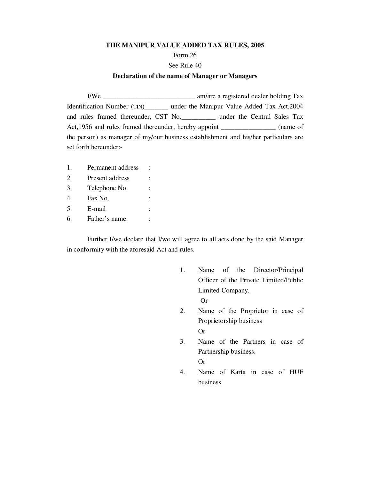#### **THE MANIPUR VALUE ADDED TAX RULES, 2005**

#### Form 26

#### See Rule 40

#### **Declaration of the name of Manager or Managers**

I/We \_\_\_\_\_\_\_\_\_\_\_\_\_\_\_\_\_\_\_\_\_\_\_\_\_\_\_ am/are a registered dealer holding Tax Identification Number (TIN)\_\_\_\_\_\_\_ under the Manipur Value Added Tax Act,2004 and rules framed thereunder, CST No.\_\_\_\_\_\_\_\_\_\_ under the Central Sales Tax Act,1956 and rules framed thereunder, hereby appoint \_\_\_\_\_\_\_\_\_\_\_\_\_\_\_\_\_ (name of the person) as manager of my/our business establishment and his/her particulars are set forth hereunder:-

1. Permanent address : 2. Present address : 3. Telephone No. : 4. Fax No. : 5. E-mail : 6. Father's name :

 Further I/we declare that I/we will agree to all acts done by the said Manager in conformity with the aforesaid Act and rules.

- 1. Name of the Director/Principal Officer of the Private Limited/Public Limited Company. Or
- 2. Name of the Proprietor in case of Proprietorship business Or
- 3. Name of the Partners in case of Partnership business. Or
- 4. Name of Karta in case of HUF business.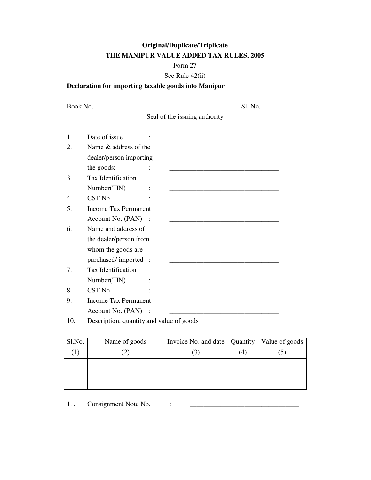# **Original/Duplicate/Triplicate THE MANIPUR VALUE ADDED TAX RULES, 2005**

## Form 27

## See Rule 42(ii)

# **Declaration for importing taxable goods into Manipur**

|    |                             | S1. No.                                                                                                              |  |  |
|----|-----------------------------|----------------------------------------------------------------------------------------------------------------------|--|--|
|    |                             | Seal of the issuing authority                                                                                        |  |  |
| 1. | Date of issue               |                                                                                                                      |  |  |
| 2. | Name & address of the       |                                                                                                                      |  |  |
|    | dealer/person importing     |                                                                                                                      |  |  |
|    | the goods:                  |                                                                                                                      |  |  |
| 3. | Tax Identification          |                                                                                                                      |  |  |
|    | Number(TIN)                 | $\ddot{\cdot}$                                                                                                       |  |  |
| 4. | CST No.                     | <u> 1989 - Johann Stein, marwolaethau a bhann an t-Amhair an t-Amhair an t-Amhair an t-Amhair an t-Amhair an t-A</u> |  |  |
| 5. | <b>Income Tax Permanent</b> |                                                                                                                      |  |  |
|    | Account No. $(PAN)$ :       |                                                                                                                      |  |  |
| 6. | Name and address of         |                                                                                                                      |  |  |
|    | the dealer/person from      |                                                                                                                      |  |  |
|    | whom the goods are          |                                                                                                                      |  |  |
|    | purchased/imported :        |                                                                                                                      |  |  |
| 7. | Tax Identification          |                                                                                                                      |  |  |
|    | Number(TIN)                 |                                                                                                                      |  |  |
| 8. | CST No.                     |                                                                                                                      |  |  |
| 9. | <b>Income Tax Permanent</b> |                                                                                                                      |  |  |
|    | Account No. (PAN) :         |                                                                                                                      |  |  |
|    |                             | $\cdot$ $\cdot$ $\cdot$ $\cdot$ $\cdot$ $\cdot$ $\cdot$                                                              |  |  |

10. Description, quantity and value of goods

| Sl.No. | Name of goods | Invoice No. and date   Quantity   Value of goods |               |  |
|--------|---------------|--------------------------------------------------|---------------|--|
|        |               |                                                  | $^{\prime}$ 4 |  |
|        |               |                                                  |               |  |
|        |               |                                                  |               |  |
|        |               |                                                  |               |  |

11. Consignment Note No.  $\vdots$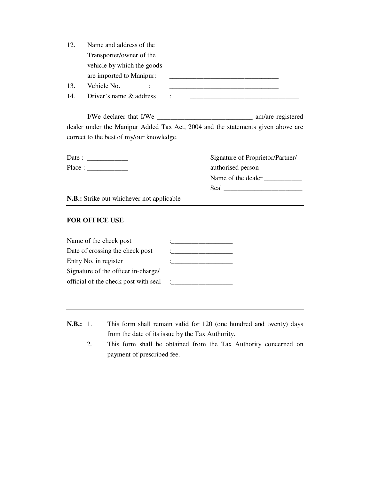| 12. | Name and address of the    |  |
|-----|----------------------------|--|
|     | Transporter/owner of the   |  |
|     | vehicle by which the goods |  |
|     | are imported to Manipur:   |  |
| 13. | Vehicle No.                |  |
| 14. | Driver's name & address    |  |

I/We declarer that I/We \_\_\_\_\_\_\_\_\_\_\_\_\_\_\_\_\_\_\_\_\_\_\_\_\_\_\_\_ am/are registered dealer under the Manipur Added Tax Act, 2004 and the statements given above are correct to the best of my/our knowledge.

| Date : | Signature of Proprietor/Partner/ |
|--------|----------------------------------|
| Place: | authorised person                |
|        | Name of the dealer               |
|        | Seal                             |

**N.B.:** Strike out whichever not applicable

### **FOR OFFICE USE**

| Name of the check post               |                      |
|--------------------------------------|----------------------|
| Date of crossing the check post      |                      |
| Entry No. in register                |                      |
| Signature of the officer in-charge/  |                      |
| official of the check post with seal | $\ddot{\phantom{0}}$ |

- **N.B.:** 1. This form shall remain valid for 120 (one hundred and twenty) days from the date of its issue by the Tax Authority.
	- 2. This form shall be obtained from the Tax Authority concerned on payment of prescribed fee.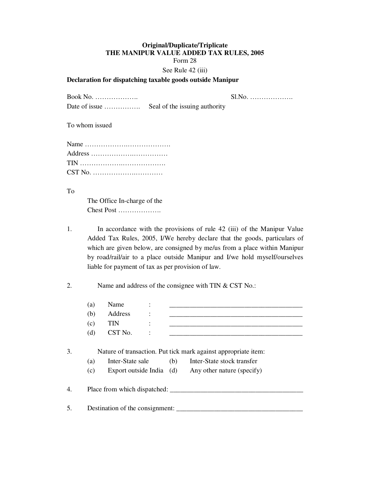### **Original/Duplicate/Triplicate THE MANIPUR VALUE ADDED TAX RULES, 2005**  Form 28 See Rule 42 (iii)

### **Declaration for dispatching taxable goods outside Manipur**

Book No. ………………. Sl.No. ………………. Date of issue ……………. Seal of the issuing authority

To whom issued

To

 The Office In-charge of the Chest Post ……………….

1. In accordance with the provisions of rule 42 (iii) of the Manipur Value Added Tax Rules, 2005, I/We hereby declare that the goods, particulars of which are given below, are consigned by me/us from a place within Manipur by road/rail/air to a place outside Manipur and I/we hold myself/ourselves liable for payment of tax as per provision of law.

2. Name and address of the consignee with TIN & CST No.:

|    | (a)        | Name                                         |     |                                                                                                                            |
|----|------------|----------------------------------------------|-----|----------------------------------------------------------------------------------------------------------------------------|
|    | (b)        | Address                                      |     |                                                                                                                            |
|    | (c)        | <b>TIN</b>                                   |     |                                                                                                                            |
|    | (d)        | CST No.                                      |     |                                                                                                                            |
| 3. | (a)<br>(c) | Inter-State sale<br>Export outside India (d) | (b) | Nature of transaction. Put tick mark against appropriate item:<br>Inter-State stock transfer<br>Any other nature (specify) |
| 4. |            |                                              |     | Place from which dispatched:                                                                                               |
| 5. |            | Destination of the consignment:              |     |                                                                                                                            |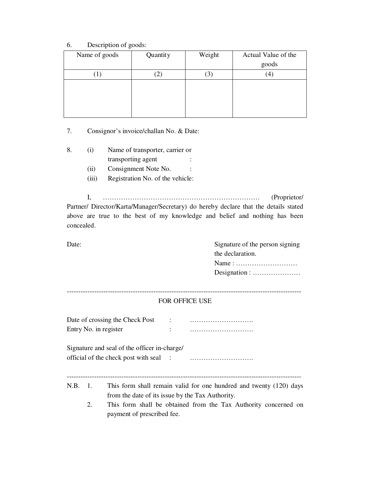### 6. Description of goods:

| Name of goods | Quantity | Weight | Actual Value of the |
|---------------|----------|--------|---------------------|
|               |          |        | goods               |
|               |          | J      | $^{4}$              |
|               |          |        |                     |
|               |          |        |                     |
|               |          |        |                     |
|               |          |        |                     |

7. Consignor's invoice/challan No. & Date:

- 8. (i) Name of transporter, carrier or transporting agent
	- (ii) Consignment Note No. :
	- (iii) Registration No. of the vehicle:

I, …………………………………………………………… (Proprietor/ Partner/ Director/Karta/Manager/Secretary) do hereby declare that the details stated above are true to the best of my knowledge and belief and nothing has been concealed.

Date: Signature of the person signing the declaration. Name : ……………………… Designation : …………………

### ------------------------------------------------------------------------------------------------------- FOR OFFICE USE

| Date of crossing the Check Post |  |
|---------------------------------|--|
| Entry No. in register           |  |

Signature and seal of the officer in-charge/ official of the check post with seal : ……………………….

-------------------------------------------------------------------------------------------------------

- N.B. 1. This form shall remain valid for one hundred and twenty (120) days from the date of its issue by the Tax Authority.
	- 2. This form shall be obtained from the Tax Authority concerned on payment of prescribed fee.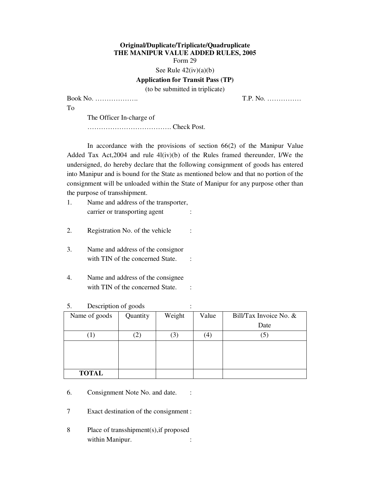### **Original/Duplicate/Triplicate/Quadruplicate THE MANIPUR VALUE ADDED RULES, 2005**  Form 29

See Rule  $42(iv)(a)(b)$ 

### **Application for Transit Pass (TP)**

(to be submitted in triplicate)

Book No. ………………. T.P. No. ……………

To

The Officer In-charge of

………………………………. Check Post.

In accordance with the provisions of section  $66(2)$  of the Manipur Value Added Tax Act,2004 and rule 4l(iv)(b) of the Rules framed thereunder, I/We the undersigned, do hereby declare that the following consignment of goods has entered into Manipur and is bound for the State as mentioned below and that no portion of the consignment will be unloaded within the State of Manipur for any purpose other than the purpose of transshipment.

- 1. Name and address of the transporter, carrier or transporting agent :
- 2. Registration No. of the vehicle :
- 3. Name and address of the consignor with TIN of the concerned State. :
- 4. Name and address of the consignee with TIN of the concerned State. :

| $\ddotsc$<br>D<br>$\bullet$ |          |        |                     |                        |  |  |  |
|-----------------------------|----------|--------|---------------------|------------------------|--|--|--|
| Name of goods               | Quantity | Weight | Value               | Bill/Tax Invoice No. & |  |  |  |
|                             |          |        |                     | Date                   |  |  |  |
| $\left  \right $            |          | (3)    | $\scriptstyle{(4)}$ | $\left(5\right)$       |  |  |  |
|                             |          |        |                     |                        |  |  |  |
|                             |          |        |                     |                        |  |  |  |
|                             |          |        |                     |                        |  |  |  |
| <b>TOTAL</b>                |          |        |                     |                        |  |  |  |

### 5. Description of goods :

6. Consignment Note No. and date. :

7 Exact destination of the consignment :

8 Place of transshipment(s),if proposed within Manipur.  $\qquad \qquad$  :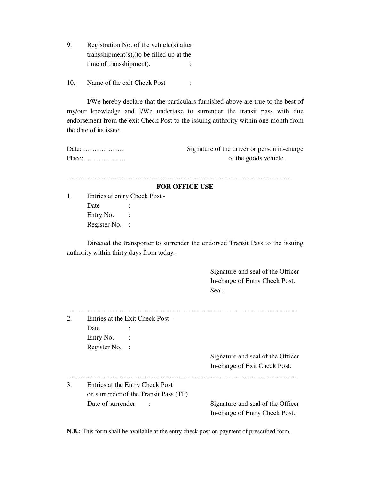9. Registration No. of the vehicle(s) after transshipment(s),(to be filled up at the time of transshipment).  $\cdot$ 

10. Name of the exit Check Post :

 I/We hereby declare that the particulars furnished above are true to the best of my/our knowledge and I/We undertake to surrender the transit pass with due endorsement from the exit Check Post to the issuing authority within one month from the date of its issue.

| Date: $\dots\dots\dots\dots\dots\dots\dots$ | Signature of the driver or person in-charge |
|---------------------------------------------|---------------------------------------------|
| $Place: \ldots \ldots \ldots \ldots \ldots$ | of the goods vehicle.                       |

………………………………………………………………………………………

#### **FOR OFFICE USE**

1. Entries at entry Check Post - Date : Entry No. : Register No. :

 Directed the transporter to surrender the endorsed Transit Pass to the issuing authority within thirty days from today.

> Signature and seal of the Officer In-charge of Entry Check Post. Seal:

| 2. | Entries at the Exit Check Post - |                                       |                                   |  |  |  |
|----|----------------------------------|---------------------------------------|-----------------------------------|--|--|--|
|    | Date                             |                                       |                                   |  |  |  |
|    | Entry No.                        |                                       |                                   |  |  |  |
|    | Register No. :                   |                                       |                                   |  |  |  |
|    |                                  |                                       | Signature and seal of the Officer |  |  |  |
|    |                                  |                                       | In-charge of Exit Check Post.     |  |  |  |
|    |                                  |                                       |                                   |  |  |  |
| 3. |                                  | Entries at the Entry Check Post       |                                   |  |  |  |
|    |                                  | on surrender of the Transit Pass (TP) |                                   |  |  |  |
|    | Date of surrender                |                                       | Signature and seal of the Officer |  |  |  |
|    |                                  |                                       | In-charge of Entry Check Post.    |  |  |  |

**N.B.:** This form shall be available at the entry check post on payment of prescribed form.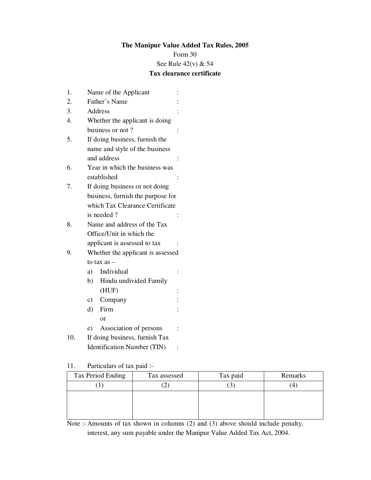## **The Manipur Value Added Tax Rules, 2005**

Form 30

See Rule 42(v) & 54

## **Tax clearance certificate**

| 1.  | Name of the Applicant              |  |  |  |  |
|-----|------------------------------------|--|--|--|--|
| 2.  | Father's Name                      |  |  |  |  |
| 3.  | Address                            |  |  |  |  |
| 4.  | Whether the applicant is doing     |  |  |  |  |
|     | business or not?                   |  |  |  |  |
| 5.  | If doing business, furnish the     |  |  |  |  |
|     | name and style of the business     |  |  |  |  |
|     | and address                        |  |  |  |  |
| 6.  | Year in which the business was     |  |  |  |  |
|     | established                        |  |  |  |  |
| 7.  | If doing business or not doing     |  |  |  |  |
|     | business, furnish the purpose for  |  |  |  |  |
|     | which Tax Clearance Certificate    |  |  |  |  |
|     | is needed?                         |  |  |  |  |
| 8.  | Name and address of the Tax        |  |  |  |  |
|     | Office/Unit in which the           |  |  |  |  |
|     | applicant is assessed to tax       |  |  |  |  |
| 9.  | Whether the applicant is assessed  |  |  |  |  |
|     | to tax $as -$                      |  |  |  |  |
|     | Individual<br>a)                   |  |  |  |  |
|     | Hindu undivided Family<br>b)       |  |  |  |  |
|     | (HUF)                              |  |  |  |  |
|     | Company<br>c)                      |  |  |  |  |
|     | Firm<br>d)                         |  |  |  |  |
|     | or                                 |  |  |  |  |
|     | Association of persons<br>e)       |  |  |  |  |
| 10. | If doing business, furnish Tax     |  |  |  |  |
|     | <b>Identification Number (TIN)</b> |  |  |  |  |

11. Particulars of tax paid :-

| Tax Period Ending | Tax assessed | Tax paid | Remarks |
|-------------------|--------------|----------|---------|
|                   |              |          | 4       |
|                   |              |          |         |
|                   |              |          |         |
|                   |              |          |         |

Note :- Amounts of tax shown in columns (2) and (3) above should include penalty, interest, any sum payable under the Manipur Value Added Tax Act, 2004.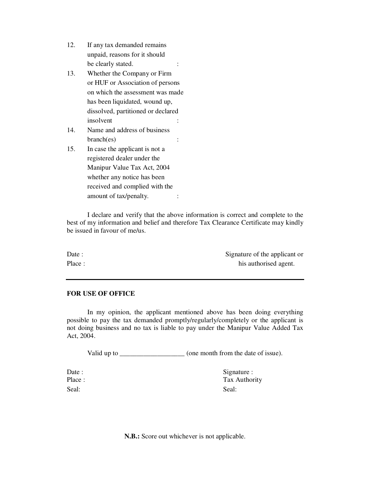- 12. If any tax demanded remains unpaid, reasons for it should be clearly stated.  $\cdot$  :
- 13. Whether the Company or Firm or HUF or Association of persons on which the assessment was made has been liquidated, wound up, dissolved, partitioned or declared insolvent :
- 14. Name and address of business branch(es) :
- 15. In case the applicant is not a registered dealer under the Manipur Value Tax Act, 2004 whether any notice has been received and complied with the amount of tax/penalty.  $\cdot$

 I declare and verify that the above information is correct and complete to the best of my information and belief and therefore Tax Clearance Certificate may kindly be issued in favour of me/us.

Date : Signature of the applicant or Place : his authorised agent.

### **FOR USE OF OFFICE**

 In my opinion, the applicant mentioned above has been doing everything possible to pay the tax demanded promptly/regularly/completely or the applicant is not doing business and no tax is liable to pay under the Manipur Value Added Tax Act, 2004.

Valid up to \_\_\_\_\_\_\_\_\_\_\_\_\_\_\_\_\_\_\_\_\_ (one month from the date of issue).

Seal: Seal: Seal: Seal: Seal: Seal: Seal: Seal: Seal: Seal: Seal: Seal: Seal: Seal: Seal: Seal: Seal: Seal: Seal: Seal: Seal: Seal: Seal: Seal: Seal: Seal: Seal: Seal: Seal: Seal: Seal: Seal: Seal: Seal: Seal: Seal: Seal:

Date : Signature : Place : Tax Authority

**N.B.:** Score out whichever is not applicable.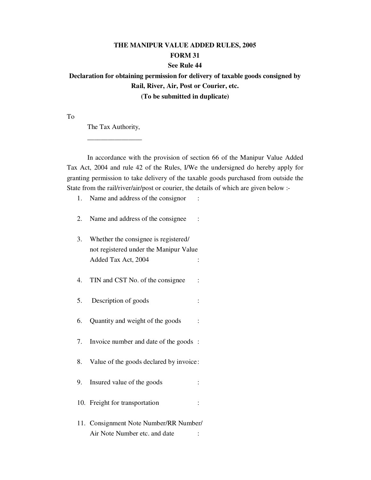# **THE MANIPUR VALUE ADDED RULES, 2005 FORM 31 See Rule 44**

**Declaration for obtaining permission for delivery of taxable goods consigned by Rail, River, Air, Post or Courier, etc. (To be submitted in duplicate)** 

To

The Tax Authority,

 $\frac{1}{\sqrt{2}}$  ,  $\frac{1}{\sqrt{2}}$  ,  $\frac{1}{\sqrt{2}}$  ,  $\frac{1}{\sqrt{2}}$  ,  $\frac{1}{\sqrt{2}}$  ,  $\frac{1}{\sqrt{2}}$  ,  $\frac{1}{\sqrt{2}}$  ,  $\frac{1}{\sqrt{2}}$  ,  $\frac{1}{\sqrt{2}}$  ,  $\frac{1}{\sqrt{2}}$  ,  $\frac{1}{\sqrt{2}}$  ,  $\frac{1}{\sqrt{2}}$  ,  $\frac{1}{\sqrt{2}}$  ,  $\frac{1}{\sqrt{2}}$  ,  $\frac{1}{\sqrt{2}}$ 

 In accordance with the provision of section 66 of the Manipur Value Added Tax Act, 2004 and rule 42 of the Rules, I/We the undersigned do hereby apply for granting permission to take delivery of the taxable goods purchased from outside the State from the rail/river/air/post or courier, the details of which are given below :-

- 1. Name and address of the consignor :
- 2. Name and address of the consignee :
- 3. Whether the consignee is registered/ not registered under the Manipur Value Added Tax Act, 2004 :
- 4. TIN and CST No. of the consignee :
- 5. Description of goods :
- 6. Quantity and weight of the goods :
- 7. Invoice number and date of the goods :
- 8. Value of the goods declared by invoice :
- 9. Insured value of the goods :
- 10. Freight for transportation :
- 11. Consignment Note Number/RR Number/ Air Note Number etc. and date :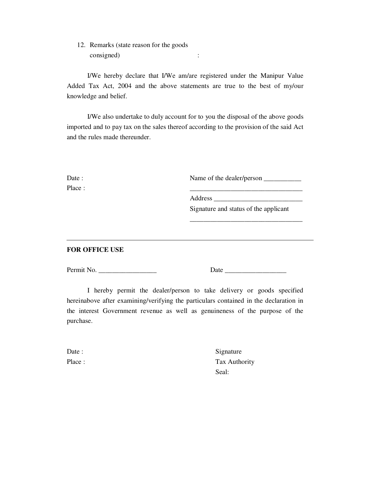12. Remarks (state reason for the goods consigned) :

 I/We hereby declare that I/We am/are registered under the Manipur Value Added Tax Act, 2004 and the above statements are true to the best of my/our knowledge and belief.

 I/We also undertake to duly account for to you the disposal of the above goods imported and to pay tax on the sales thereof according to the provision of the said Act and the rules made thereunder.

| Date : | Name of the dealer/person |
|--------|---------------------------|
| Place: |                           |

Address \_\_\_\_\_\_\_\_\_\_\_\_\_\_\_\_\_\_\_\_\_\_\_\_\_\_

 Signature and status of the applicant \_\_\_\_\_\_\_\_\_\_\_\_\_\_\_\_\_\_\_\_\_\_\_\_\_\_\_\_\_\_\_\_\_

## **FOR OFFICE USE**

Permit No. \_\_\_\_\_\_\_\_\_\_\_\_\_\_\_\_\_ Date \_\_\_\_\_\_\_\_\_\_\_\_\_\_\_\_\_\_

 I hereby permit the dealer/person to take delivery or goods specified hereinabove after examining/verifying the particulars contained in the declaration in the interest Government revenue as well as genuineness of the purpose of the purchase.

Date : Signature Place : Tax Authority Seal: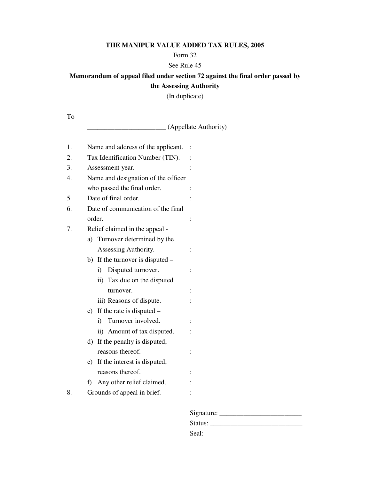## **THE MANIPUR VALUE ADDED TAX RULES, 2005**

### Form 32

## See Rule 45

# **Memorandum of appeal filed under section 72 against the final order passed by the Assessing Authority**

(In duplicate)

To

\_\_\_\_\_\_\_\_\_\_\_\_\_\_\_\_\_\_\_\_\_\_\_ (Appellate Authority)

| 1. | Name and address of the applicant.  |  |
|----|-------------------------------------|--|
| 2. | Tax Identification Number (TIN).    |  |
| 3. | Assessment year.                    |  |
| 4. | Name and designation of the officer |  |
|    | who passed the final order.         |  |
| 5. | Date of final order.                |  |
| 6. | Date of communication of the final  |  |
|    | order.                              |  |
| 7. | Relief claimed in the appeal -      |  |
|    | a) Turnover determined by the       |  |
|    | Assessing Authority.                |  |
|    | b) If the turnover is disputed $-$  |  |
|    | Disputed turnover.<br>i)            |  |
|    | ii) Tax due on the disputed         |  |
|    | turnover.                           |  |
|    | iii) Reasons of dispute.            |  |
|    | If the rate is disputed $-$<br>C)   |  |
|    | Turnover involved.<br>i)            |  |
|    | ii) Amount of tax disputed.         |  |
|    | If the penalty is disputed,<br>d)   |  |
|    | reasons thereof.                    |  |
|    | If the interest is disputed,<br>e)  |  |
|    | reasons thereof.                    |  |
|    | Any other relief claimed.<br>f)     |  |
| 8. | Grounds of appeal in brief.         |  |
|    |                                     |  |

| Signature: |
|------------|
| Status:    |
| Seal:      |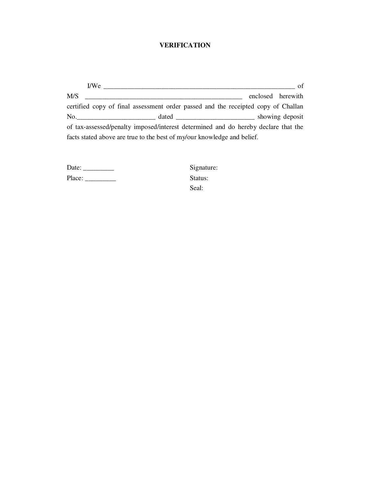# **VERIFICATION**

| I/We |                                                                                    | of                |
|------|------------------------------------------------------------------------------------|-------------------|
| M/S  |                                                                                    | enclosed herewith |
|      | certified copy of final assessment order passed and the receipted copy of Challan  |                   |
|      | $\mathbf{No.}$                                                                     | showing deposit   |
|      | of tax-assessed/penalty imposed/interest determined and do hereby declare that the |                   |
|      | facts stated above are true to the best of my/our knowledge and belief.            |                   |

| Date:  |  |
|--------|--|
| Place: |  |

Signature: Status: Seal: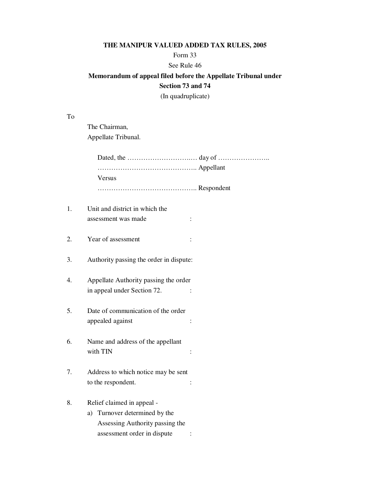# **THE MANIPUR VALUED ADDED TAX RULES, 2005**

## Form 33

### See Rule 46

# **Memorandum of appeal filed before the Appellate Tribunal under Section 73 and 74**

(In quadruplicate)

To

 The Chairman, Appellate Tribunal.

| Versus                                  |                                                                                                                                                                                                                                                                                                                          |
|-----------------------------------------|--------------------------------------------------------------------------------------------------------------------------------------------------------------------------------------------------------------------------------------------------------------------------------------------------------------------------|
| Respondent                              |                                                                                                                                                                                                                                                                                                                          |
|                                         |                                                                                                                                                                                                                                                                                                                          |
|                                         |                                                                                                                                                                                                                                                                                                                          |
|                                         |                                                                                                                                                                                                                                                                                                                          |
| Year of assessment                      |                                                                                                                                                                                                                                                                                                                          |
|                                         |                                                                                                                                                                                                                                                                                                                          |
| Authority passing the order in dispute: |                                                                                                                                                                                                                                                                                                                          |
|                                         |                                                                                                                                                                                                                                                                                                                          |
|                                         |                                                                                                                                                                                                                                                                                                                          |
|                                         |                                                                                                                                                                                                                                                                                                                          |
| Date of communication of the order      |                                                                                                                                                                                                                                                                                                                          |
| appealed against                        |                                                                                                                                                                                                                                                                                                                          |
|                                         |                                                                                                                                                                                                                                                                                                                          |
| Name and address of the appellant       |                                                                                                                                                                                                                                                                                                                          |
| with TIN                                |                                                                                                                                                                                                                                                                                                                          |
|                                         |                                                                                                                                                                                                                                                                                                                          |
|                                         |                                                                                                                                                                                                                                                                                                                          |
|                                         |                                                                                                                                                                                                                                                                                                                          |
|                                         |                                                                                                                                                                                                                                                                                                                          |
| a)                                      |                                                                                                                                                                                                                                                                                                                          |
|                                         |                                                                                                                                                                                                                                                                                                                          |
|                                         |                                                                                                                                                                                                                                                                                                                          |
|                                         | Unit and district in which the<br>assessment was made<br>Appellate Authority passing the order<br>in appeal under Section 72.<br>Address to which notice may be sent<br>to the respondent.<br>Relief claimed in appeal -<br>Turnover determined by the<br>Assessing Authority passing the<br>assessment order in dispute |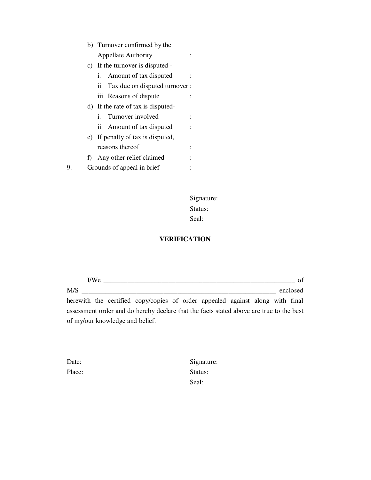|    | b) Turnover confirmed by the       |  |  |  |  |
|----|------------------------------------|--|--|--|--|
|    | <b>Appellate Authority</b>         |  |  |  |  |
|    | c) If the turnover is disputed -   |  |  |  |  |
|    | i. Amount of tax disputed          |  |  |  |  |
|    | ii. Tax due on disputed turnover : |  |  |  |  |
|    | iii. Reasons of dispute            |  |  |  |  |
|    | d) If the rate of tax is disputed- |  |  |  |  |
|    | Turnover involved<br>i.            |  |  |  |  |
|    | ii. Amount of tax disputed         |  |  |  |  |
| e) | If penalty of tax is disputed,     |  |  |  |  |
|    | reasons thereof                    |  |  |  |  |
| f) | Any other relief claimed           |  |  |  |  |
|    | Grounds of appeal in brief         |  |  |  |  |
|    |                                    |  |  |  |  |

 Signature: Status: Seal:

# **VERIFICATION**

|     | I/We |                                 |                                                                                         |  |  |  | of       |
|-----|------|---------------------------------|-----------------------------------------------------------------------------------------|--|--|--|----------|
| M/S |      |                                 |                                                                                         |  |  |  | enclosed |
|     |      |                                 | herewith the certified copy/copies of order appealed against along with final           |  |  |  |          |
|     |      |                                 | assessment order and do hereby declare that the facts stated above are true to the best |  |  |  |          |
|     |      | of my/our knowledge and belief. |                                                                                         |  |  |  |          |

| Date:  |  |
|--------|--|
| Place: |  |

Signature: Status: Seal: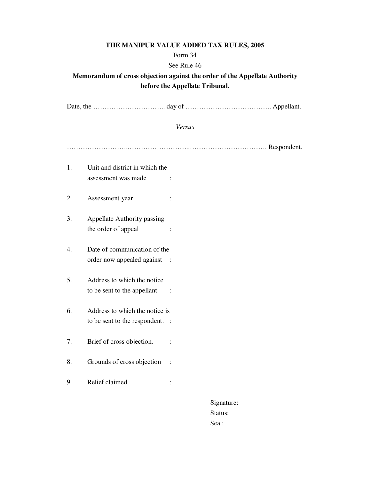## **THE MANIPUR VALUE ADDED TAX RULES, 2005**

### Form 34

### See Rule 46

# **Memorandum of cross objection against the order of the Appellate Authority before the Appellate Tribunal.**

Date, the ………………………….. day of ……………………………….. Appellant.

### *Versus*

……………………..………………………..……………………………. Respondent.

| 1. | Unit and district in which the<br>assessment was made             |                        |
|----|-------------------------------------------------------------------|------------------------|
| 2. | Assessment year                                                   |                        |
| 3. | Appellate Authority passing<br>the order of appeal                |                        |
| 4. | Date of communication of the<br>order now appealed against :      |                        |
| 5. | Address to which the notice<br>to be sent to the appellant        |                        |
| 6. | Address to which the notice is<br>to be sent to the respondent. : |                        |
| 7. | Brief of cross objection.                                         |                        |
| 8. | Grounds of cross objection                                        | $\ddot{\phantom{0}}$ : |
| 9. | Relief claimed                                                    |                        |
|    |                                                                   |                        |

 Signature: Status: Seal: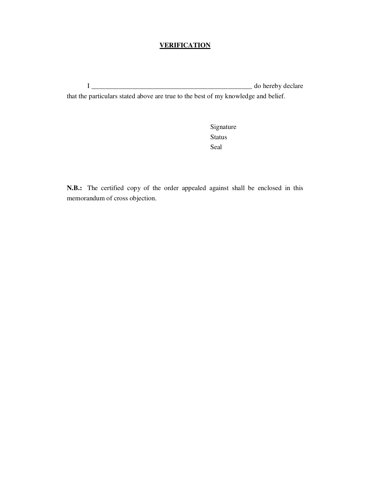## **VERIFICATION**

I \_\_\_\_\_\_\_\_\_\_\_\_\_\_\_\_\_\_\_\_\_\_\_\_\_\_\_\_\_\_\_\_\_\_\_\_\_\_\_\_\_\_\_\_\_\_\_ do hereby declare

that the particulars stated above are true to the best of my knowledge and belief.

 Signature **Status** Seal

**N.B.:** The certified copy of the order appealed against shall be enclosed in this memorandum of cross objection.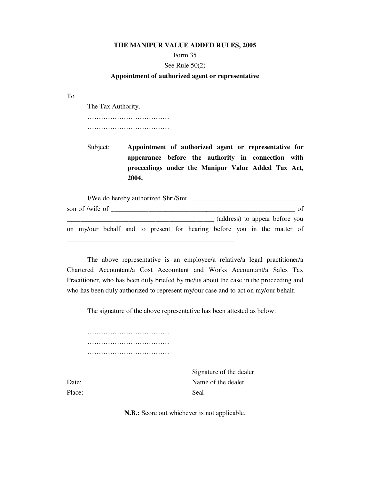#### **THE MANIPUR VALUE ADDED RULES, 2005**

#### Form 35

### See Rule 50(2)

#### **Appointment of authorized agent or representative**

To

The Tax Authority,

……………………………………………

………………………………

Subject: **Appointment of authorized agent or representative for appearance before the authority in connection with proceedings under the Manipur Value Added Tax Act, 2004.** 

| I/We do hereby authorized Shri/Smt. |  |  |  |  |  |     |                                                                         |  |  |                                |  |
|-------------------------------------|--|--|--|--|--|-----|-------------------------------------------------------------------------|--|--|--------------------------------|--|
| son of /wife of                     |  |  |  |  |  | ∩f∵ |                                                                         |  |  |                                |  |
|                                     |  |  |  |  |  |     |                                                                         |  |  | (address) to appear before you |  |
|                                     |  |  |  |  |  |     | on my/our behalf and to present for hearing before you in the matter of |  |  |                                |  |
|                                     |  |  |  |  |  |     |                                                                         |  |  |                                |  |

 The above representative is an employee/a relative/a legal practitioner/a Chartered Accountant/a Cost Accountant and Works Accountant/a Sales Tax Practitioner, who has been duly briefed by me/us about the case in the proceeding and who has been duly authorized to represent my/our case and to act on my/our behalf.

The signature of the above representative has been attested as below:

……………………………………… ……………………………………… ………………………………

Signature of the dealer Date: Name of the dealer

Place: Seal

**N.B.:** Score out whichever is not applicable.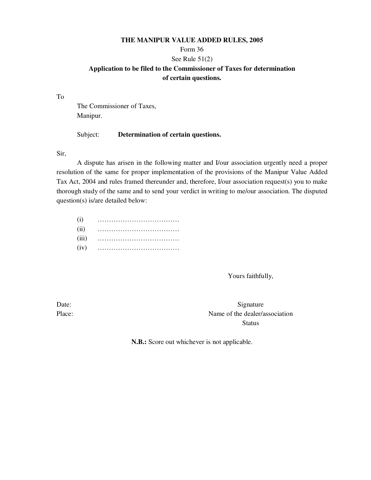### **THE MANIPUR VALUE ADDED RULES, 2005**

## Form 36

### See Rule 51(2)

## **Application to be filed to the Commissioner of Taxes for determination of certain questions.**

To

 The Commissioner of Taxes, Manipur.

### Subject: **Determination of certain questions.**

Sir,

 A dispute has arisen in the following matter and I/our association urgently need a proper resolution of the same for proper implementation of the provisions of the Manipur Value Added Tax Act, 2004 and rules framed thereunder and, therefore, I/our association request(s) you to make thorough study of the same and to send your verdict in writing to me/our association. The disputed question(s) is/are detailed below:

| (i)   |  |
|-------|--|
| (ii)  |  |
| (iii) |  |
| (iv)  |  |

Yours faithfully,

Date: Signature Place: Name of the dealer/association **Status** 

**N.B.:** Score out whichever is not applicable.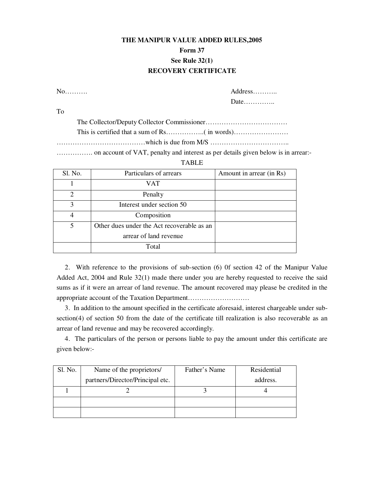# **THE MANIPUR VALUE ADDED RULES,2005 Form 37 See Rule 32(1) RECOVERY CERTIFICATE**

No………. Address………..

Date…………..

To

The Collector/Deputy Collector Commissioner………………………………

This is certified that a sum of Rs……………..( in words)……………………

…………………………………which is due from M/S ……………………………..

……………. on account of VAT, penalty and interest as per details given below is in arrear:-

### TABLE

| Sl. No.                     | Particulars of arrears                     | Amount in arrear (in Rs) |
|-----------------------------|--------------------------------------------|--------------------------|
|                             | VAT                                        |                          |
| $\mathcal{D}_{\mathcal{L}}$ | Penalty                                    |                          |
| $\mathbf{3}$                | Interest under section 50                  |                          |
| 4                           | Composition                                |                          |
|                             | Other dues under the Act recoverable as an |                          |
|                             | arrear of land revenue                     |                          |
|                             | Total                                      |                          |

 2. With reference to the provisions of sub-section (6) 0f section 42 of the Manipur Value Added Act, 2004 and Rule 32(1) made there under you are hereby requested to receive the said sums as if it were an arrear of land revenue. The amount recovered may please be credited in the appropriate account of the Taxation Department………………………

 3. In addition to the amount specified in the certificate aforesaid, interest chargeable under subsection(4) of section 50 from the date of the certificate till realization is also recoverable as an arrear of land revenue and may be recovered accordingly.

 4. The particulars of the person or persons liable to pay the amount under this certificate are given below:-

| Sl. No. | Name of the proprietors/         | Father's Name | Residential |
|---------|----------------------------------|---------------|-------------|
|         | partners/Director/Principal etc. |               | address.    |
|         |                                  |               |             |
|         |                                  |               |             |
|         |                                  |               |             |